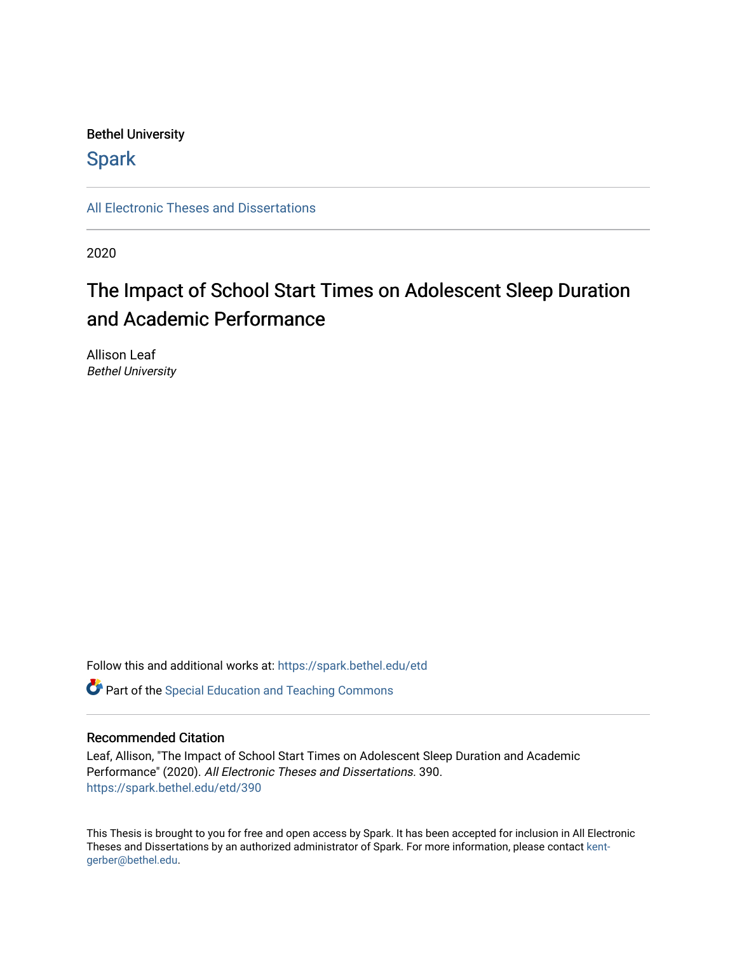# Bethel University

# **Spark**

[All Electronic Theses and Dissertations](https://spark.bethel.edu/etd) 

2020

# The Impact of School Start Times on Adolescent Sleep Duration and Academic Performance

Allison Leaf Bethel University

Follow this and additional works at: [https://spark.bethel.edu/etd](https://spark.bethel.edu/etd?utm_source=spark.bethel.edu%2Fetd%2F390&utm_medium=PDF&utm_campaign=PDFCoverPages)

**C** Part of the Special Education and Teaching Commons

# Recommended Citation

Leaf, Allison, "The Impact of School Start Times on Adolescent Sleep Duration and Academic Performance" (2020). All Electronic Theses and Dissertations. 390. [https://spark.bethel.edu/etd/390](https://spark.bethel.edu/etd/390?utm_source=spark.bethel.edu%2Fetd%2F390&utm_medium=PDF&utm_campaign=PDFCoverPages)

This Thesis is brought to you for free and open access by Spark. It has been accepted for inclusion in All Electronic Theses and Dissertations by an authorized administrator of Spark. For more information, please contact [kent](mailto:kent-gerber@bethel.edu)[gerber@bethel.edu.](mailto:kent-gerber@bethel.edu)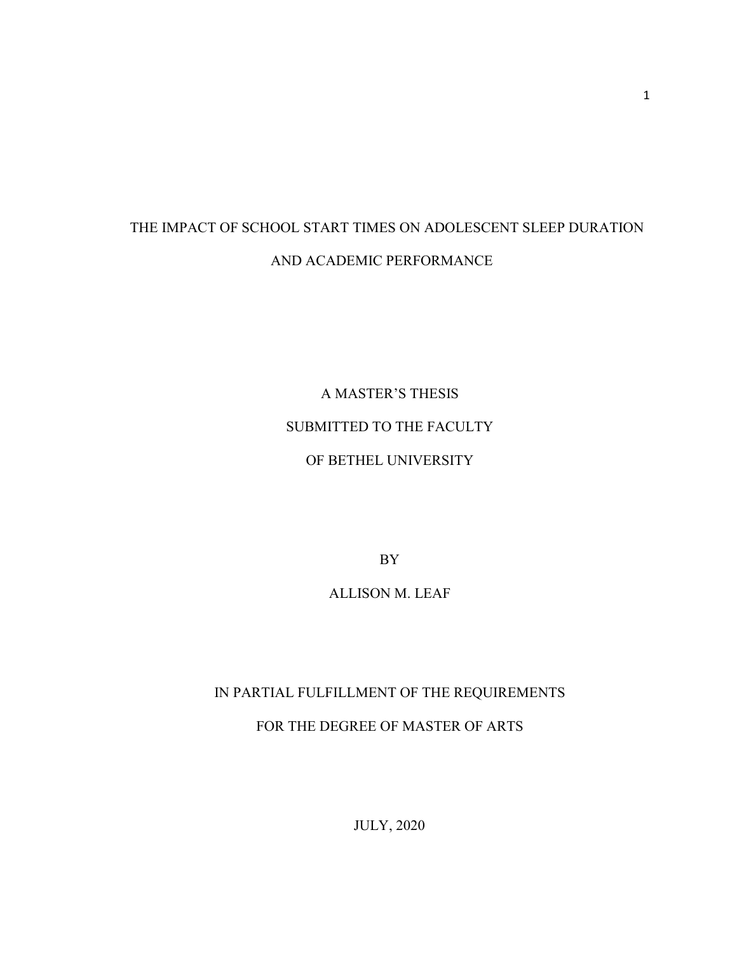# THE IMPACT OF SCHOOL START TIMES ON ADOLESCENT SLEEP DURATION AND ACADEMIC PERFORMANCE

A MASTER'S THESIS SUBMITTED TO THE FACULTY OF BETHEL UNIVERSITY

BY

ALLISON M. LEAF

# IN PARTIAL FULFILLMENT OF THE REQUIREMENTS FOR THE DEGREE OF MASTER OF ARTS

JULY, 2020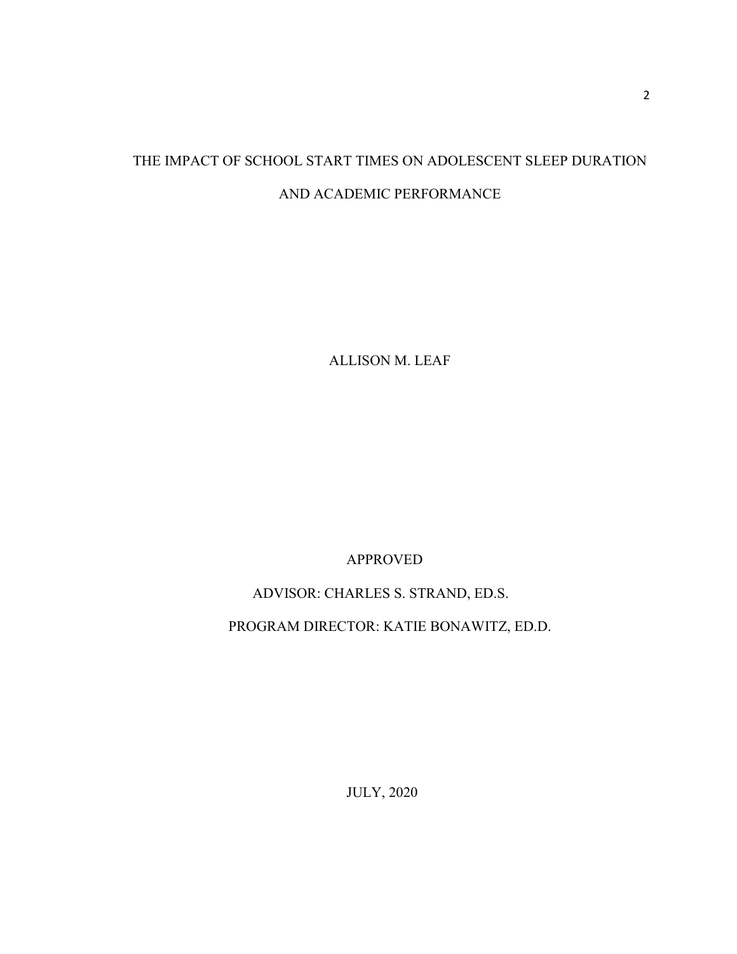# THE IMPACT OF SCHOOL START TIMES ON ADOLESCENT SLEEP DURATION AND ACADEMIC PERFORMANCE

ALLISON M. LEAF

APPROVED

ADVISOR: CHARLES S. STRAND, ED.S.

PROGRAM DIRECTOR: KATIE BONAWITZ, ED.D.

JULY, 2020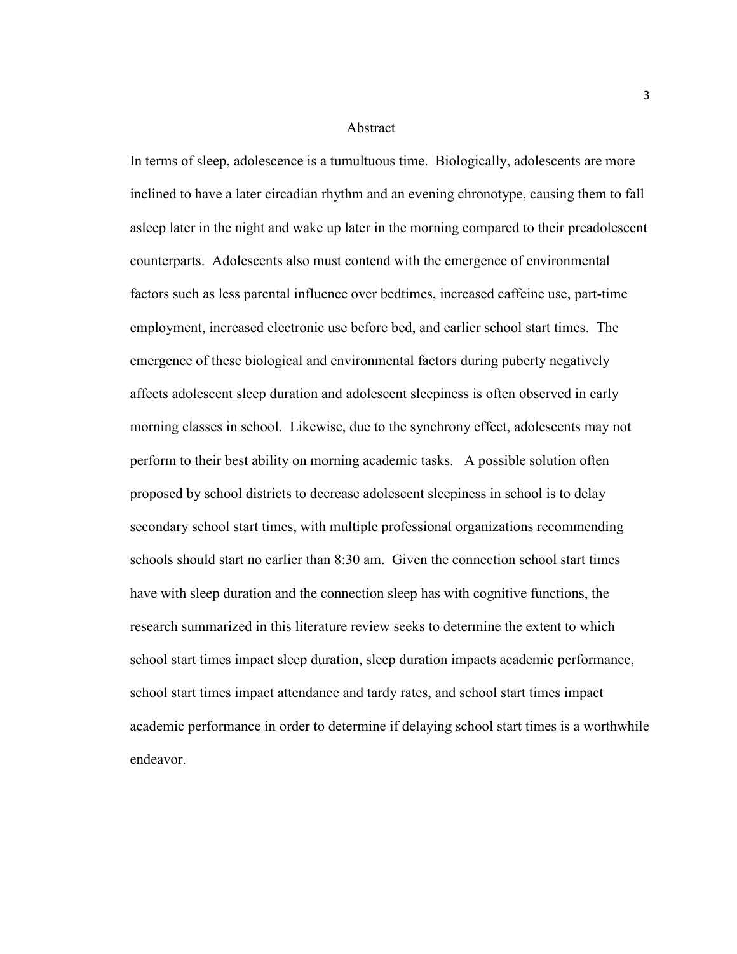#### Abstract

In terms of sleep, adolescence is a tumultuous time. Biologically, adolescents are more inclined to have a later circadian rhythm and an evening chronotype, causing them to fall asleep later in the night and wake up later in the morning compared to their preadolescent counterparts. Adolescents also must contend with the emergence of environmental factors such as less parental influence over bedtimes, increased caffeine use, part-time employment, increased electronic use before bed, and earlier school start times. The emergence of these biological and environmental factors during puberty negatively affects adolescent sleep duration and adolescent sleepiness is often observed in early morning classes in school. Likewise, due to the synchrony effect, adolescents may not perform to their best ability on morning academic tasks. A possible solution often proposed by school districts to decrease adolescent sleepiness in school is to delay secondary school start times, with multiple professional organizations recommending schools should start no earlier than 8:30 am. Given the connection school start times have with sleep duration and the connection sleep has with cognitive functions, the research summarized in this literature review seeks to determine the extent to which school start times impact sleep duration, sleep duration impacts academic performance, school start times impact attendance and tardy rates, and school start times impact academic performance in order to determine if delaying school start times is a worthwhile endeavor.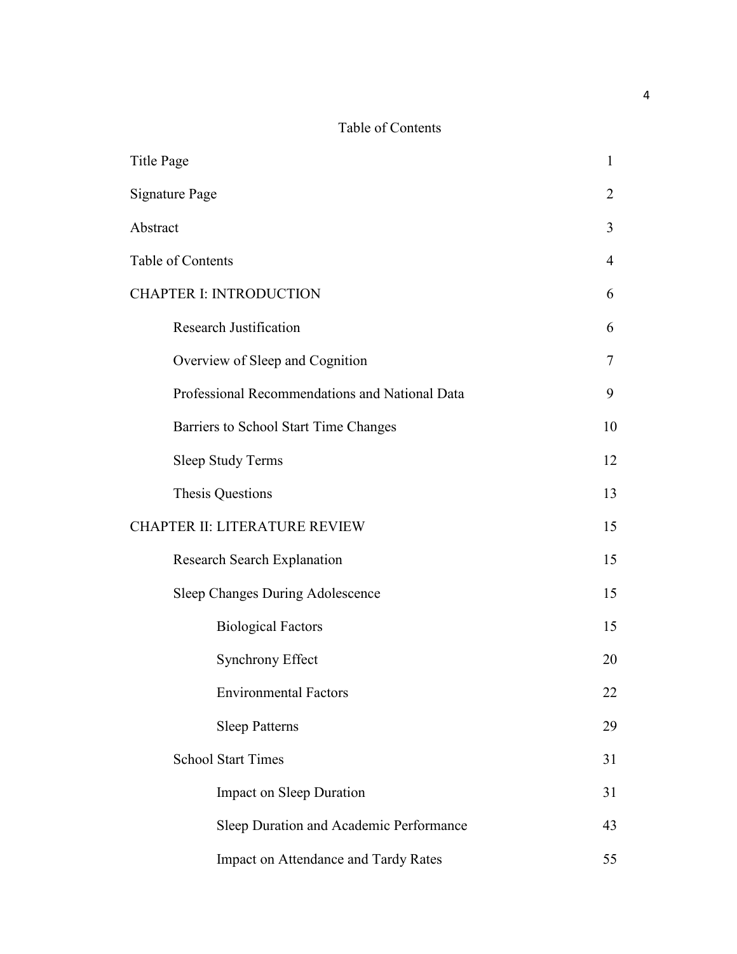# Table of Contents

| Title Page        |                                                                 | 1  |
|-------------------|-----------------------------------------------------------------|----|
|                   | <b>Signature Page</b>                                           | 2  |
| Abstract          |                                                                 | 3  |
| Table of Contents |                                                                 | 4  |
|                   | <b>CHAPTER I: INTRODUCTION</b><br><b>Research Justification</b> |    |
|                   |                                                                 | 6  |
|                   | Overview of Sleep and Cognition                                 | 7  |
|                   | Professional Recommendations and National Data                  | 9  |
|                   | Barriers to School Start Time Changes                           | 10 |
|                   | <b>Sleep Study Terms</b>                                        | 12 |
|                   | Thesis Questions                                                | 13 |
|                   | CHAPTER II: LITERATURE REVIEW                                   | 15 |
|                   | <b>Research Search Explanation</b>                              | 15 |
|                   | Sleep Changes During Adolescence                                | 15 |
|                   | <b>Biological Factors</b>                                       | 15 |
|                   | <b>Synchrony Effect</b>                                         | 20 |
|                   | <b>Environmental Factors</b>                                    | 22 |
|                   | <b>Sleep Patterns</b>                                           | 29 |
|                   | <b>School Start Times</b>                                       | 31 |
|                   | <b>Impact on Sleep Duration</b>                                 | 31 |
|                   | Sleep Duration and Academic Performance                         | 43 |
|                   | Impact on Attendance and Tardy Rates                            | 55 |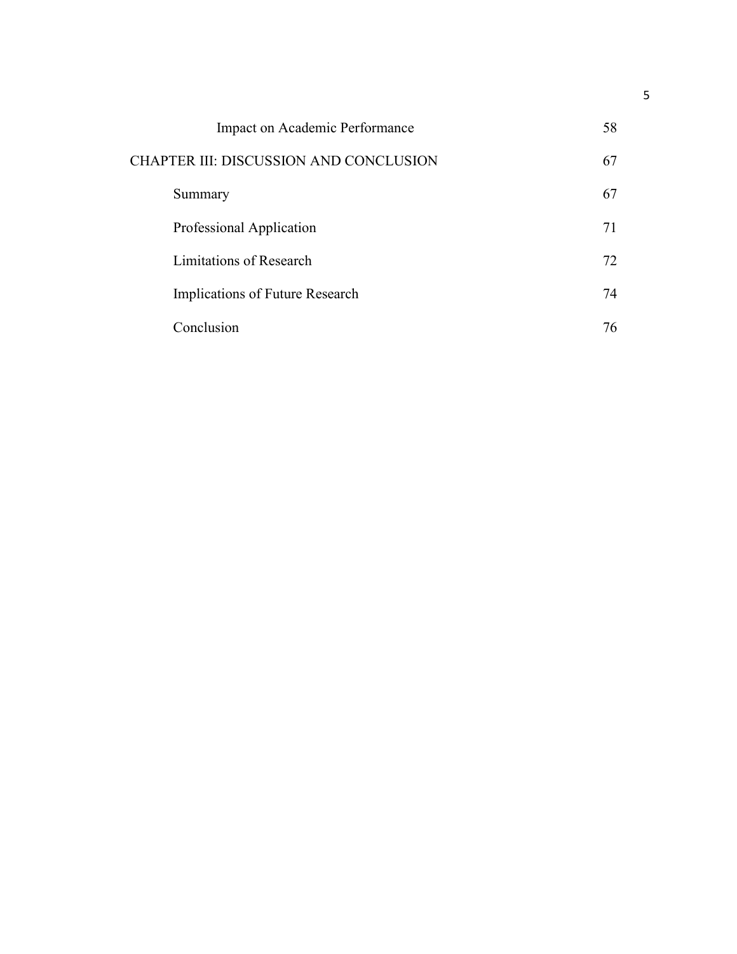| Impact on Academic Performance         | 58 |
|----------------------------------------|----|
| CHAPTER III: DISCUSSION AND CONCLUSION |    |
| Summary                                | 67 |
| Professional Application               | 71 |
| Limitations of Research                | 72 |
| Implications of Future Research        | 74 |
| Conclusion                             | 76 |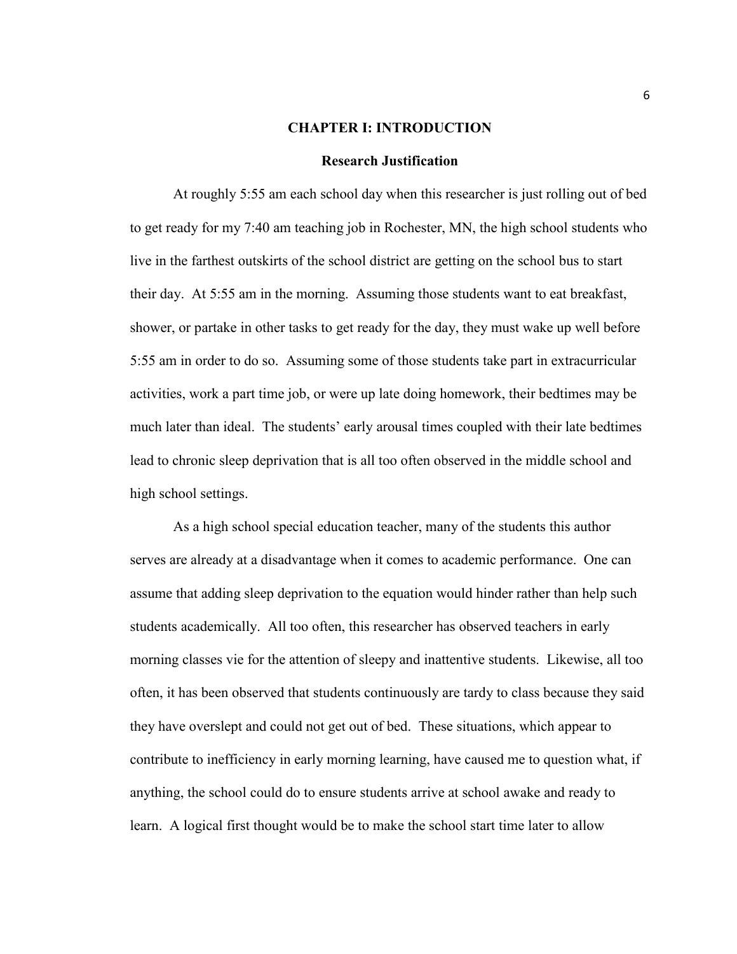#### **CHAPTER I: INTRODUCTION**

#### **Research Justification**

 At roughly 5:55 am each school day when this researcher is just rolling out of bed to get ready for my 7:40 am teaching job in Rochester, MN, the high school students who live in the farthest outskirts of the school district are getting on the school bus to start their day. At 5:55 am in the morning. Assuming those students want to eat breakfast, shower, or partake in other tasks to get ready for the day, they must wake up well before 5:55 am in order to do so. Assuming some of those students take part in extracurricular activities, work a part time job, or were up late doing homework, their bedtimes may be much later than ideal. The students' early arousal times coupled with their late bedtimes lead to chronic sleep deprivation that is all too often observed in the middle school and high school settings.

As a high school special education teacher, many of the students this author serves are already at a disadvantage when it comes to academic performance. One can assume that adding sleep deprivation to the equation would hinder rather than help such students academically. All too often, this researcher has observed teachers in early morning classes vie for the attention of sleepy and inattentive students. Likewise, all too often, it has been observed that students continuously are tardy to class because they said they have overslept and could not get out of bed. These situations, which appear to contribute to inefficiency in early morning learning, have caused me to question what, if anything, the school could do to ensure students arrive at school awake and ready to learn. A logical first thought would be to make the school start time later to allow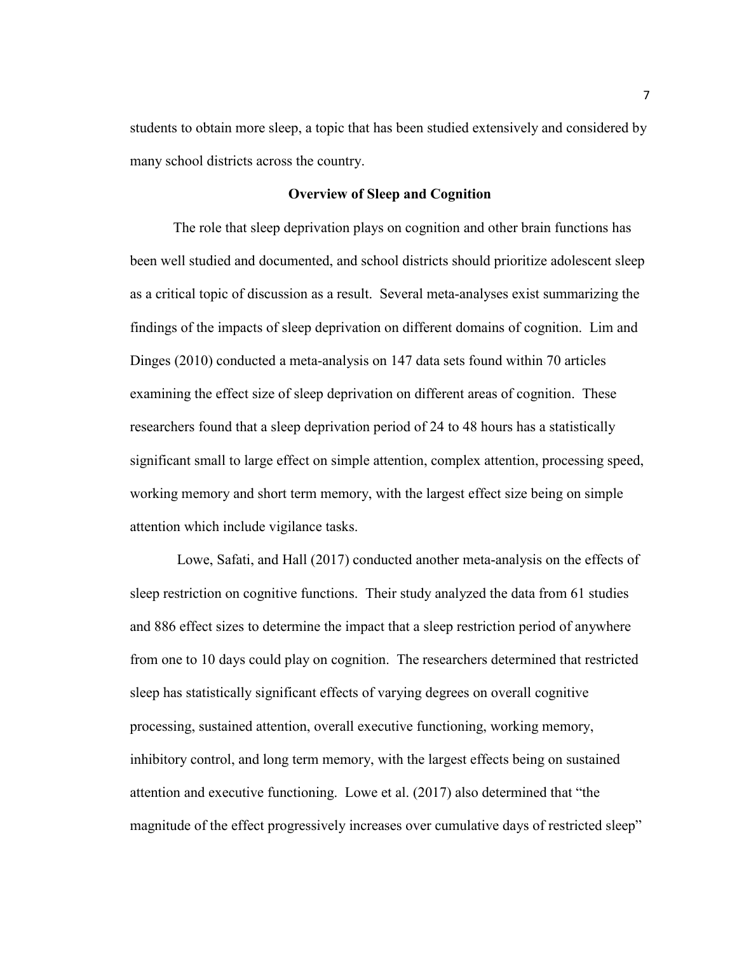students to obtain more sleep, a topic that has been studied extensively and considered by many school districts across the country.

### **Overview of Sleep and Cognition**

The role that sleep deprivation plays on cognition and other brain functions has been well studied and documented, and school districts should prioritize adolescent sleep as a critical topic of discussion as a result. Several meta-analyses exist summarizing the findings of the impacts of sleep deprivation on different domains of cognition. Lim and Dinges (2010) conducted a meta-analysis on 147 data sets found within 70 articles examining the effect size of sleep deprivation on different areas of cognition. These researchers found that a sleep deprivation period of 24 to 48 hours has a statistically significant small to large effect on simple attention, complex attention, processing speed, working memory and short term memory, with the largest effect size being on simple attention which include vigilance tasks.

 Lowe, Safati, and Hall (2017) conducted another meta-analysis on the effects of sleep restriction on cognitive functions. Their study analyzed the data from 61 studies and 886 effect sizes to determine the impact that a sleep restriction period of anywhere from one to 10 days could play on cognition. The researchers determined that restricted sleep has statistically significant effects of varying degrees on overall cognitive processing, sustained attention, overall executive functioning, working memory, inhibitory control, and long term memory, with the largest effects being on sustained attention and executive functioning. Lowe et al. (2017) also determined that "the magnitude of the effect progressively increases over cumulative days of restricted sleep"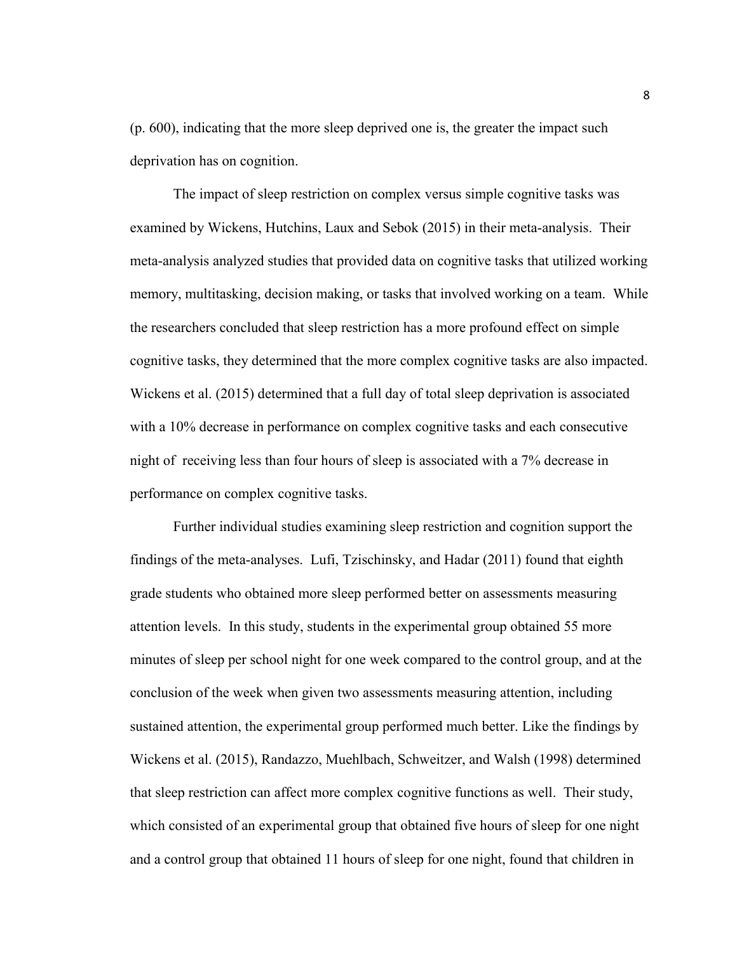(p. 600), indicating that the more sleep deprived one is, the greater the impact such deprivation has on cognition.

The impact of sleep restriction on complex versus simple cognitive tasks was examined by Wickens, Hutchins, Laux and Sebok (2015) in their meta-analysis. Their meta-analysis analyzed studies that provided data on cognitive tasks that utilized working memory, multitasking, decision making, or tasks that involved working on a team. While the researchers concluded that sleep restriction has a more profound effect on simple cognitive tasks, they determined that the more complex cognitive tasks are also impacted. Wickens et al. (2015) determined that a full day of total sleep deprivation is associated with a 10% decrease in performance on complex cognitive tasks and each consecutive night of receiving less than four hours of sleep is associated with a 7% decrease in performance on complex cognitive tasks.

Further individual studies examining sleep restriction and cognition support the findings of the meta-analyses. Lufi, Tzischinsky, and Hadar (2011) found that eighth grade students who obtained more sleep performed better on assessments measuring attention levels. In this study, students in the experimental group obtained 55 more minutes of sleep per school night for one week compared to the control group, and at the conclusion of the week when given two assessments measuring attention, including sustained attention, the experimental group performed much better. Like the findings by Wickens et al. (2015), Randazzo, Muehlbach, Schweitzer, and Walsh (1998) determined that sleep restriction can affect more complex cognitive functions as well. Their study, which consisted of an experimental group that obtained five hours of sleep for one night and a control group that obtained 11 hours of sleep for one night, found that children in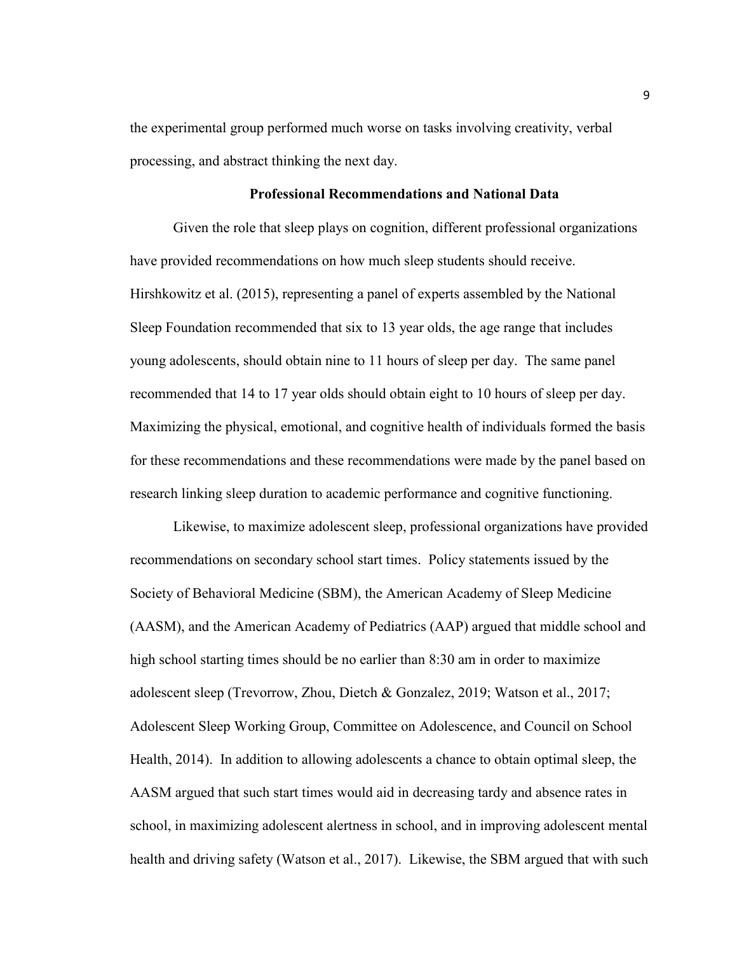the experimental group performed much worse on tasks involving creativity, verbal processing, and abstract thinking the next day.

# **Professional Recommendations and National Data**

Given the role that sleep plays on cognition, different professional organizations have provided recommendations on how much sleep students should receive. Hirshkowitz et al. (2015), representing a panel of experts assembled by the National Sleep Foundation recommended that six to 13 year olds, the age range that includes young adolescents, should obtain nine to 11 hours of sleep per day. The same panel recommended that 14 to 17 year olds should obtain eight to 10 hours of sleep per day. Maximizing the physical, emotional, and cognitive health of individuals formed the basis for these recommendations and these recommendations were made by the panel based on research linking sleep duration to academic performance and cognitive functioning.

Likewise, to maximize adolescent sleep, professional organizations have provided recommendations on secondary school start times. Policy statements issued by the Society of Behavioral Medicine (SBM), the American Academy of Sleep Medicine (AASM), and the American Academy of Pediatrics (AAP) argued that middle school and high school starting times should be no earlier than 8:30 am in order to maximize adolescent sleep (Trevorrow, Zhou, Dietch & Gonzalez, 2019; Watson et al., 2017; Adolescent Sleep Working Group, Committee on Adolescence, and Council on School Health, 2014). In addition to allowing adolescents a chance to obtain optimal sleep, the AASM argued that such start times would aid in decreasing tardy and absence rates in school, in maximizing adolescent alertness in school, and in improving adolescent mental health and driving safety (Watson et al., 2017). Likewise, the SBM argued that with such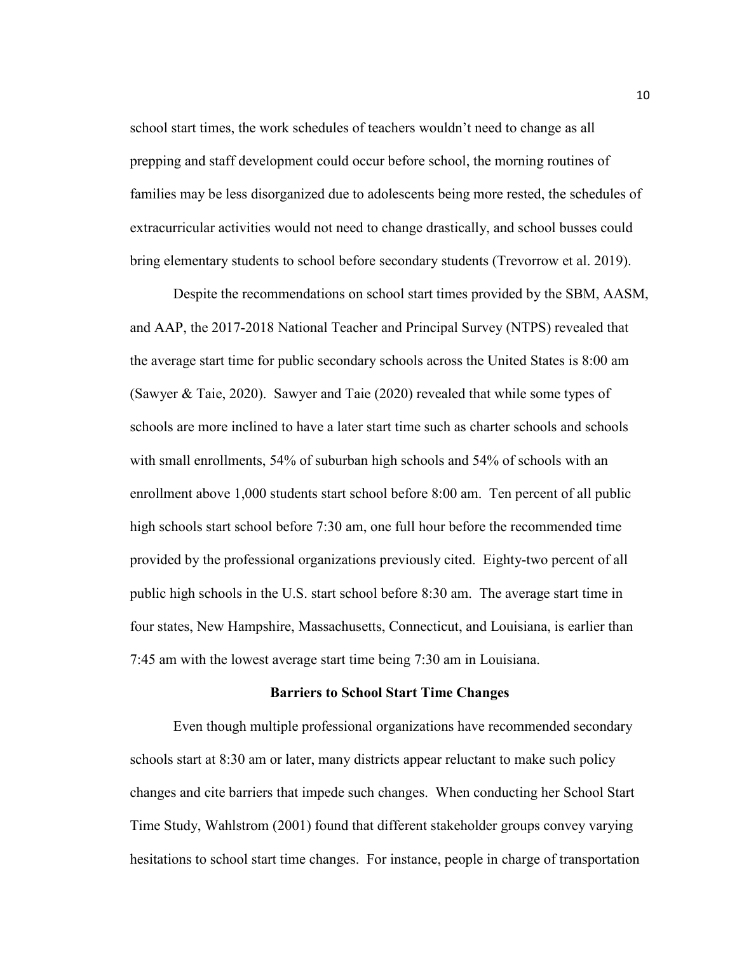school start times, the work schedules of teachers wouldn't need to change as all prepping and staff development could occur before school, the morning routines of families may be less disorganized due to adolescents being more rested, the schedules of extracurricular activities would not need to change drastically, and school busses could bring elementary students to school before secondary students (Trevorrow et al. 2019).

 Despite the recommendations on school start times provided by the SBM, AASM, and AAP, the 2017-2018 National Teacher and Principal Survey (NTPS) revealed that the average start time for public secondary schools across the United States is 8:00 am (Sawyer & Taie, 2020). Sawyer and Taie (2020) revealed that while some types of schools are more inclined to have a later start time such as charter schools and schools with small enrollments, 54% of suburban high schools and 54% of schools with an enrollment above 1,000 students start school before 8:00 am. Ten percent of all public high schools start school before 7:30 am, one full hour before the recommended time provided by the professional organizations previously cited. Eighty-two percent of all public high schools in the U.S. start school before 8:30 am. The average start time in four states, New Hampshire, Massachusetts, Connecticut, and Louisiana, is earlier than 7:45 am with the lowest average start time being 7:30 am in Louisiana.

#### **Barriers to School Start Time Changes**

 Even though multiple professional organizations have recommended secondary schools start at 8:30 am or later, many districts appear reluctant to make such policy changes and cite barriers that impede such changes. When conducting her School Start Time Study, Wahlstrom (2001) found that different stakeholder groups convey varying hesitations to school start time changes. For instance, people in charge of transportation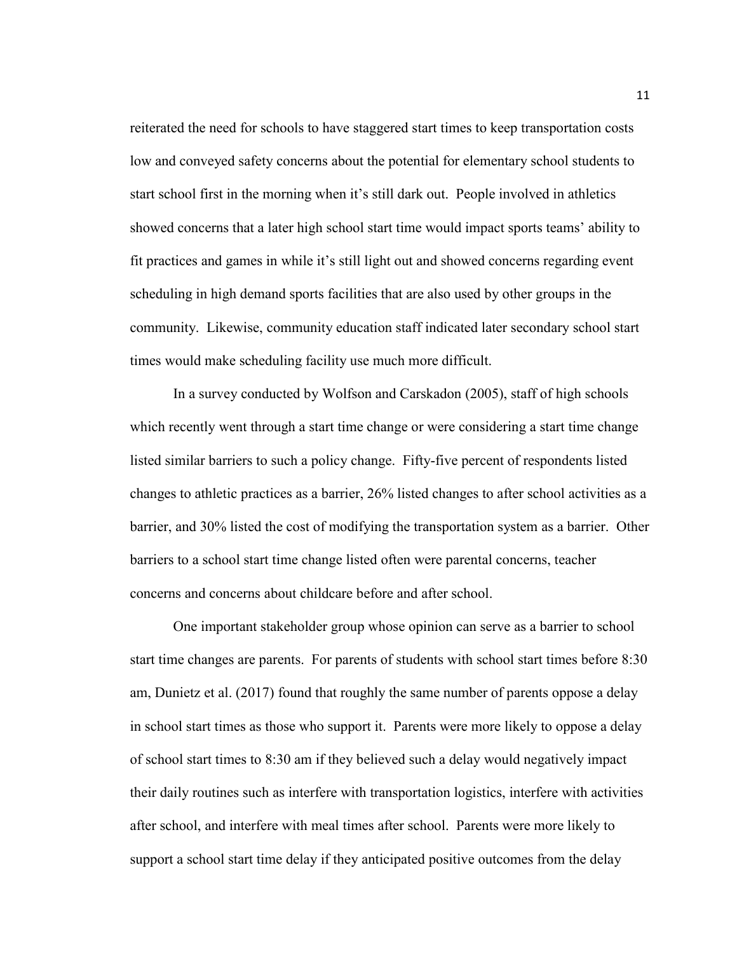reiterated the need for schools to have staggered start times to keep transportation costs low and conveyed safety concerns about the potential for elementary school students to start school first in the morning when it's still dark out. People involved in athletics showed concerns that a later high school start time would impact sports teams' ability to fit practices and games in while it's still light out and showed concerns regarding event scheduling in high demand sports facilities that are also used by other groups in the community. Likewise, community education staff indicated later secondary school start times would make scheduling facility use much more difficult.

In a survey conducted by Wolfson and Carskadon (2005), staff of high schools which recently went through a start time change or were considering a start time change listed similar barriers to such a policy change. Fifty-five percent of respondents listed changes to athletic practices as a barrier, 26% listed changes to after school activities as a barrier, and 30% listed the cost of modifying the transportation system as a barrier. Other barriers to a school start time change listed often were parental concerns, teacher concerns and concerns about childcare before and after school.

One important stakeholder group whose opinion can serve as a barrier to school start time changes are parents. For parents of students with school start times before 8:30 am, Dunietz et al. (2017) found that roughly the same number of parents oppose a delay in school start times as those who support it. Parents were more likely to oppose a delay of school start times to 8:30 am if they believed such a delay would negatively impact their daily routines such as interfere with transportation logistics, interfere with activities after school, and interfere with meal times after school. Parents were more likely to support a school start time delay if they anticipated positive outcomes from the delay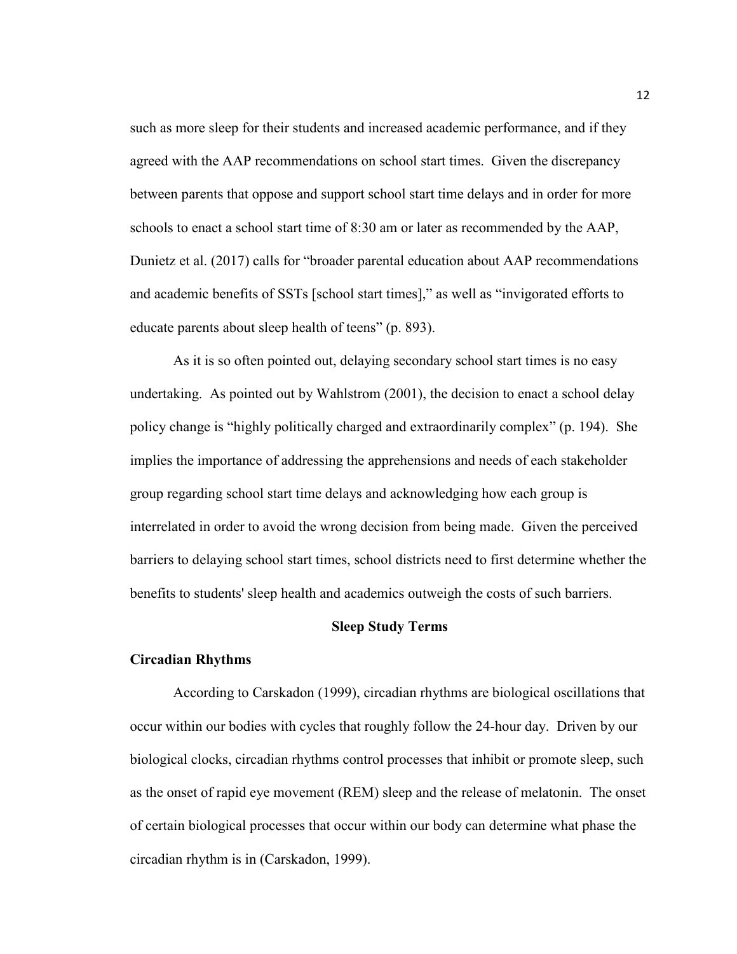such as more sleep for their students and increased academic performance, and if they agreed with the AAP recommendations on school start times. Given the discrepancy between parents that oppose and support school start time delays and in order for more schools to enact a school start time of 8:30 am or later as recommended by the AAP, Dunietz et al. (2017) calls for "broader parental education about AAP recommendations and academic benefits of SSTs [school start times]," as well as "invigorated efforts to educate parents about sleep health of teens" (p. 893).

As it is so often pointed out, delaying secondary school start times is no easy undertaking. As pointed out by Wahlstrom (2001), the decision to enact a school delay policy change is "highly politically charged and extraordinarily complex" (p. 194). She implies the importance of addressing the apprehensions and needs of each stakeholder group regarding school start time delays and acknowledging how each group is interrelated in order to avoid the wrong decision from being made. Given the perceived barriers to delaying school start times, school districts need to first determine whether the benefits to students' sleep health and academics outweigh the costs of such barriers.

#### **Sleep Study Terms**

## **Circadian Rhythms**

According to Carskadon (1999), circadian rhythms are biological oscillations that occur within our bodies with cycles that roughly follow the 24-hour day. Driven by our biological clocks, circadian rhythms control processes that inhibit or promote sleep, such as the onset of rapid eye movement (REM) sleep and the release of melatonin. The onset of certain biological processes that occur within our body can determine what phase the circadian rhythm is in (Carskadon, 1999).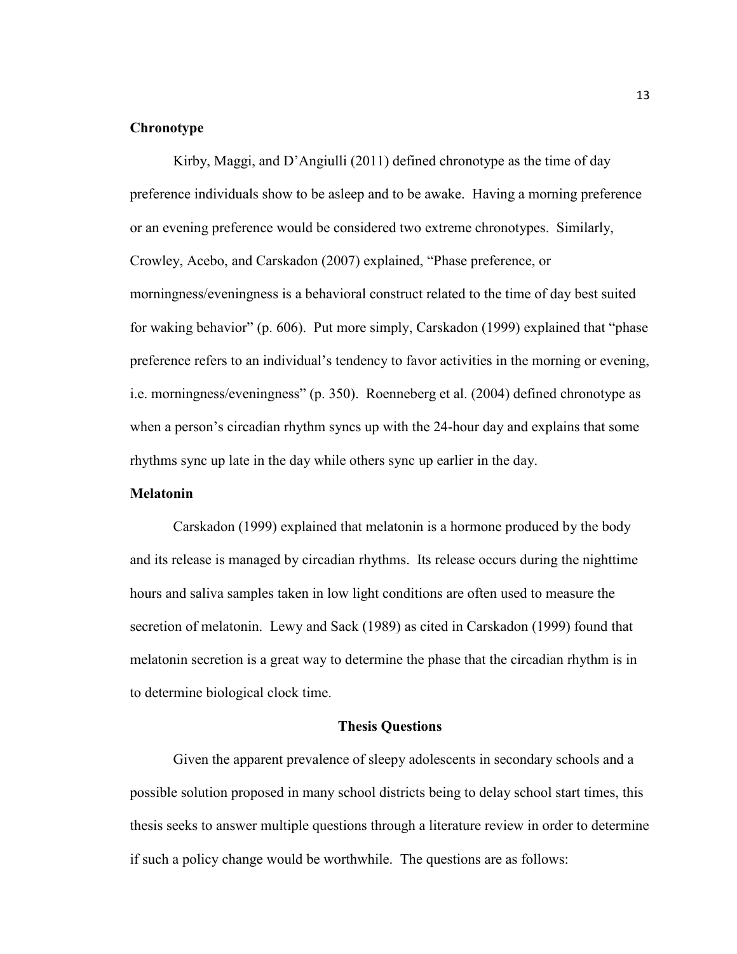# **Chronotype**

Kirby, Maggi, and D'Angiulli (2011) defined chronotype as the time of day preference individuals show to be asleep and to be awake. Having a morning preference or an evening preference would be considered two extreme chronotypes. Similarly, Crowley, Acebo, and Carskadon (2007) explained, "Phase preference, or morningness/eveningness is a behavioral construct related to the time of day best suited for waking behavior" (p. 606). Put more simply, Carskadon (1999) explained that "phase preference refers to an individual's tendency to favor activities in the morning or evening, i.e. morningness/eveningness" (p. 350). Roenneberg et al. (2004) defined chronotype as when a person's circadian rhythm syncs up with the 24-hour day and explains that some rhythms sync up late in the day while others sync up earlier in the day.

### **Melatonin**

Carskadon (1999) explained that melatonin is a hormone produced by the body and its release is managed by circadian rhythms. Its release occurs during the nighttime hours and saliva samples taken in low light conditions are often used to measure the secretion of melatonin. Lewy and Sack (1989) as cited in Carskadon (1999) found that melatonin secretion is a great way to determine the phase that the circadian rhythm is in to determine biological clock time.

# **Thesis Questions**

Given the apparent prevalence of sleepy adolescents in secondary schools and a possible solution proposed in many school districts being to delay school start times, this thesis seeks to answer multiple questions through a literature review in order to determine if such a policy change would be worthwhile. The questions are as follows: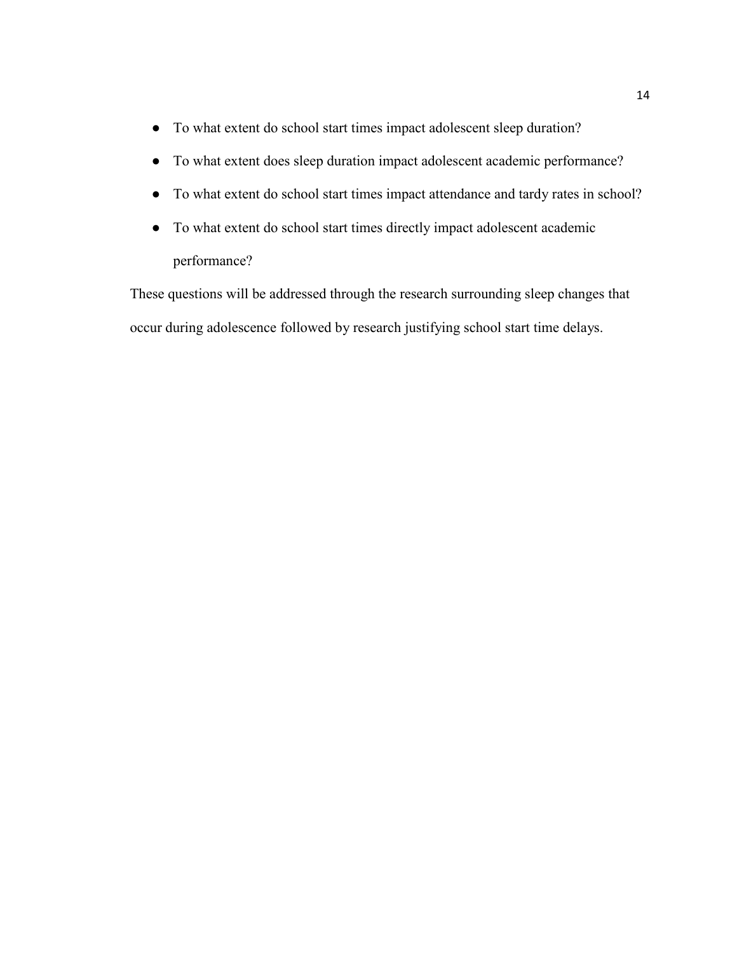- To what extent do school start times impact adolescent sleep duration?
- To what extent does sleep duration impact adolescent academic performance?
- To what extent do school start times impact attendance and tardy rates in school?
- To what extent do school start times directly impact adolescent academic performance?

These questions will be addressed through the research surrounding sleep changes that occur during adolescence followed by research justifying school start time delays.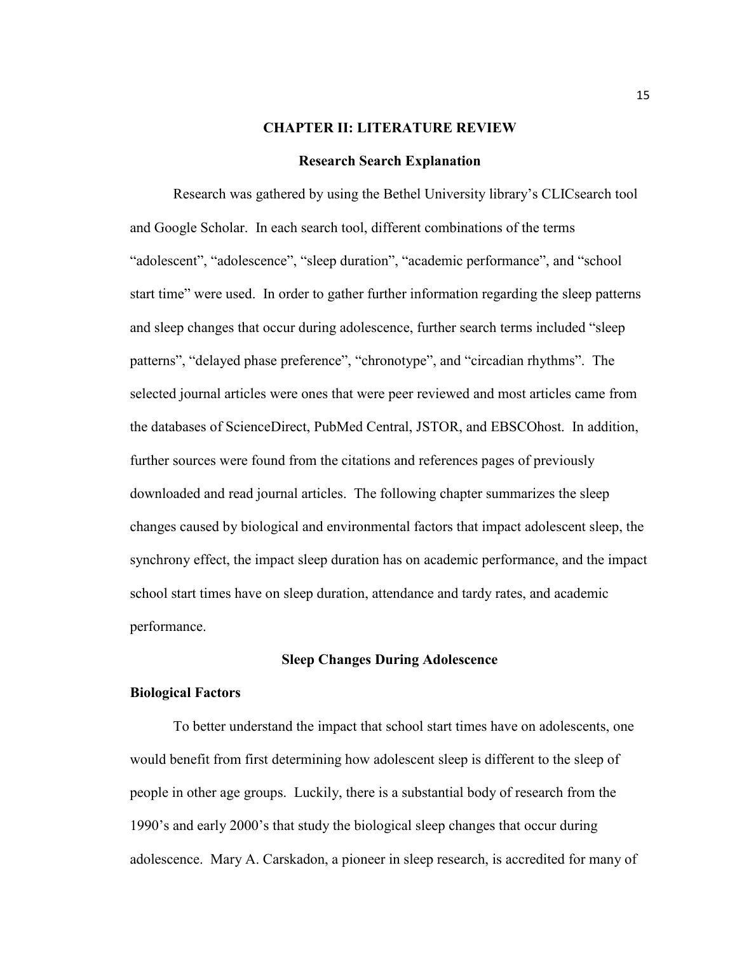#### **CHAPTER II: LITERATURE REVIEW**

#### **Research Search Explanation**

Research was gathered by using the Bethel University library's CLICsearch tool and Google Scholar. In each search tool, different combinations of the terms "adolescent", "adolescence", "sleep duration", "academic performance", and "school start time" were used. In order to gather further information regarding the sleep patterns and sleep changes that occur during adolescence, further search terms included "sleep patterns", "delayed phase preference", "chronotype", and "circadian rhythms". The selected journal articles were ones that were peer reviewed and most articles came from the databases of ScienceDirect, PubMed Central, JSTOR, and [EBSCOhost.](https://clic-bethel.userservices.exlibrisgroup.com/view/action/uresolver.do?operation=resolveService&package_service_id=3487229580003686&institutionId=3686&customerId=3685) In addition, further sources were found from the citations and references pages of previously downloaded and read journal articles. The following chapter summarizes the sleep changes caused by biological and environmental factors that impact adolescent sleep, the synchrony effect, the impact sleep duration has on academic performance, and the impact school start times have on sleep duration, attendance and tardy rates, and academic performance.

### **Sleep Changes During Adolescence**

# **Biological Factors**

To better understand the impact that school start times have on adolescents, one would benefit from first determining how adolescent sleep is different to the sleep of people in other age groups. Luckily, there is a substantial body of research from the 1990's and early 2000's that study the biological sleep changes that occur during adolescence. Mary A. Carskadon, a pioneer in sleep research, is accredited for many of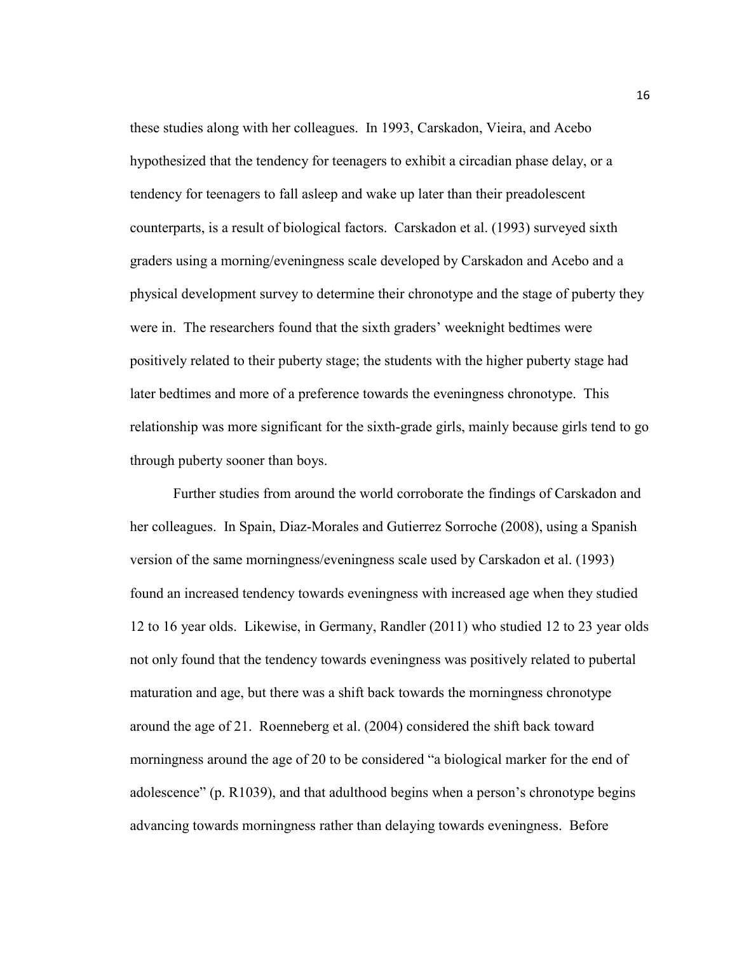these studies along with her colleagues. In 1993, Carskadon, Vieira, and Acebo hypothesized that the tendency for teenagers to exhibit a circadian phase delay, or a tendency for teenagers to fall asleep and wake up later than their preadolescent counterparts, is a result of biological factors. Carskadon et al. (1993) surveyed sixth graders using a morning/eveningness scale developed by Carskadon and Acebo and a physical development survey to determine their chronotype and the stage of puberty they were in. The researchers found that the sixth graders' weeknight bedtimes were positively related to their puberty stage; the students with the higher puberty stage had later bedtimes and more of a preference towards the eveningness chronotype. This relationship was more significant for the sixth-grade girls, mainly because girls tend to go through puberty sooner than boys.

Further studies from around the world corroborate the findings of Carskadon and her colleagues. In Spain, Diaz-Morales and Gutierrez Sorroche (2008), using a Spanish version of the same morningness/eveningness scale used by Carskadon et al. (1993) found an increased tendency towards eveningness with increased age when they studied 12 to 16 year olds. Likewise, in Germany, Randler (2011) who studied 12 to 23 year olds not only found that the tendency towards eveningness was positively related to pubertal maturation and age, but there was a shift back towards the morningness chronotype around the age of 21. Roenneberg et al. (2004) considered the shift back toward morningness around the age of 20 to be considered "a biological marker for the end of adolescence" (p. R1039), and that adulthood begins when a person's chronotype begins advancing towards morningness rather than delaying towards eveningness. Before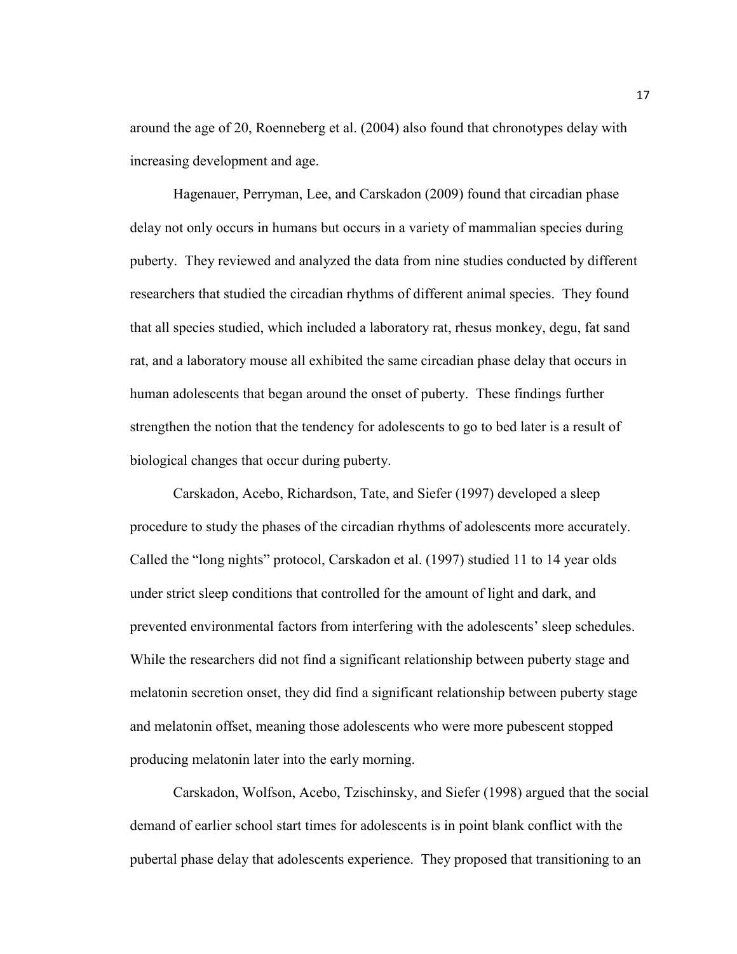around the age of 20, Roenneberg et al. (2004) also found that chronotypes delay with increasing development and age.

Hagenauer, Perryman, Lee, and Carskadon (2009) found that circadian phase delay not only occurs in humans but occurs in a variety of mammalian species during puberty. They reviewed and analyzed the data from nine studies conducted by different researchers that studied the circadian rhythms of different animal species. They found that all species studied, which included a laboratory rat, rhesus monkey, degu, fat sand rat, and a laboratory mouse all exhibited the same circadian phase delay that occurs in human adolescents that began around the onset of puberty. These findings further strengthen the notion that the tendency for adolescents to go to bed later is a result of biological changes that occur during puberty.

Carskadon, Acebo, Richardson, Tate, and Siefer (1997) developed a sleep procedure to study the phases of the circadian rhythms of adolescents more accurately. Called the "long nights" protocol, Carskadon et al. (1997) studied 11 to 14 year olds under strict sleep conditions that controlled for the amount of light and dark, and prevented environmental factors from interfering with the adolescents' sleep schedules. While the researchers did not find a significant relationship between puberty stage and melatonin secretion onset, they did find a significant relationship between puberty stage and melatonin offset, meaning those adolescents who were more pubescent stopped producing melatonin later into the early morning.

Carskadon, Wolfson, Acebo, Tzischinsky, and Siefer (1998) argued that the social demand of earlier school start times for adolescents is in point blank conflict with the pubertal phase delay that adolescents experience. They proposed that transitioning to an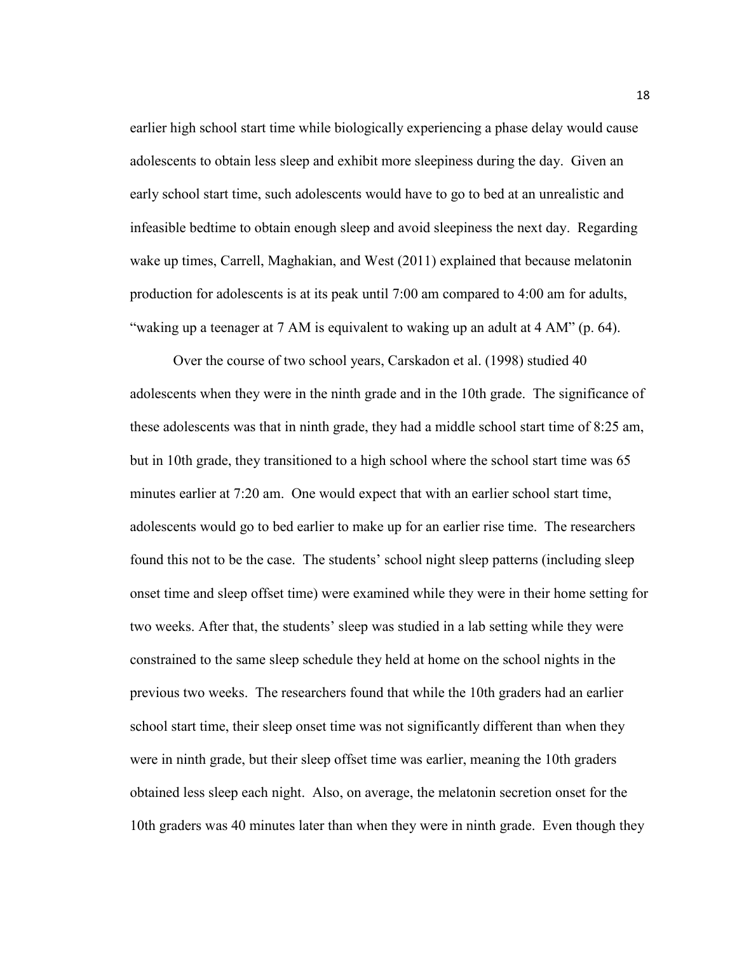earlier high school start time while biologically experiencing a phase delay would cause adolescents to obtain less sleep and exhibit more sleepiness during the day. Given an early school start time, such adolescents would have to go to bed at an unrealistic and infeasible bedtime to obtain enough sleep and avoid sleepiness the next day. Regarding wake up times, Carrell, Maghakian, and West (2011) explained that because melatonin production for adolescents is at its peak until 7:00 am compared to 4:00 am for adults, "waking up a teenager at 7 AM is equivalent to waking up an adult at 4 AM" (p. 64).

Over the course of two school years, Carskadon et al. (1998) studied 40 adolescents when they were in the ninth grade and in the 10th grade. The significance of these adolescents was that in ninth grade, they had a middle school start time of 8:25 am, but in 10th grade, they transitioned to a high school where the school start time was 65 minutes earlier at 7:20 am. One would expect that with an earlier school start time, adolescents would go to bed earlier to make up for an earlier rise time. The researchers found this not to be the case. The students' school night sleep patterns (including sleep onset time and sleep offset time) were examined while they were in their home setting for two weeks. After that, the students' sleep was studied in a lab setting while they were constrained to the same sleep schedule they held at home on the school nights in the previous two weeks. The researchers found that while the 10th graders had an earlier school start time, their sleep onset time was not significantly different than when they were in ninth grade, but their sleep offset time was earlier, meaning the 10th graders obtained less sleep each night. Also, on average, the melatonin secretion onset for the 10th graders was 40 minutes later than when they were in ninth grade. Even though they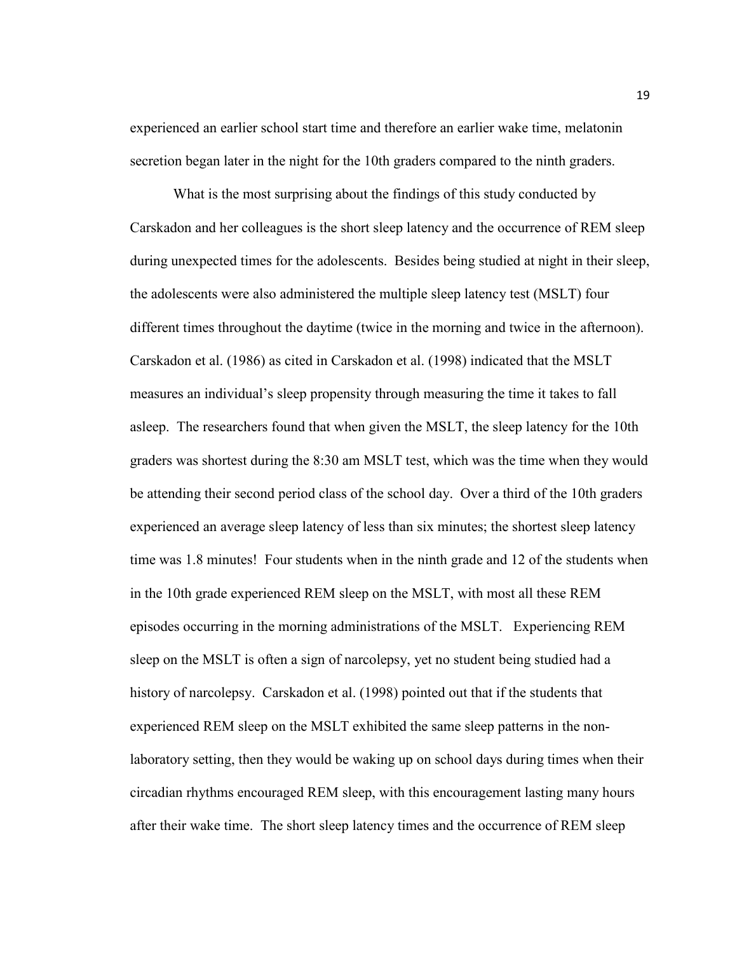experienced an earlier school start time and therefore an earlier wake time, melatonin secretion began later in the night for the 10th graders compared to the ninth graders.

What is the most surprising about the findings of this study conducted by Carskadon and her colleagues is the short sleep latency and the occurrence of REM sleep during unexpected times for the adolescents. Besides being studied at night in their sleep, the adolescents were also administered the multiple sleep latency test (MSLT) four different times throughout the daytime (twice in the morning and twice in the afternoon). Carskadon et al. (1986) as cited in Carskadon et al. (1998) indicated that the MSLT measures an individual's sleep propensity through measuring the time it takes to fall asleep. The researchers found that when given the MSLT, the sleep latency for the 10th graders was shortest during the 8:30 am MSLT test, which was the time when they would be attending their second period class of the school day. Over a third of the 10th graders experienced an average sleep latency of less than six minutes; the shortest sleep latency time was 1.8 minutes! Four students when in the ninth grade and 12 of the students when in the 10th grade experienced REM sleep on the MSLT, with most all these REM episodes occurring in the morning administrations of the MSLT. Experiencing REM sleep on the MSLT is often a sign of narcolepsy, yet no student being studied had a history of narcolepsy. Carskadon et al. (1998) pointed out that if the students that experienced REM sleep on the MSLT exhibited the same sleep patterns in the nonlaboratory setting, then they would be waking up on school days during times when their circadian rhythms encouraged REM sleep, with this encouragement lasting many hours after their wake time. The short sleep latency times and the occurrence of REM sleep

19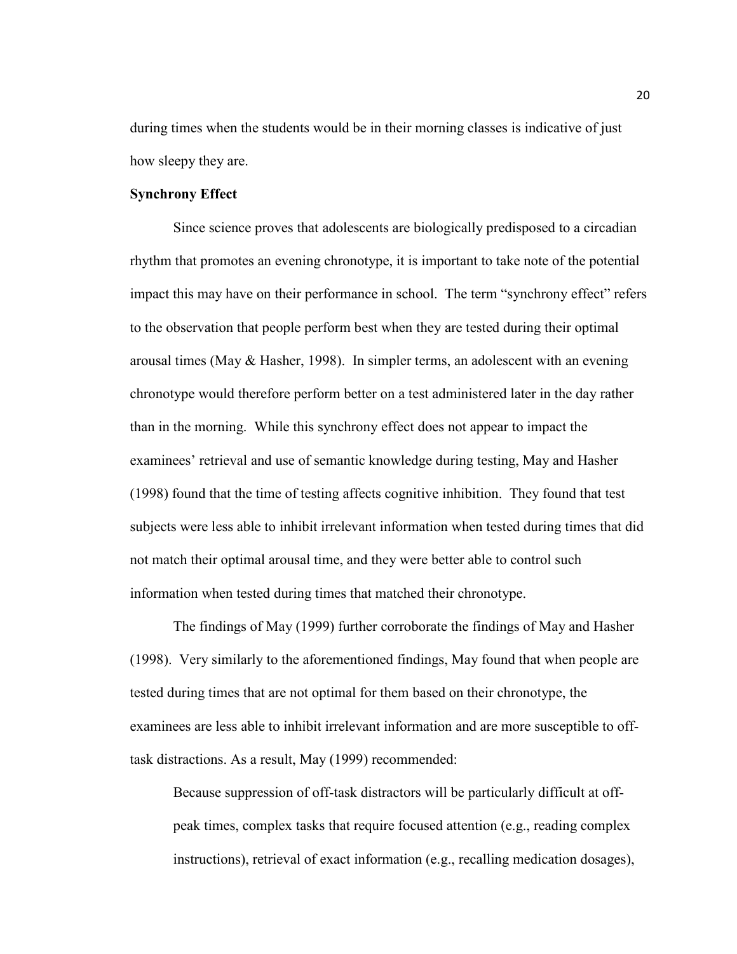during times when the students would be in their morning classes is indicative of just how sleepy they are.

## **Synchrony Effect**

Since science proves that adolescents are biologically predisposed to a circadian rhythm that promotes an evening chronotype, it is important to take note of the potential impact this may have on their performance in school. The term "synchrony effect" refers to the observation that people perform best when they are tested during their optimal arousal times (May & Hasher, 1998). In simpler terms, an adolescent with an evening chronotype would therefore perform better on a test administered later in the day rather than in the morning. While this synchrony effect does not appear to impact the examinees' retrieval and use of semantic knowledge during testing, May and Hasher (1998) found that the time of testing affects cognitive inhibition. They found that test subjects were less able to inhibit irrelevant information when tested during times that did not match their optimal arousal time, and they were better able to control such information when tested during times that matched their chronotype.

The findings of May (1999) further corroborate the findings of May and Hasher (1998). Very similarly to the aforementioned findings, May found that when people are tested during times that are not optimal for them based on their chronotype, the examinees are less able to inhibit irrelevant information and are more susceptible to offtask distractions. As a result, May (1999) recommended:

Because suppression of off-task distractors will be particularly difficult at offpeak times, complex tasks that require focused attention (e.g., reading complex instructions), retrieval of exact information (e.g., recalling medication dosages),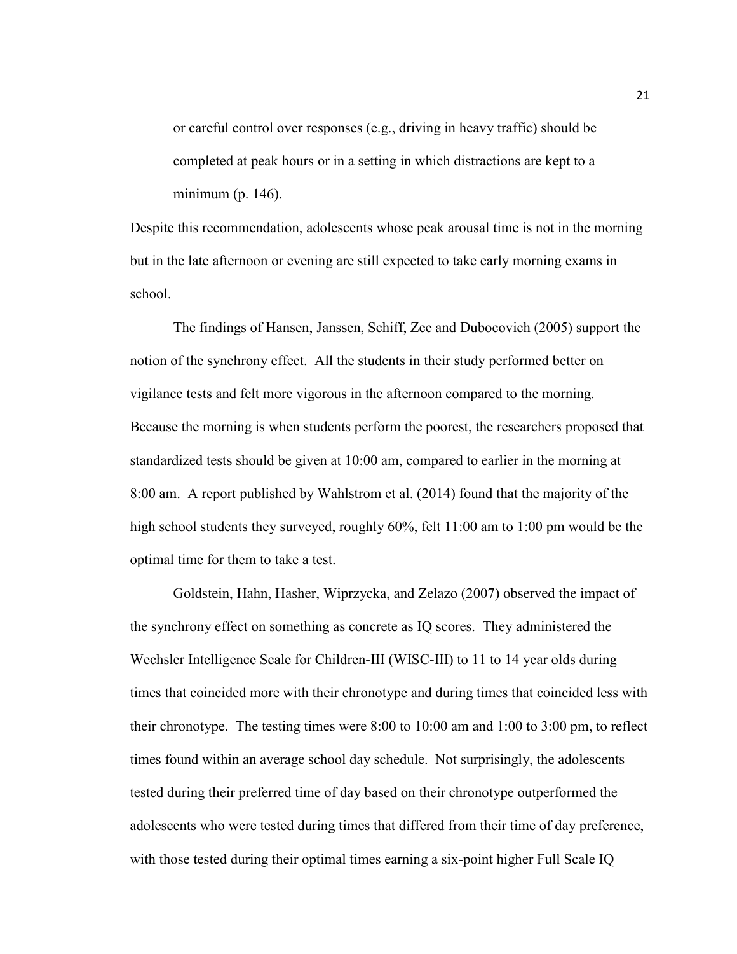or careful control over responses (e.g., driving in heavy traffic) should be completed at peak hours or in a setting in which distractions are kept to a minimum (p. 146).

Despite this recommendation, adolescents whose peak arousal time is not in the morning but in the late afternoon or evening are still expected to take early morning exams in school.

 The findings of Hansen, Janssen, Schiff, Zee and Dubocovich (2005) support the notion of the synchrony effect. All the students in their study performed better on vigilance tests and felt more vigorous in the afternoon compared to the morning. Because the morning is when students perform the poorest, the researchers proposed that standardized tests should be given at 10:00 am, compared to earlier in the morning at 8:00 am. A report published by Wahlstrom et al. (2014) found that the majority of the high school students they surveyed, roughly 60%, felt 11:00 am to 1:00 pm would be the optimal time for them to take a test.

 Goldstein, Hahn, Hasher, Wiprzycka, and Zelazo (2007) observed the impact of the synchrony effect on something as concrete as IQ scores. They administered the Wechsler Intelligence Scale for Children-III (WISC-III) to 11 to 14 year olds during times that coincided more with their chronotype and during times that coincided less with their chronotype. The testing times were 8:00 to 10:00 am and 1:00 to 3:00 pm, to reflect times found within an average school day schedule. Not surprisingly, the adolescents tested during their preferred time of day based on their chronotype outperformed the adolescents who were tested during times that differed from their time of day preference, with those tested during their optimal times earning a six-point higher Full Scale IQ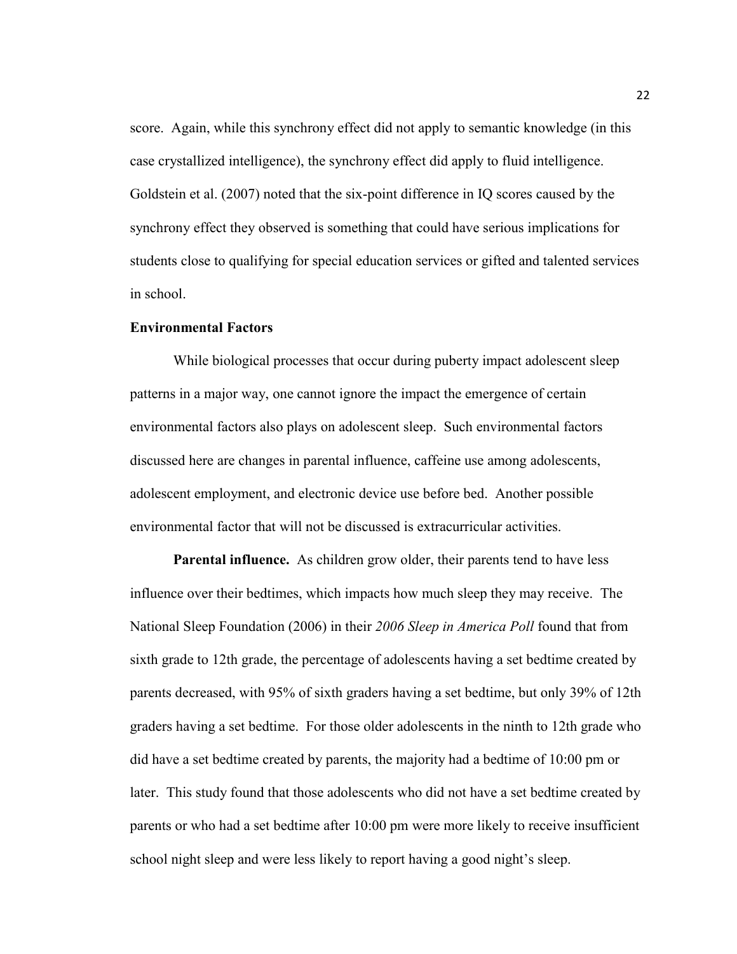score. Again, while this synchrony effect did not apply to semantic knowledge (in this case crystallized intelligence), the synchrony effect did apply to fluid intelligence. Goldstein et al. (2007) noted that the six-point difference in IQ scores caused by the synchrony effect they observed is something that could have serious implications for students close to qualifying for special education services or gifted and talented services in school.

### **Environmental Factors**

While biological processes that occur during puberty impact adolescent sleep patterns in a major way, one cannot ignore the impact the emergence of certain environmental factors also plays on adolescent sleep. Such environmental factors discussed here are changes in parental influence, caffeine use among adolescents, adolescent employment, and electronic device use before bed. Another possible environmental factor that will not be discussed is extracurricular activities.

**Parental influence.** As children grow older, their parents tend to have less influence over their bedtimes, which impacts how much sleep they may receive. The National Sleep Foundation (2006) in their *2006 Sleep in America Poll* found that from sixth grade to 12th grade, the percentage of adolescents having a set bedtime created by parents decreased, with 95% of sixth graders having a set bedtime, but only 39% of 12th graders having a set bedtime. For those older adolescents in the ninth to 12th grade who did have a set bedtime created by parents, the majority had a bedtime of 10:00 pm or later. This study found that those adolescents who did not have a set bedtime created by parents or who had a set bedtime after 10:00 pm were more likely to receive insufficient school night sleep and were less likely to report having a good night's sleep.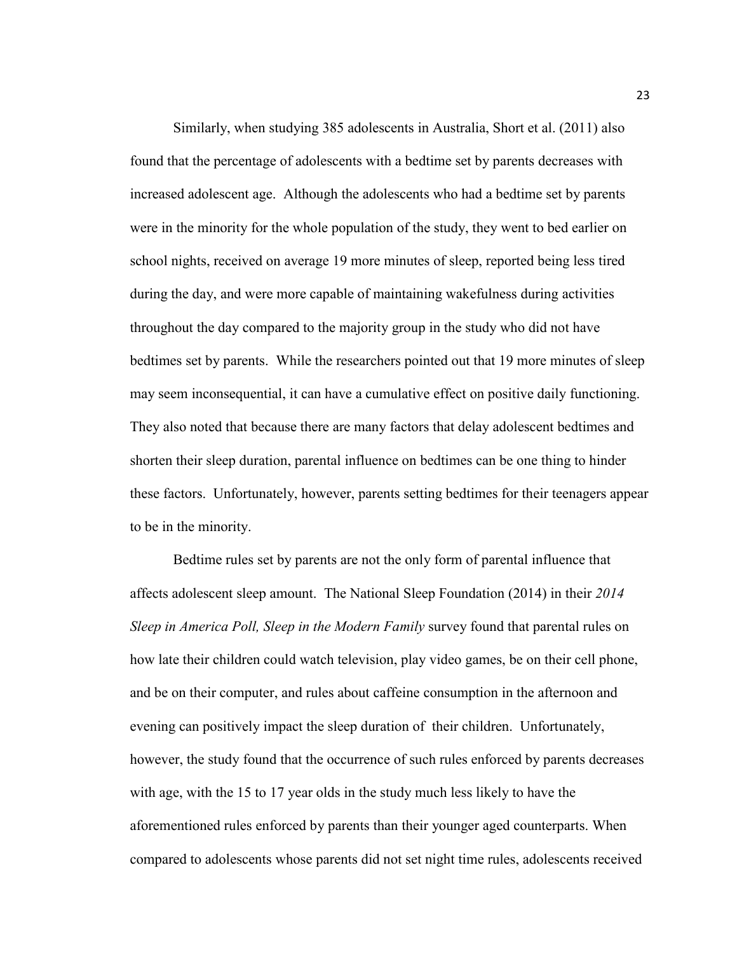Similarly, when studying 385 adolescents in Australia, Short et al. (2011) also found that the percentage of adolescents with a bedtime set by parents decreases with increased adolescent age. Although the adolescents who had a bedtime set by parents were in the minority for the whole population of the study, they went to bed earlier on school nights, received on average 19 more minutes of sleep, reported being less tired during the day, and were more capable of maintaining wakefulness during activities throughout the day compared to the majority group in the study who did not have bedtimes set by parents. While the researchers pointed out that 19 more minutes of sleep may seem inconsequential, it can have a cumulative effect on positive daily functioning. They also noted that because there are many factors that delay adolescent bedtimes and shorten their sleep duration, parental influence on bedtimes can be one thing to hinder these factors. Unfortunately, however, parents setting bedtimes for their teenagers appear to be in the minority.

Bedtime rules set by parents are not the only form of parental influence that affects adolescent sleep amount. The National Sleep Foundation (2014) in their *2014 Sleep in America Poll, Sleep in the Modern Family* survey found that parental rules on how late their children could watch television, play video games, be on their cell phone, and be on their computer, and rules about caffeine consumption in the afternoon and evening can positively impact the sleep duration of their children. Unfortunately, however, the study found that the occurrence of such rules enforced by parents decreases with age, with the 15 to 17 year olds in the study much less likely to have the aforementioned rules enforced by parents than their younger aged counterparts. When compared to adolescents whose parents did not set night time rules, adolescents received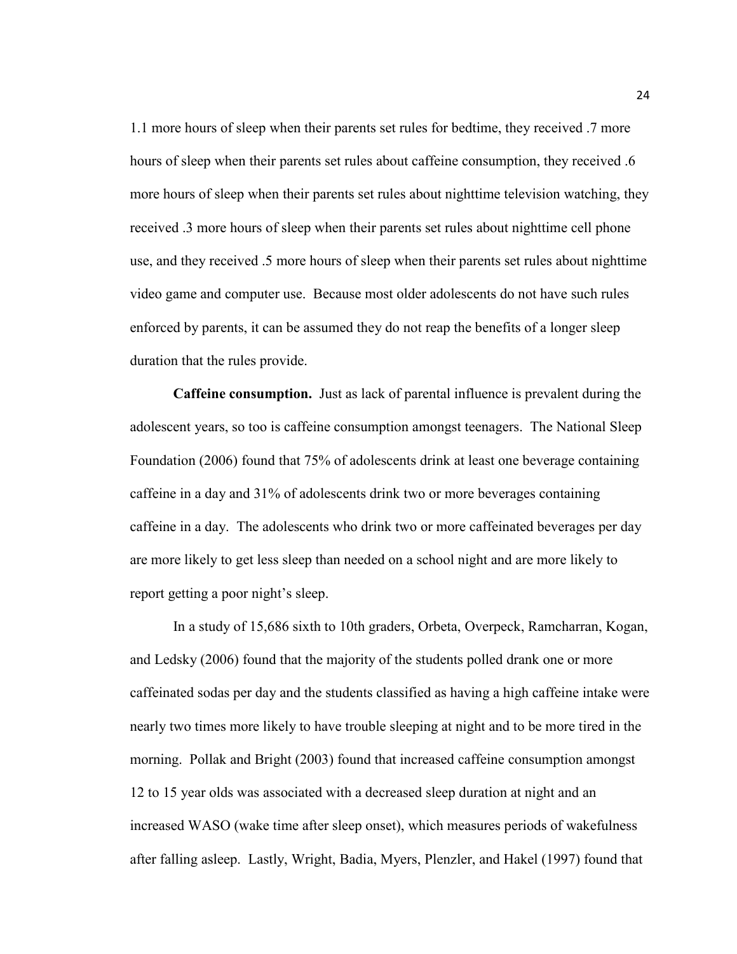1.1 more hours of sleep when their parents set rules for bedtime, they received .7 more hours of sleep when their parents set rules about caffeine consumption, they received .6 more hours of sleep when their parents set rules about nighttime television watching, they received .3 more hours of sleep when their parents set rules about nighttime cell phone use, and they received .5 more hours of sleep when their parents set rules about nighttime video game and computer use. Because most older adolescents do not have such rules enforced by parents, it can be assumed they do not reap the benefits of a longer sleep duration that the rules provide.

**Caffeine consumption.** Just as lack of parental influence is prevalent during the adolescent years, so too is caffeine consumption amongst teenagers. The National Sleep Foundation (2006) found that 75% of adolescents drink at least one beverage containing caffeine in a day and 31% of adolescents drink two or more beverages containing caffeine in a day. The adolescents who drink two or more caffeinated beverages per day are more likely to get less sleep than needed on a school night and are more likely to report getting a poor night's sleep.

In a study of 15,686 sixth to 10th graders, Orbeta, Overpeck, Ramcharran, Kogan, and Ledsky (2006) found that the majority of the students polled drank one or more caffeinated sodas per day and the students classified as having a high caffeine intake were nearly two times more likely to have trouble sleeping at night and to be more tired in the morning. Pollak and Bright (2003) found that increased caffeine consumption amongst 12 to 15 year olds was associated with a decreased sleep duration at night and an increased WASO (wake time after sleep onset), which measures periods of wakefulness after falling asleep. Lastly, Wright, Badia, Myers, Plenzler, and Hakel (1997) found that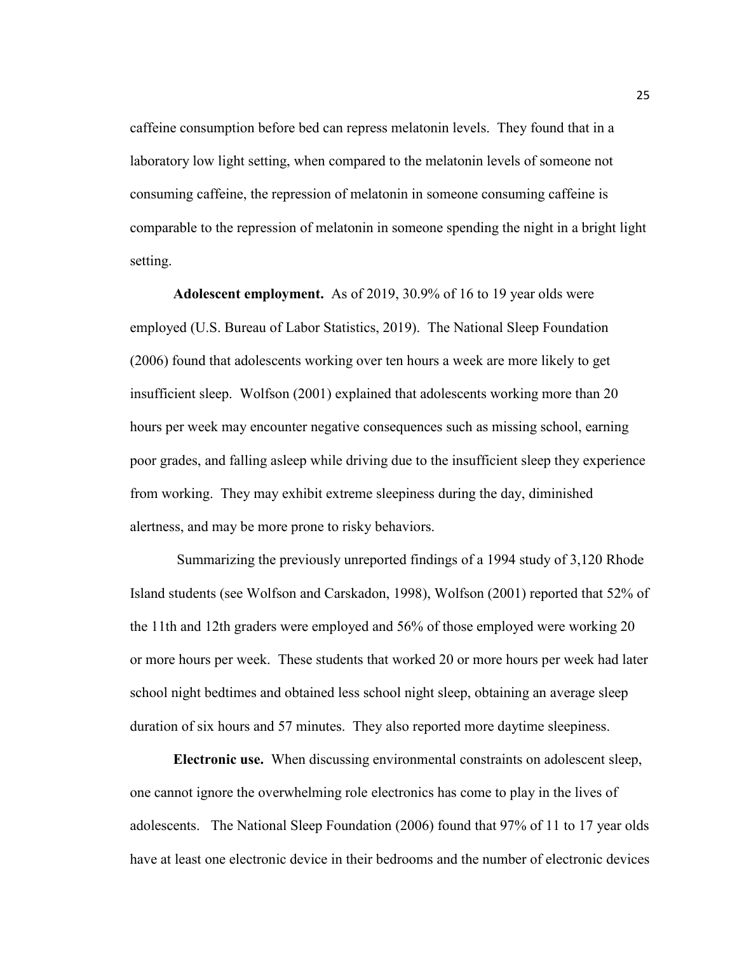caffeine consumption before bed can repress melatonin levels. They found that in a laboratory low light setting, when compared to the melatonin levels of someone not consuming caffeine, the repression of melatonin in someone consuming caffeine is comparable to the repression of melatonin in someone spending the night in a bright light setting.

**Adolescent employment.** As of 2019, 30.9% of 16 to 19 year olds were employed (U.S. Bureau of Labor Statistics, 2019). The National Sleep Foundation (2006) found that adolescents working over ten hours a week are more likely to get insufficient sleep. Wolfson (2001) explained that adolescents working more than 20 hours per week may encounter negative consequences such as missing school, earning poor grades, and falling asleep while driving due to the insufficient sleep they experience from working. They may exhibit extreme sleepiness during the day, diminished alertness, and may be more prone to risky behaviors.

 Summarizing the previously unreported findings of a 1994 study of 3,120 Rhode Island students (see Wolfson and Carskadon, 1998), Wolfson (2001) reported that 52% of the 11th and 12th graders were employed and 56% of those employed were working 20 or more hours per week. These students that worked 20 or more hours per week had later school night bedtimes and obtained less school night sleep, obtaining an average sleep duration of six hours and 57 minutes. They also reported more daytime sleepiness.

**Electronic use.** When discussing environmental constraints on adolescent sleep, one cannot ignore the overwhelming role electronics has come to play in the lives of adolescents. The National Sleep Foundation (2006) found that 97% of 11 to 17 year olds have at least one electronic device in their bedrooms and the number of electronic devices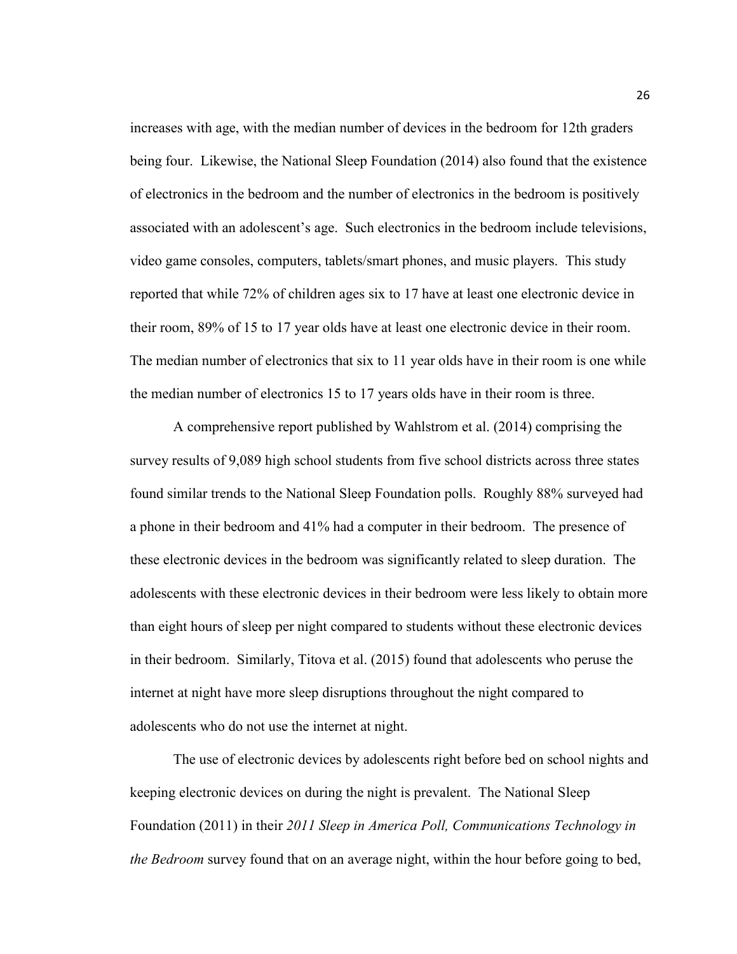increases with age, with the median number of devices in the bedroom for 12th graders being four. Likewise, the National Sleep Foundation (2014) also found that the existence of electronics in the bedroom and the number of electronics in the bedroom is positively associated with an adolescent's age. Such electronics in the bedroom include televisions, video game consoles, computers, tablets/smart phones, and music players. This study reported that while 72% of children ages six to 17 have at least one electronic device in their room, 89% of 15 to 17 year olds have at least one electronic device in their room. The median number of electronics that six to 11 year olds have in their room is one while the median number of electronics 15 to 17 years olds have in their room is three.

A comprehensive report published by Wahlstrom et al. (2014) comprising the survey results of 9,089 high school students from five school districts across three states found similar trends to the National Sleep Foundation polls. Roughly 88% surveyed had a phone in their bedroom and 41% had a computer in their bedroom. The presence of these electronic devices in the bedroom was significantly related to sleep duration. The adolescents with these electronic devices in their bedroom were less likely to obtain more than eight hours of sleep per night compared to students without these electronic devices in their bedroom. Similarly, Titova et al. (2015) found that adolescents who peruse the internet at night have more sleep disruptions throughout the night compared to adolescents who do not use the internet at night.

The use of electronic devices by adolescents right before bed on school nights and keeping electronic devices on during the night is prevalent. The National Sleep Foundation (2011) in their *2011 Sleep in America Poll, Communications Technology in the Bedroom* survey found that on an average night, within the hour before going to bed,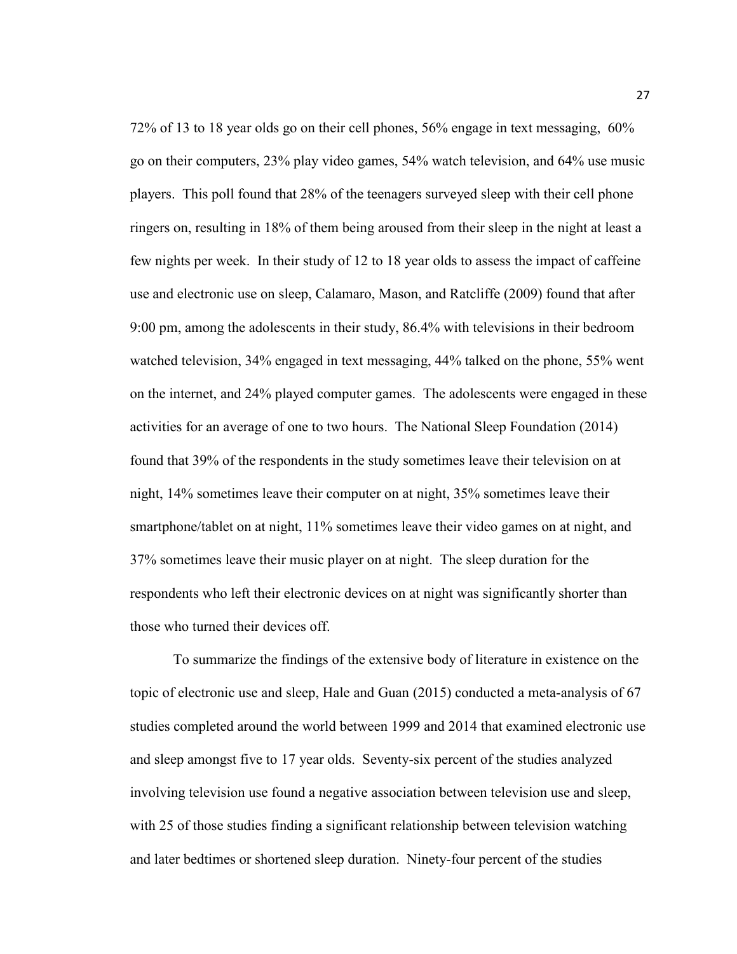72% of 13 to 18 year olds go on their cell phones, 56% engage in text messaging, 60% go on their computers, 23% play video games, 54% watch television, and 64% use music players. This poll found that 28% of the teenagers surveyed sleep with their cell phone ringers on, resulting in 18% of them being aroused from their sleep in the night at least a few nights per week. In their study of 12 to 18 year olds to assess the impact of caffeine use and electronic use on sleep, Calamaro, Mason, and Ratcliffe (2009) found that after 9:00 pm, among the adolescents in their study, 86.4% with televisions in their bedroom watched television, 34% engaged in text messaging, 44% talked on the phone, 55% went on the internet, and 24% played computer games. The adolescents were engaged in these activities for an average of one to two hours. The National Sleep Foundation (2014) found that 39% of the respondents in the study sometimes leave their television on at night, 14% sometimes leave their computer on at night, 35% sometimes leave their smartphone/tablet on at night, 11% sometimes leave their video games on at night, and 37% sometimes leave their music player on at night. The sleep duration for the respondents who left their electronic devices on at night was significantly shorter than those who turned their devices off.

To summarize the findings of the extensive body of literature in existence on the topic of electronic use and sleep, Hale and Guan (2015) conducted a meta-analysis of 67 studies completed around the world between 1999 and 2014 that examined electronic use and sleep amongst five to 17 year olds. Seventy-six percent of the studies analyzed involving television use found a negative association between television use and sleep, with 25 of those studies finding a significant relationship between television watching and later bedtimes or shortened sleep duration. Ninety-four percent of the studies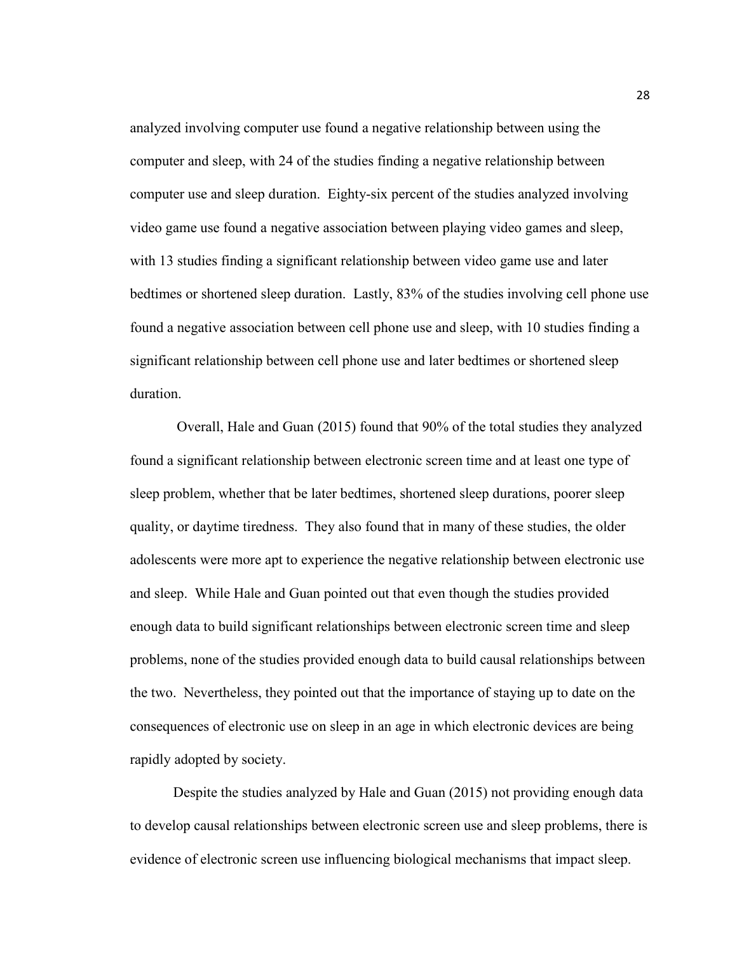analyzed involving computer use found a negative relationship between using the computer and sleep, with 24 of the studies finding a negative relationship between computer use and sleep duration. Eighty-six percent of the studies analyzed involving video game use found a negative association between playing video games and sleep, with 13 studies finding a significant relationship between video game use and later bedtimes or shortened sleep duration. Lastly, 83% of the studies involving cell phone use found a negative association between cell phone use and sleep, with 10 studies finding a significant relationship between cell phone use and later bedtimes or shortened sleep duration.

 Overall, Hale and Guan (2015) found that 90% of the total studies they analyzed found a significant relationship between electronic screen time and at least one type of sleep problem, whether that be later bedtimes, shortened sleep durations, poorer sleep quality, or daytime tiredness. They also found that in many of these studies, the older adolescents were more apt to experience the negative relationship between electronic use and sleep. While Hale and Guan pointed out that even though the studies provided enough data to build significant relationships between electronic screen time and sleep problems, none of the studies provided enough data to build causal relationships between the two. Nevertheless, they pointed out that the importance of staying up to date on the consequences of electronic use on sleep in an age in which electronic devices are being rapidly adopted by society.

 Despite the studies analyzed by Hale and Guan (2015) not providing enough data to develop causal relationships between electronic screen use and sleep problems, there is evidence of electronic screen use influencing biological mechanisms that impact sleep.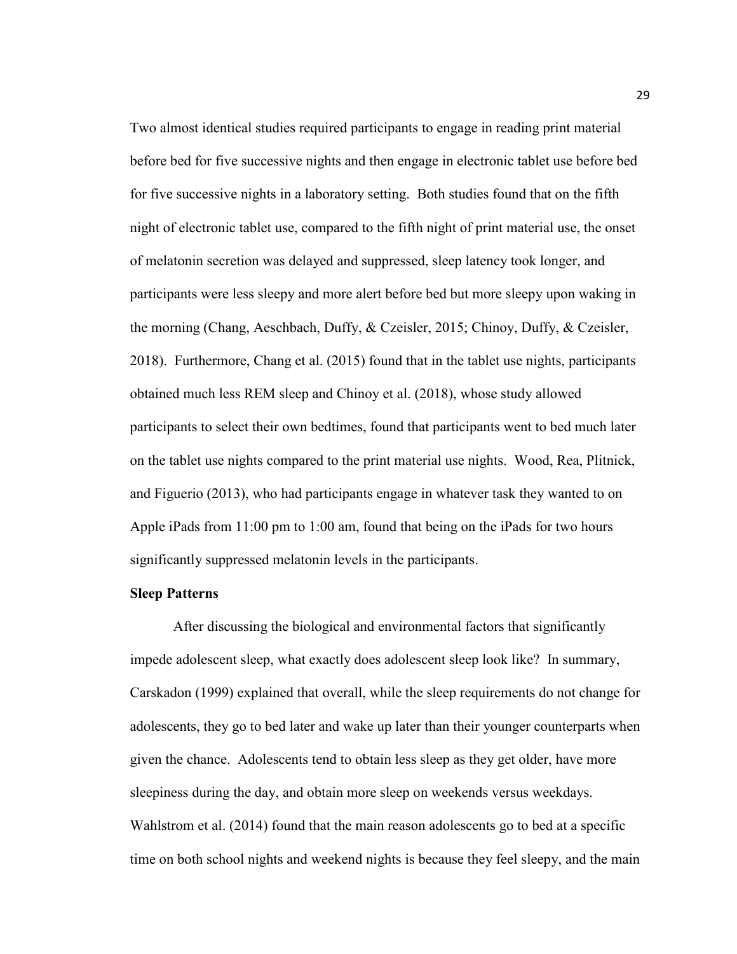Two almost identical studies required participants to engage in reading print material before bed for five successive nights and then engage in electronic tablet use before bed for five successive nights in a laboratory setting. Both studies found that on the fifth night of electronic tablet use, compared to the fifth night of print material use, the onset of melatonin secretion was delayed and suppressed, sleep latency took longer, and participants were less sleepy and more alert before bed but more sleepy upon waking in the morning (Chang, Aeschbach, Duffy, & Czeisler, 2015; Chinoy, Duffy, & Czeisler, 2018). Furthermore, Chang et al. (2015) found that in the tablet use nights, participants obtained much less REM sleep and Chinoy et al. (2018), whose study allowed participants to select their own bedtimes, found that participants went to bed much later on the tablet use nights compared to the print material use nights. Wood, Rea, Plitnick, and Figuerio (2013), who had participants engage in whatever task they wanted to on Apple iPads from 11:00 pm to 1:00 am, found that being on the iPads for two hours significantly suppressed melatonin levels in the participants.

# **Sleep Patterns**

After discussing the biological and environmental factors that significantly impede adolescent sleep, what exactly does adolescent sleep look like? In summary, Carskadon (1999) explained that overall, while the sleep requirements do not change for adolescents, they go to bed later and wake up later than their younger counterparts when given the chance. Adolescents tend to obtain less sleep as they get older, have more sleepiness during the day, and obtain more sleep on weekends versus weekdays. Wahlstrom et al. (2014) found that the main reason adolescents go to bed at a specific time on both school nights and weekend nights is because they feel sleepy, and the main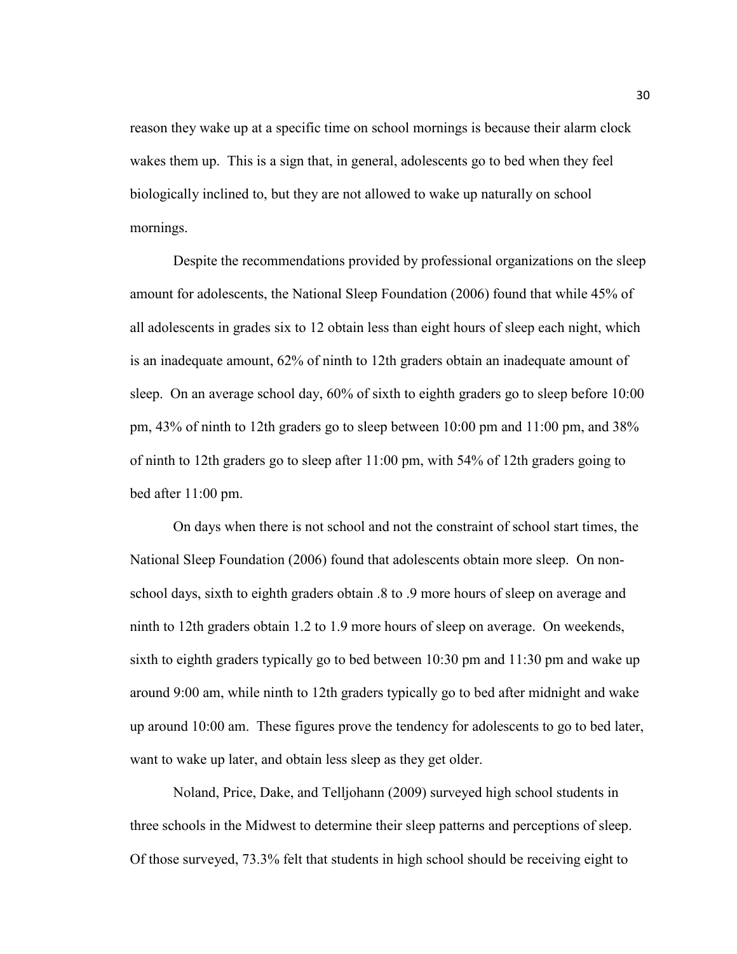reason they wake up at a specific time on school mornings is because their alarm clock wakes them up. This is a sign that, in general, adolescents go to bed when they feel biologically inclined to, but they are not allowed to wake up naturally on school mornings.

Despite the recommendations provided by professional organizations on the sleep amount for adolescents, the National Sleep Foundation (2006) found that while 45% of all adolescents in grades six to 12 obtain less than eight hours of sleep each night, which is an inadequate amount, 62% of ninth to 12th graders obtain an inadequate amount of sleep. On an average school day, 60% of sixth to eighth graders go to sleep before 10:00 pm, 43% of ninth to 12th graders go to sleep between 10:00 pm and 11:00 pm, and 38% of ninth to 12th graders go to sleep after 11:00 pm, with 54% of 12th graders going to bed after 11:00 pm.

On days when there is not school and not the constraint of school start times, the National Sleep Foundation (2006) found that adolescents obtain more sleep. On nonschool days, sixth to eighth graders obtain .8 to .9 more hours of sleep on average and ninth to 12th graders obtain 1.2 to 1.9 more hours of sleep on average. On weekends, sixth to eighth graders typically go to bed between 10:30 pm and 11:30 pm and wake up around 9:00 am, while ninth to 12th graders typically go to bed after midnight and wake up around 10:00 am. These figures prove the tendency for adolescents to go to bed later, want to wake up later, and obtain less sleep as they get older.

Noland, Price, Dake, and Telljohann (2009) surveyed high school students in three schools in the Midwest to determine their sleep patterns and perceptions of sleep. Of those surveyed, 73.3% felt that students in high school should be receiving eight to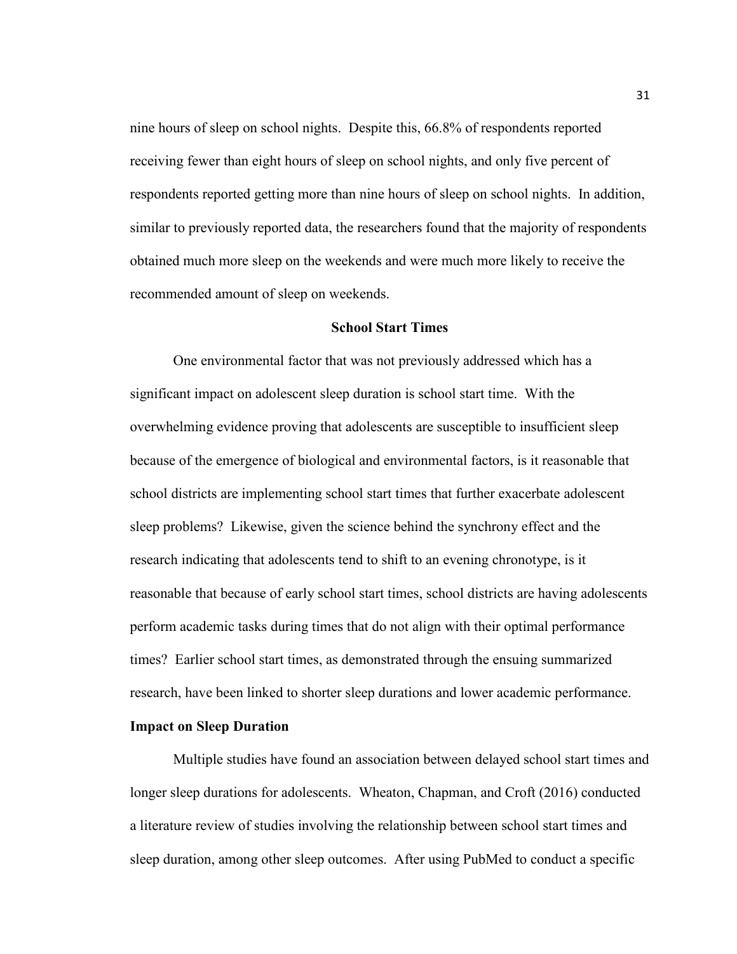nine hours of sleep on school nights. Despite this, 66.8% of respondents reported receiving fewer than eight hours of sleep on school nights, and only five percent of respondents reported getting more than nine hours of sleep on school nights. In addition, similar to previously reported data, the researchers found that the majority of respondents obtained much more sleep on the weekends and were much more likely to receive the recommended amount of sleep on weekends.

### **School Start Times**

One environmental factor that was not previously addressed which has a significant impact on adolescent sleep duration is school start time. With the overwhelming evidence proving that adolescents are susceptible to insufficient sleep because of the emergence of biological and environmental factors, is it reasonable that school districts are implementing school start times that further exacerbate adolescent sleep problems? Likewise, given the science behind the synchrony effect and the research indicating that adolescents tend to shift to an evening chronotype, is it reasonable that because of early school start times, school districts are having adolescents perform academic tasks during times that do not align with their optimal performance times? Earlier school start times, as demonstrated through the ensuing summarized research, have been linked to shorter sleep durations and lower academic performance.

### **Impact on Sleep Duration**

Multiple studies have found an association between delayed school start times and longer sleep durations for adolescents. Wheaton, Chapman, and Croft (2016) conducted a literature review of studies involving the relationship between school start times and sleep duration, among other sleep outcomes. After using PubMed to conduct a specific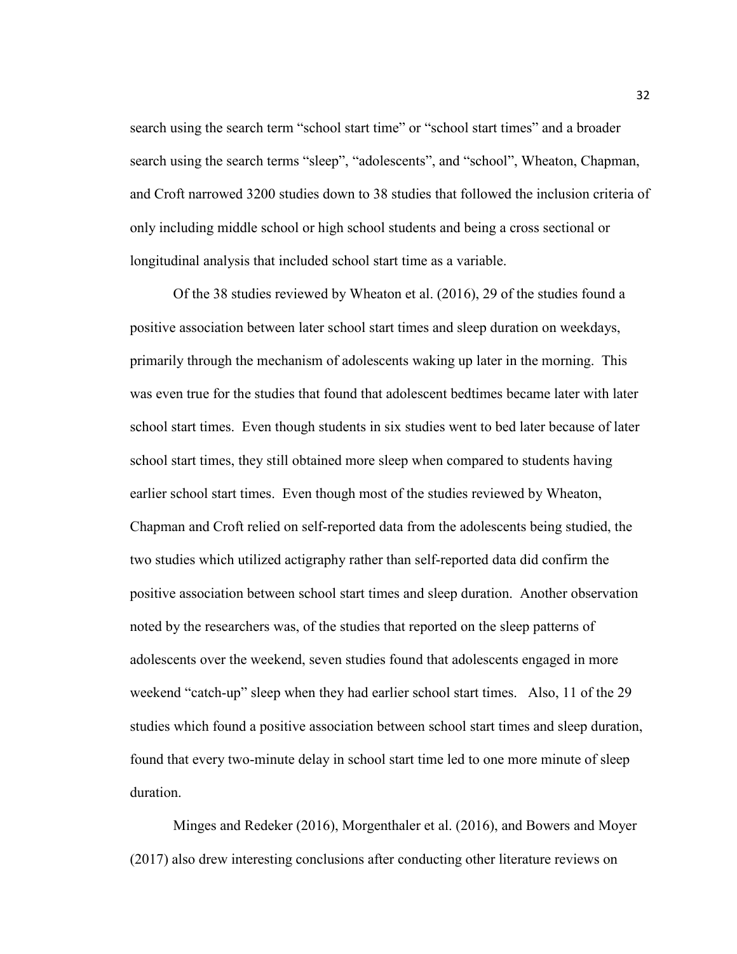search using the search term "school start time" or "school start times" and a broader search using the search terms "sleep", "adolescents", and "school", Wheaton, Chapman, and Croft narrowed 3200 studies down to 38 studies that followed the inclusion criteria of only including middle school or high school students and being a cross sectional or longitudinal analysis that included school start time as a variable.

Of the 38 studies reviewed by Wheaton et al. (2016), 29 of the studies found a positive association between later school start times and sleep duration on weekdays, primarily through the mechanism of adolescents waking up later in the morning. This was even true for the studies that found that adolescent bedtimes became later with later school start times. Even though students in six studies went to bed later because of later school start times, they still obtained more sleep when compared to students having earlier school start times. Even though most of the studies reviewed by Wheaton, Chapman and Croft relied on self-reported data from the adolescents being studied, the two studies which utilized actigraphy rather than self-reported data did confirm the positive association between school start times and sleep duration. Another observation noted by the researchers was, of the studies that reported on the sleep patterns of adolescents over the weekend, seven studies found that adolescents engaged in more weekend "catch-up" sleep when they had earlier school start times. Also, 11 of the 29 studies which found a positive association between school start times and sleep duration, found that every two-minute delay in school start time led to one more minute of sleep duration.

Minges and Redeker (2016), Morgenthaler et al. (2016), and Bowers and Moyer (2017) also drew interesting conclusions after conducting other literature reviews on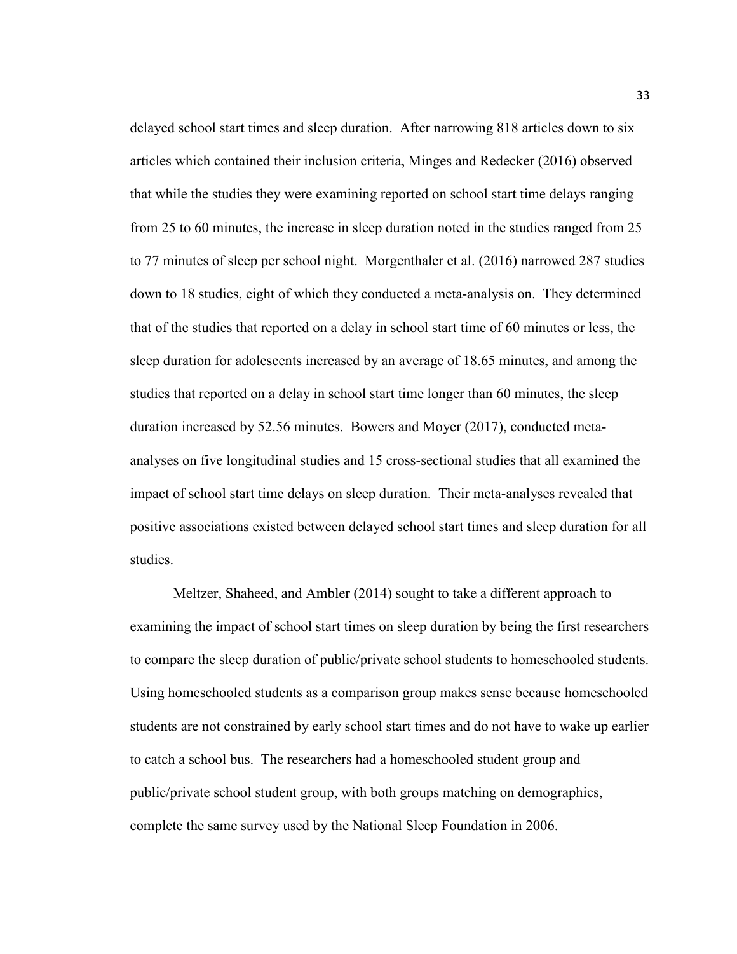delayed school start times and sleep duration. After narrowing 818 articles down to six articles which contained their inclusion criteria, Minges and Redecker (2016) observed that while the studies they were examining reported on school start time delays ranging from 25 to 60 minutes, the increase in sleep duration noted in the studies ranged from 25 to 77 minutes of sleep per school night. Morgenthaler et al. (2016) narrowed 287 studies down to 18 studies, eight of which they conducted a meta-analysis on. They determined that of the studies that reported on a delay in school start time of 60 minutes or less, the sleep duration for adolescents increased by an average of 18.65 minutes, and among the studies that reported on a delay in school start time longer than 60 minutes, the sleep duration increased by 52.56 minutes. Bowers and Moyer (2017), conducted metaanalyses on five longitudinal studies and 15 cross-sectional studies that all examined the impact of school start time delays on sleep duration. Their meta-analyses revealed that positive associations existed between delayed school start times and sleep duration for all studies.

Meltzer, Shaheed, and Ambler (2014) sought to take a different approach to examining the impact of school start times on sleep duration by being the first researchers to compare the sleep duration of public/private school students to homeschooled students. Using homeschooled students as a comparison group makes sense because homeschooled students are not constrained by early school start times and do not have to wake up earlier to catch a school bus. The researchers had a homeschooled student group and public/private school student group, with both groups matching on demographics, complete the same survey used by the National Sleep Foundation in 2006.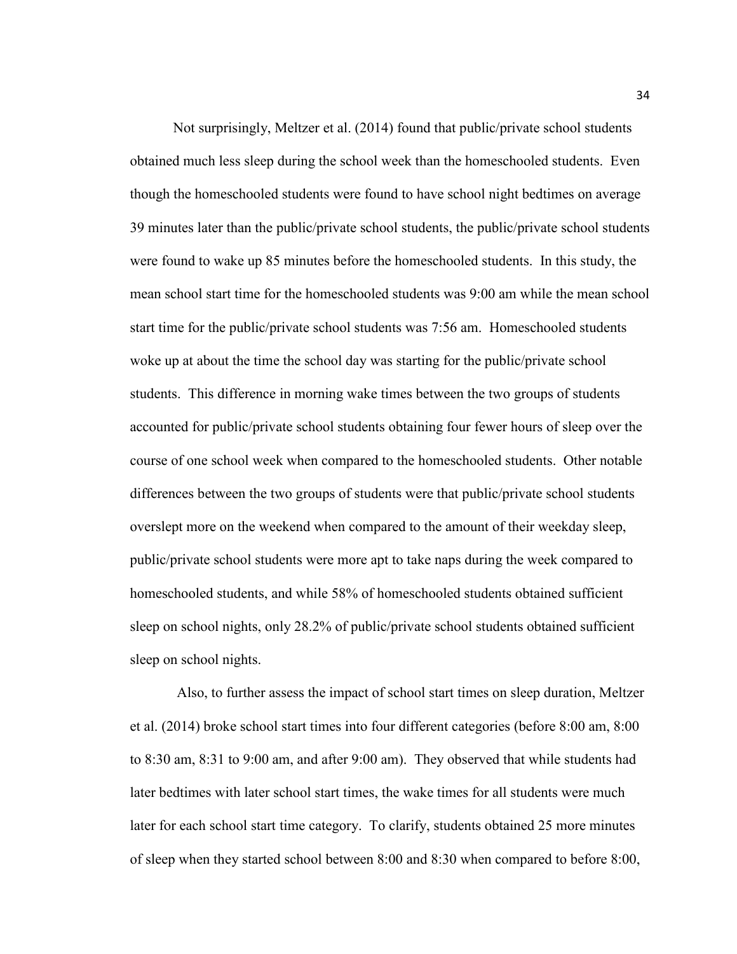Not surprisingly, Meltzer et al. (2014) found that public/private school students obtained much less sleep during the school week than the homeschooled students. Even though the homeschooled students were found to have school night bedtimes on average 39 minutes later than the public/private school students, the public/private school students were found to wake up 85 minutes before the homeschooled students. In this study, the mean school start time for the homeschooled students was 9:00 am while the mean school start time for the public/private school students was 7:56 am. Homeschooled students woke up at about the time the school day was starting for the public/private school students. This difference in morning wake times between the two groups of students accounted for public/private school students obtaining four fewer hours of sleep over the course of one school week when compared to the homeschooled students. Other notable differences between the two groups of students were that public/private school students overslept more on the weekend when compared to the amount of their weekday sleep, public/private school students were more apt to take naps during the week compared to homeschooled students, and while 58% of homeschooled students obtained sufficient sleep on school nights, only 28.2% of public/private school students obtained sufficient sleep on school nights.

 Also, to further assess the impact of school start times on sleep duration, Meltzer et al. (2014) broke school start times into four different categories (before 8:00 am, 8:00 to 8:30 am, 8:31 to 9:00 am, and after 9:00 am). They observed that while students had later bedtimes with later school start times, the wake times for all students were much later for each school start time category. To clarify, students obtained 25 more minutes of sleep when they started school between 8:00 and 8:30 when compared to before 8:00,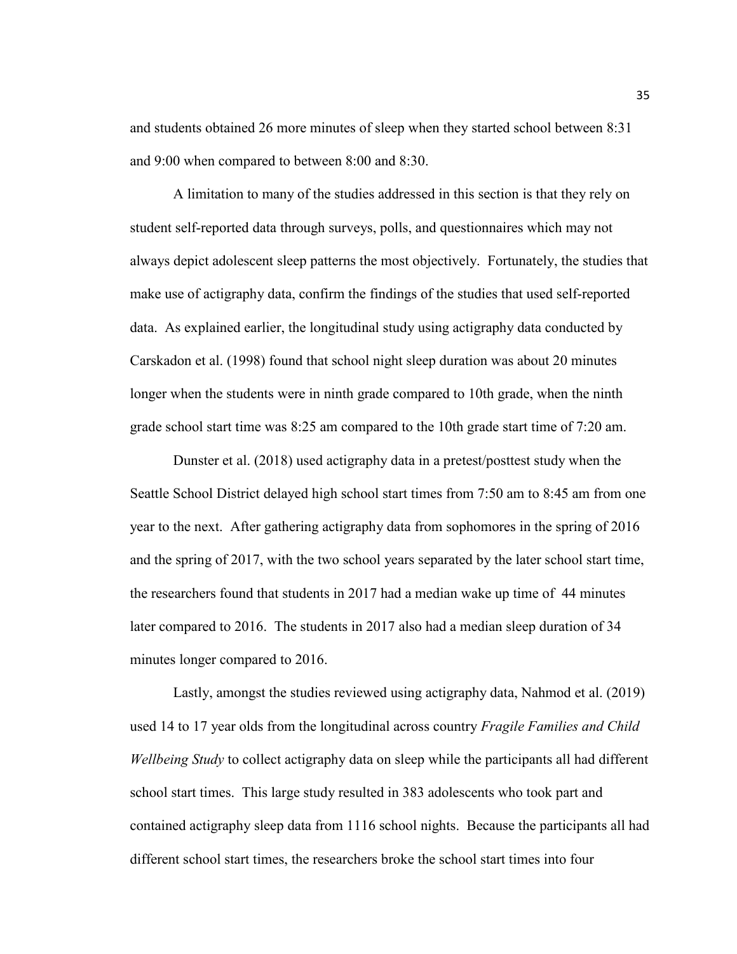and students obtained 26 more minutes of sleep when they started school between 8:31 and 9:00 when compared to between 8:00 and 8:30.

A limitation to many of the studies addressed in this section is that they rely on student self-reported data through surveys, polls, and questionnaires which may not always depict adolescent sleep patterns the most objectively. Fortunately, the studies that make use of actigraphy data, confirm the findings of the studies that used self-reported data. As explained earlier, the longitudinal study using actigraphy data conducted by Carskadon et al. (1998) found that school night sleep duration was about 20 minutes longer when the students were in ninth grade compared to 10th grade, when the ninth grade school start time was 8:25 am compared to the 10th grade start time of 7:20 am.

Dunster et al. (2018) used actigraphy data in a pretest/posttest study when the Seattle School District delayed high school start times from 7:50 am to 8:45 am from one year to the next. After gathering actigraphy data from sophomores in the spring of 2016 and the spring of 2017, with the two school years separated by the later school start time, the researchers found that students in 2017 had a median wake up time of 44 minutes later compared to 2016. The students in 2017 also had a median sleep duration of 34 minutes longer compared to 2016.

Lastly, amongst the studies reviewed using actigraphy data, Nahmod et al. (2019) used 14 to 17 year olds from the longitudinal across country *Fragile Families and Child Wellbeing Study* to collect actigraphy data on sleep while the participants all had different school start times. This large study resulted in 383 adolescents who took part and contained actigraphy sleep data from 1116 school nights. Because the participants all had different school start times, the researchers broke the school start times into four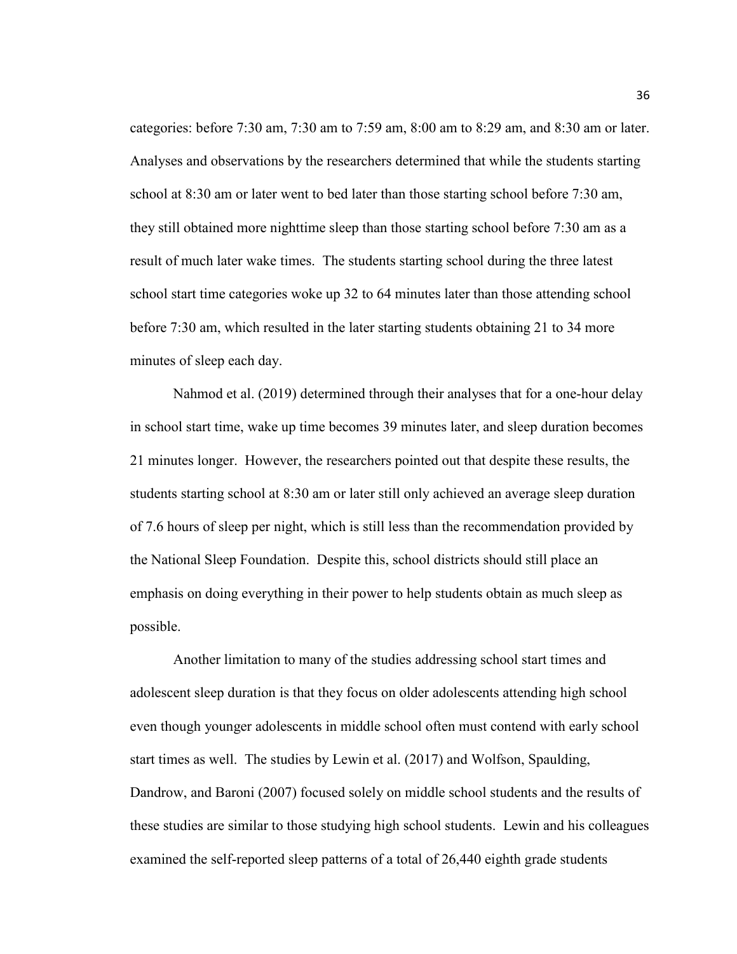categories: before 7:30 am, 7:30 am to 7:59 am, 8:00 am to 8:29 am, and 8:30 am or later. Analyses and observations by the researchers determined that while the students starting school at 8:30 am or later went to bed later than those starting school before 7:30 am, they still obtained more nighttime sleep than those starting school before 7:30 am as a result of much later wake times. The students starting school during the three latest school start time categories woke up 32 to 64 minutes later than those attending school before 7:30 am, which resulted in the later starting students obtaining 21 to 34 more minutes of sleep each day.

Nahmod et al. (2019) determined through their analyses that for a one-hour delay in school start time, wake up time becomes 39 minutes later, and sleep duration becomes 21 minutes longer. However, the researchers pointed out that despite these results, the students starting school at 8:30 am or later still only achieved an average sleep duration of 7.6 hours of sleep per night, which is still less than the recommendation provided by the National Sleep Foundation. Despite this, school districts should still place an emphasis on doing everything in their power to help students obtain as much sleep as possible.

Another limitation to many of the studies addressing school start times and adolescent sleep duration is that they focus on older adolescents attending high school even though younger adolescents in middle school often must contend with early school start times as well. The studies by Lewin et al. (2017) and Wolfson, Spaulding, Dandrow, and Baroni (2007) focused solely on middle school students and the results of these studies are similar to those studying high school students. Lewin and his colleagues examined the self-reported sleep patterns of a total of 26,440 eighth grade students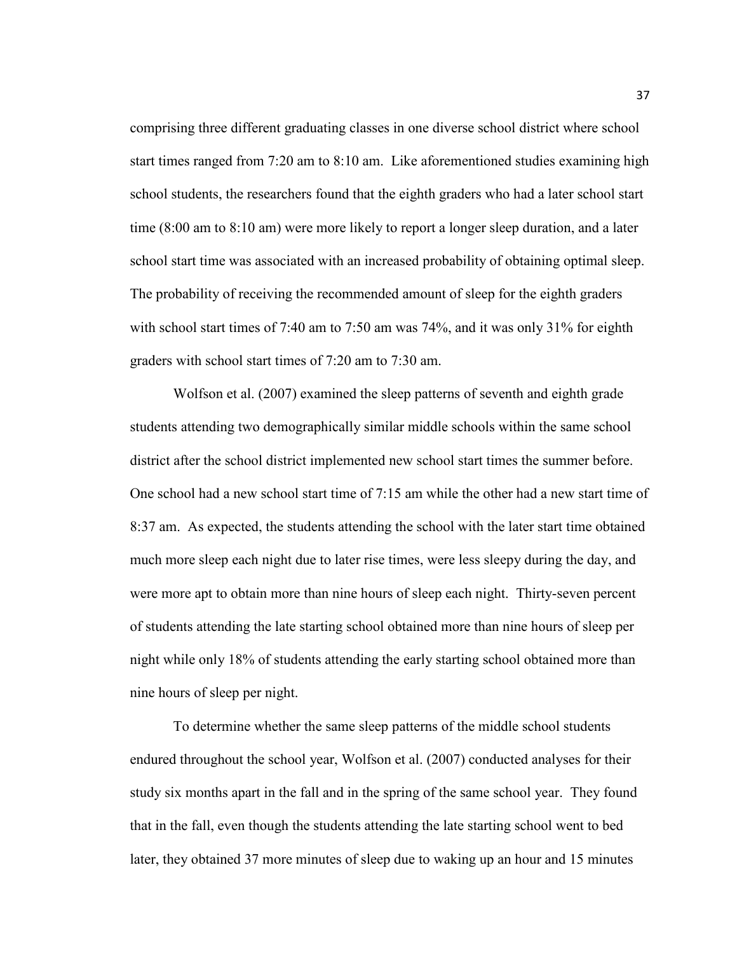comprising three different graduating classes in one diverse school district where school start times ranged from 7:20 am to 8:10 am. Like aforementioned studies examining high school students, the researchers found that the eighth graders who had a later school start time (8:00 am to 8:10 am) were more likely to report a longer sleep duration, and a later school start time was associated with an increased probability of obtaining optimal sleep. The probability of receiving the recommended amount of sleep for the eighth graders with school start times of 7:40 am to 7:50 am was 74%, and it was only 31% for eighth graders with school start times of 7:20 am to 7:30 am.

Wolfson et al. (2007) examined the sleep patterns of seventh and eighth grade students attending two demographically similar middle schools within the same school district after the school district implemented new school start times the summer before. One school had a new school start time of 7:15 am while the other had a new start time of 8:37 am. As expected, the students attending the school with the later start time obtained much more sleep each night due to later rise times, were less sleepy during the day, and were more apt to obtain more than nine hours of sleep each night. Thirty-seven percent of students attending the late starting school obtained more than nine hours of sleep per night while only 18% of students attending the early starting school obtained more than nine hours of sleep per night.

To determine whether the same sleep patterns of the middle school students endured throughout the school year, Wolfson et al. (2007) conducted analyses for their study six months apart in the fall and in the spring of the same school year. They found that in the fall, even though the students attending the late starting school went to bed later, they obtained 37 more minutes of sleep due to waking up an hour and 15 minutes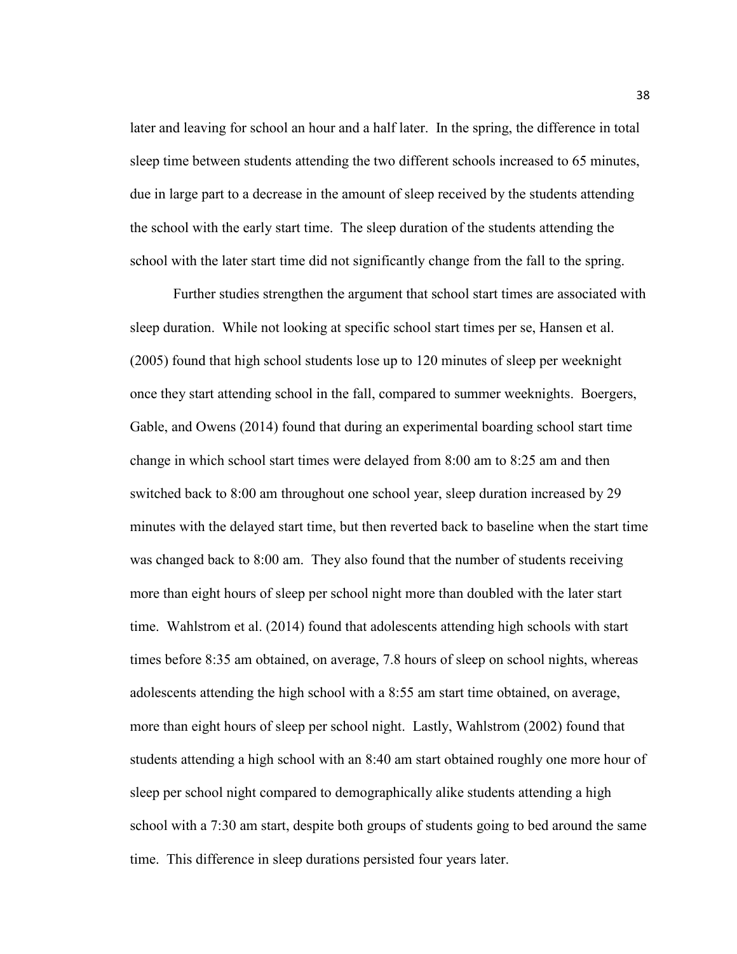later and leaving for school an hour and a half later. In the spring, the difference in total sleep time between students attending the two different schools increased to 65 minutes, due in large part to a decrease in the amount of sleep received by the students attending the school with the early start time. The sleep duration of the students attending the school with the later start time did not significantly change from the fall to the spring.

Further studies strengthen the argument that school start times are associated with sleep duration. While not looking at specific school start times per se, Hansen et al. (2005) found that high school students lose up to 120 minutes of sleep per weeknight once they start attending school in the fall, compared to summer weeknights. Boergers, Gable, and Owens (2014) found that during an experimental boarding school start time change in which school start times were delayed from 8:00 am to 8:25 am and then switched back to 8:00 am throughout one school year, sleep duration increased by 29 minutes with the delayed start time, but then reverted back to baseline when the start time was changed back to 8:00 am. They also found that the number of students receiving more than eight hours of sleep per school night more than doubled with the later start time. Wahlstrom et al. (2014) found that adolescents attending high schools with start times before 8:35 am obtained, on average, 7.8 hours of sleep on school nights, whereas adolescents attending the high school with a 8:55 am start time obtained, on average, more than eight hours of sleep per school night. Lastly, Wahlstrom (2002) found that students attending a high school with an 8:40 am start obtained roughly one more hour of sleep per school night compared to demographically alike students attending a high school with a 7:30 am start, despite both groups of students going to bed around the same time. This difference in sleep durations persisted four years later.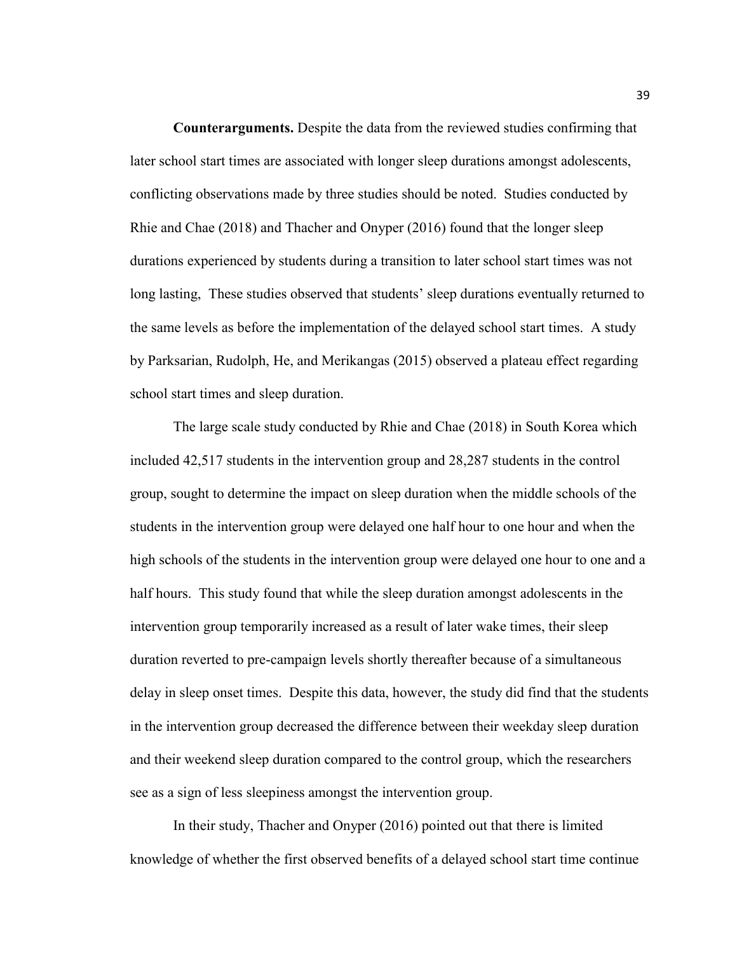**Counterarguments.** Despite the data from the reviewed studies confirming that later school start times are associated with longer sleep durations amongst adolescents, conflicting observations made by three studies should be noted. Studies conducted by Rhie and Chae (2018) and Thacher and Onyper (2016) found that the longer sleep durations experienced by students during a transition to later school start times was not long lasting, These studies observed that students' sleep durations eventually returned to the same levels as before the implementation of the delayed school start times. A study by Parksarian, Rudolph, He, and Merikangas (2015) observed a plateau effect regarding school start times and sleep duration.

The large scale study conducted by Rhie and Chae (2018) in South Korea which included 42,517 students in the intervention group and 28,287 students in the control group, sought to determine the impact on sleep duration when the middle schools of the students in the intervention group were delayed one half hour to one hour and when the high schools of the students in the intervention group were delayed one hour to one and a half hours. This study found that while the sleep duration amongst adolescents in the intervention group temporarily increased as a result of later wake times, their sleep duration reverted to pre-campaign levels shortly thereafter because of a simultaneous delay in sleep onset times. Despite this data, however, the study did find that the students in the intervention group decreased the difference between their weekday sleep duration and their weekend sleep duration compared to the control group, which the researchers see as a sign of less sleepiness amongst the intervention group.

In their study, Thacher and Onyper (2016) pointed out that there is limited knowledge of whether the first observed benefits of a delayed school start time continue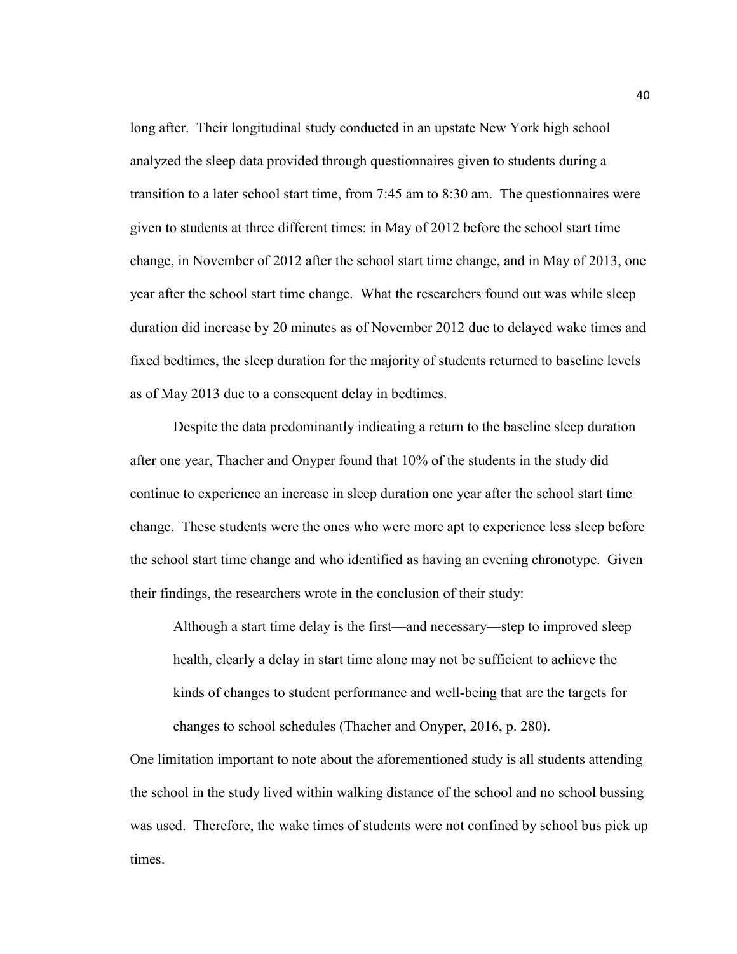long after. Their longitudinal study conducted in an upstate New York high school analyzed the sleep data provided through questionnaires given to students during a transition to a later school start time, from 7:45 am to 8:30 am. The questionnaires were given to students at three different times: in May of 2012 before the school start time change, in November of 2012 after the school start time change, and in May of 2013, one year after the school start time change. What the researchers found out was while sleep duration did increase by 20 minutes as of November 2012 due to delayed wake times and fixed bedtimes, the sleep duration for the majority of students returned to baseline levels as of May 2013 due to a consequent delay in bedtimes.

Despite the data predominantly indicating a return to the baseline sleep duration after one year, Thacher and Onyper found that 10% of the students in the study did continue to experience an increase in sleep duration one year after the school start time change. These students were the ones who were more apt to experience less sleep before the school start time change and who identified as having an evening chronotype. Given their findings, the researchers wrote in the conclusion of their study:

Although a start time delay is the first—and necessary—step to improved sleep health, clearly a delay in start time alone may not be sufficient to achieve the kinds of changes to student performance and well-being that are the targets for changes to school schedules (Thacher and Onyper, 2016, p. 280).

One limitation important to note about the aforementioned study is all students attending the school in the study lived within walking distance of the school and no school bussing was used. Therefore, the wake times of students were not confined by school bus pick up times.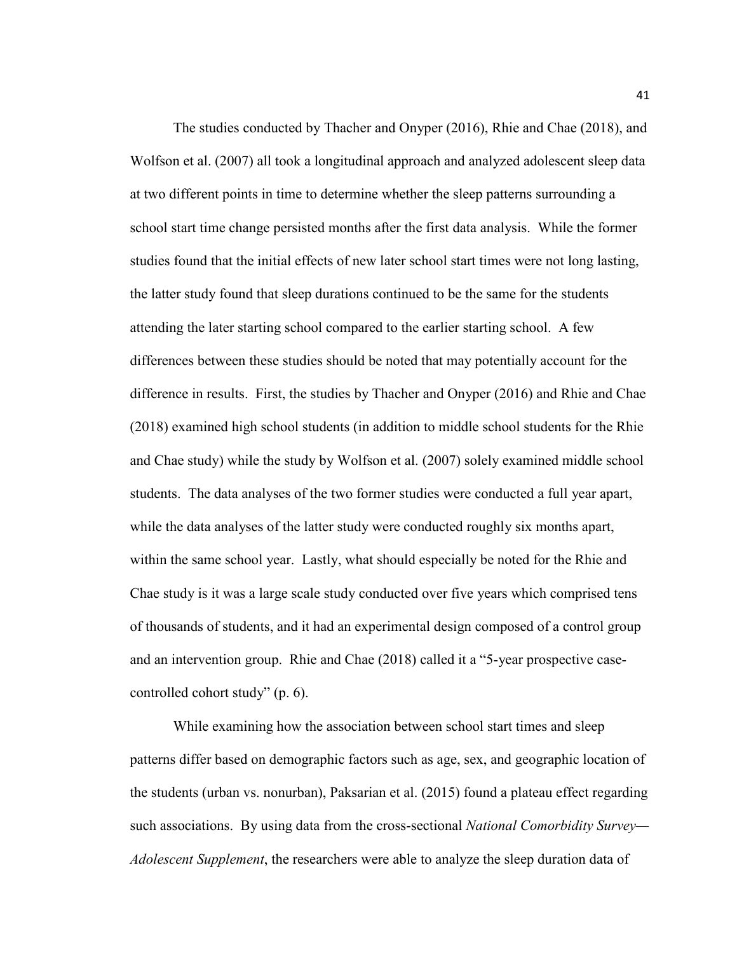The studies conducted by Thacher and Onyper (2016), Rhie and Chae (2018), and Wolfson et al. (2007) all took a longitudinal approach and analyzed adolescent sleep data at two different points in time to determine whether the sleep patterns surrounding a school start time change persisted months after the first data analysis. While the former studies found that the initial effects of new later school start times were not long lasting, the latter study found that sleep durations continued to be the same for the students attending the later starting school compared to the earlier starting school. A few differences between these studies should be noted that may potentially account for the difference in results. First, the studies by Thacher and Onyper (2016) and Rhie and Chae (2018) examined high school students (in addition to middle school students for the Rhie and Chae study) while the study by Wolfson et al. (2007) solely examined middle school students. The data analyses of the two former studies were conducted a full year apart, while the data analyses of the latter study were conducted roughly six months apart, within the same school year. Lastly, what should especially be noted for the Rhie and Chae study is it was a large scale study conducted over five years which comprised tens of thousands of students, and it had an experimental design composed of a control group and an intervention group. Rhie and Chae (2018) called it a "5-year prospective casecontrolled cohort study" (p. 6).

While examining how the association between school start times and sleep patterns differ based on demographic factors such as age, sex, and geographic location of the students (urban vs. nonurban), Paksarian et al. (2015) found a plateau effect regarding such associations. By using data from the cross-sectional *National Comorbidity Survey— Adolescent Supplement*, the researchers were able to analyze the sleep duration data of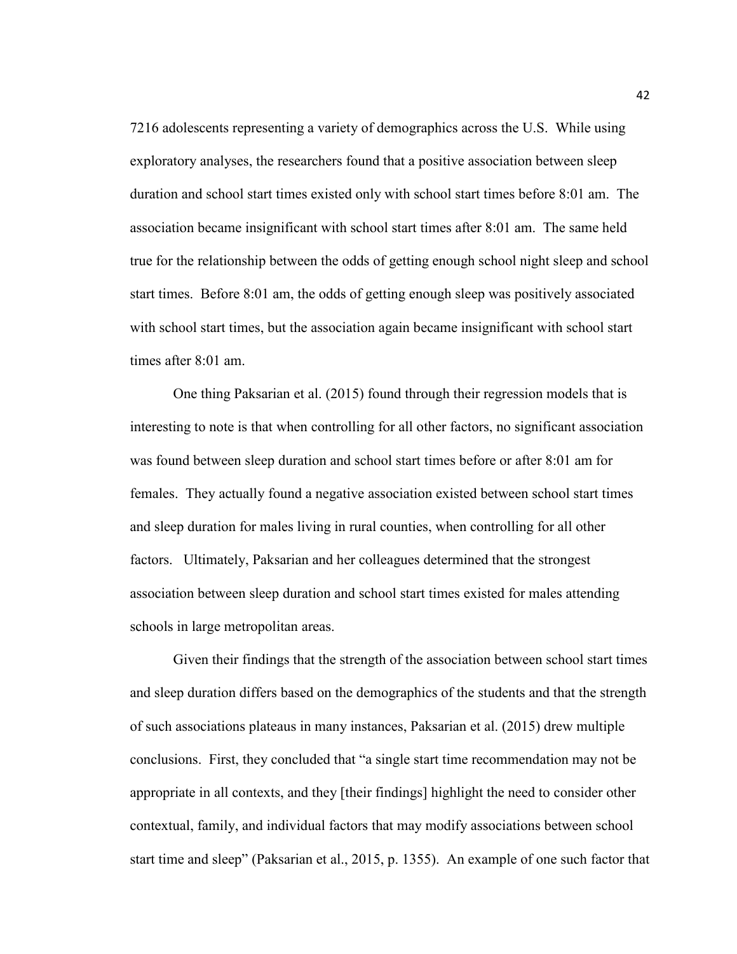7216 adolescents representing a variety of demographics across the U.S. While using exploratory analyses, the researchers found that a positive association between sleep duration and school start times existed only with school start times before 8:01 am. The association became insignificant with school start times after 8:01 am. The same held true for the relationship between the odds of getting enough school night sleep and school start times. Before 8:01 am, the odds of getting enough sleep was positively associated with school start times, but the association again became insignificant with school start times after 8:01 am.

One thing Paksarian et al. (2015) found through their regression models that is interesting to note is that when controlling for all other factors, no significant association was found between sleep duration and school start times before or after 8:01 am for females. They actually found a negative association existed between school start times and sleep duration for males living in rural counties, when controlling for all other factors. Ultimately, Paksarian and her colleagues determined that the strongest association between sleep duration and school start times existed for males attending schools in large metropolitan areas.

Given their findings that the strength of the association between school start times and sleep duration differs based on the demographics of the students and that the strength of such associations plateaus in many instances, Paksarian et al. (2015) drew multiple conclusions. First, they concluded that "a single start time recommendation may not be appropriate in all contexts, and they [their findings] highlight the need to consider other contextual, family, and individual factors that may modify associations between school start time and sleep" (Paksarian et al., 2015, p. 1355). An example of one such factor that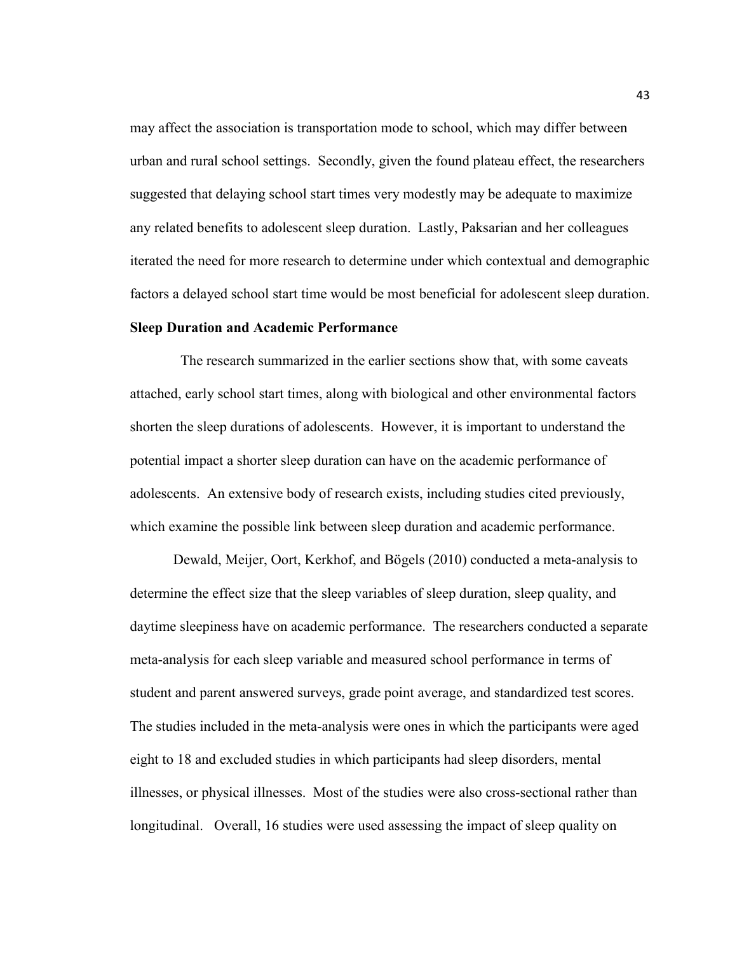may affect the association is transportation mode to school, which may differ between urban and rural school settings. Secondly, given the found plateau effect, the researchers suggested that delaying school start times very modestly may be adequate to maximize any related benefits to adolescent sleep duration. Lastly, Paksarian and her colleagues iterated the need for more research to determine under which contextual and demographic factors a delayed school start time would be most beneficial for adolescent sleep duration.

# **Sleep Duration and Academic Performance**

The research summarized in the earlier sections show that, with some caveats attached, early school start times, along with biological and other environmental factors shorten the sleep durations of adolescents. However, it is important to understand the potential impact a shorter sleep duration can have on the academic performance of adolescents. An extensive body of research exists, including studies cited previously, which examine the possible link between sleep duration and academic performance.

Dewald, Meijer, Oort, Kerkhof, and Bögels (2010) conducted a meta-analysis to determine the effect size that the sleep variables of sleep duration, sleep quality, and daytime sleepiness have on academic performance. The researchers conducted a separate meta-analysis for each sleep variable and measured school performance in terms of student and parent answered surveys, grade point average, and standardized test scores. The studies included in the meta-analysis were ones in which the participants were aged eight to 18 and excluded studies in which participants had sleep disorders, mental illnesses, or physical illnesses. Most of the studies were also cross-sectional rather than longitudinal. Overall, 16 studies were used assessing the impact of sleep quality on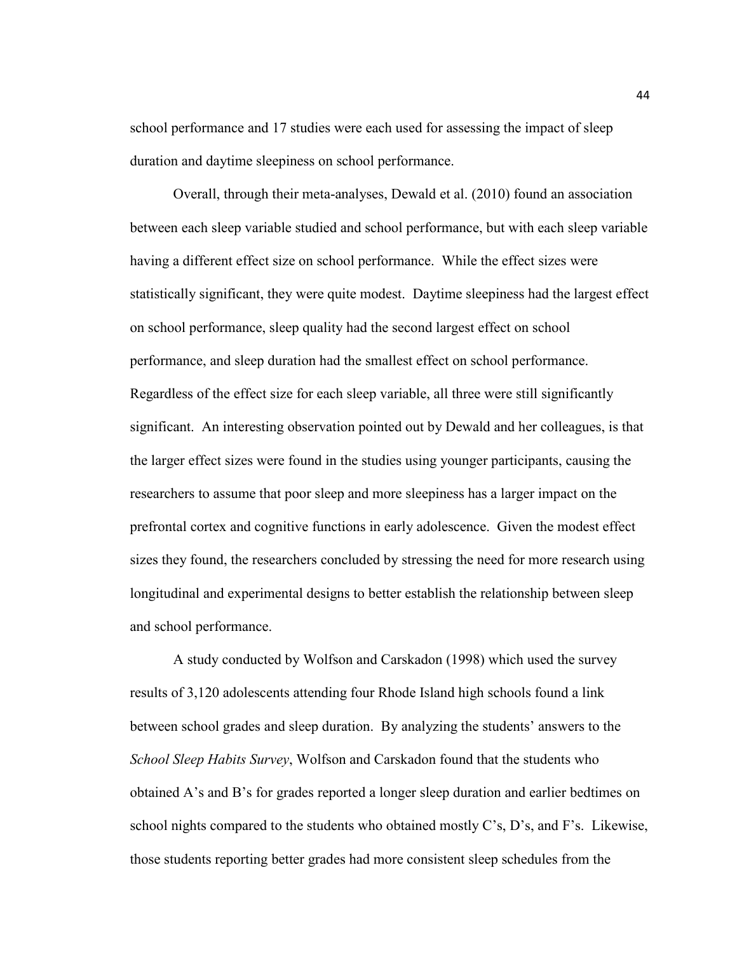school performance and 17 studies were each used for assessing the impact of sleep duration and daytime sleepiness on school performance.

Overall, through their meta-analyses, Dewald et al. (2010) found an association between each sleep variable studied and school performance, but with each sleep variable having a different effect size on school performance. While the effect sizes were statistically significant, they were quite modest. Daytime sleepiness had the largest effect on school performance, sleep quality had the second largest effect on school performance, and sleep duration had the smallest effect on school performance. Regardless of the effect size for each sleep variable, all three were still significantly significant. An interesting observation pointed out by Dewald and her colleagues, is that the larger effect sizes were found in the studies using younger participants, causing the researchers to assume that poor sleep and more sleepiness has a larger impact on the prefrontal cortex and cognitive functions in early adolescence. Given the modest effect sizes they found, the researchers concluded by stressing the need for more research using longitudinal and experimental designs to better establish the relationship between sleep and school performance.

 A study conducted by Wolfson and Carskadon (1998) which used the survey results of 3,120 adolescents attending four Rhode Island high schools found a link between school grades and sleep duration. By analyzing the students' answers to the *School Sleep Habits Survey*, Wolfson and Carskadon found that the students who obtained A's and B's for grades reported a longer sleep duration and earlier bedtimes on school nights compared to the students who obtained mostly C's, D's, and F's. Likewise, those students reporting better grades had more consistent sleep schedules from the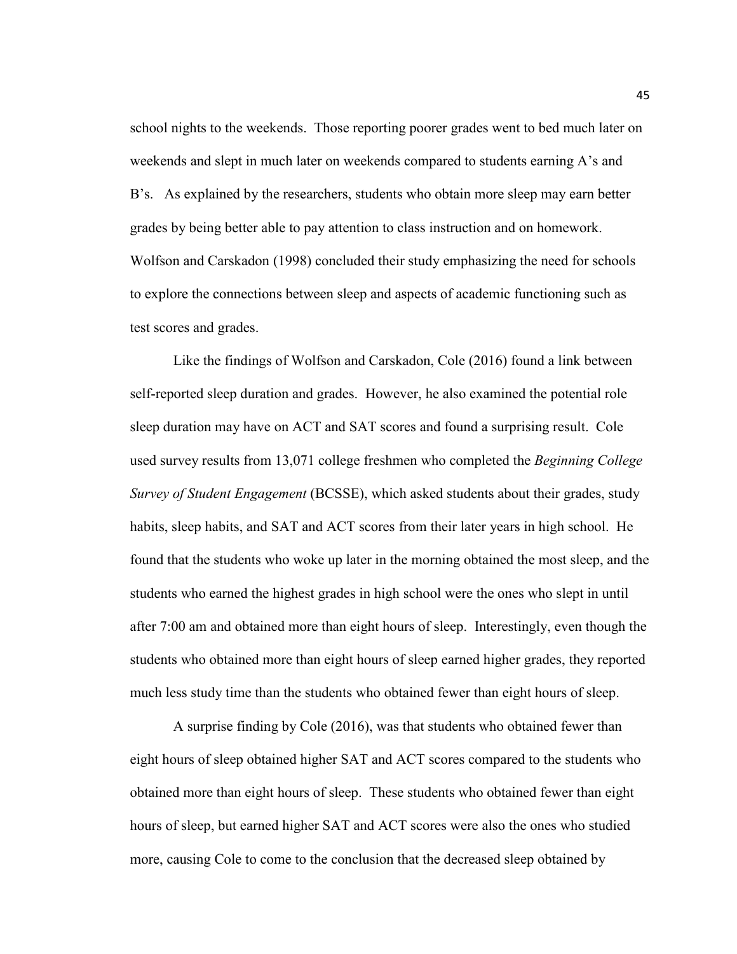school nights to the weekends. Those reporting poorer grades went to bed much later on weekends and slept in much later on weekends compared to students earning A's and B's. As explained by the researchers, students who obtain more sleep may earn better grades by being better able to pay attention to class instruction and on homework. Wolfson and Carskadon (1998) concluded their study emphasizing the need for schools to explore the connections between sleep and aspects of academic functioning such as test scores and grades.

Like the findings of Wolfson and Carskadon, Cole (2016) found a link between self-reported sleep duration and grades. However, he also examined the potential role sleep duration may have on ACT and SAT scores and found a surprising result. Cole used survey results from 13,071 college freshmen who completed the *Beginning College Survey of Student Engagement* (BCSSE), which asked students about their grades, study habits, sleep habits, and SAT and ACT scores from their later years in high school. He found that the students who woke up later in the morning obtained the most sleep, and the students who earned the highest grades in high school were the ones who slept in until after 7:00 am and obtained more than eight hours of sleep. Interestingly, even though the students who obtained more than eight hours of sleep earned higher grades, they reported much less study time than the students who obtained fewer than eight hours of sleep.

A surprise finding by Cole (2016), was that students who obtained fewer than eight hours of sleep obtained higher SAT and ACT scores compared to the students who obtained more than eight hours of sleep. These students who obtained fewer than eight hours of sleep, but earned higher SAT and ACT scores were also the ones who studied more, causing Cole to come to the conclusion that the decreased sleep obtained by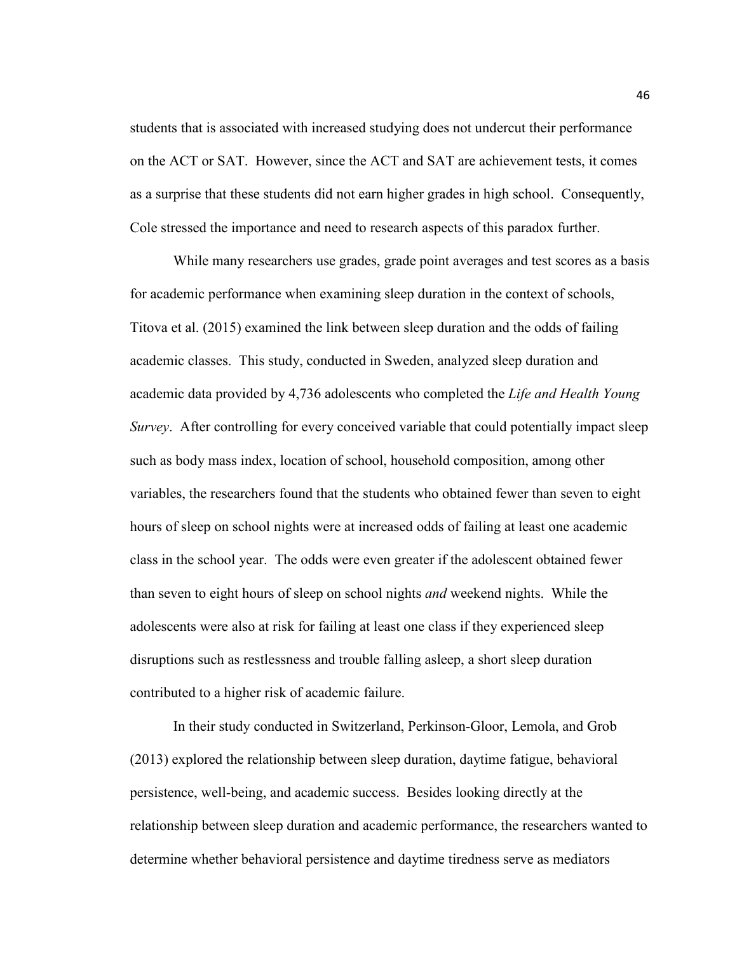students that is associated with increased studying does not undercut their performance on the ACT or SAT. However, since the ACT and SAT are achievement tests, it comes as a surprise that these students did not earn higher grades in high school. Consequently, Cole stressed the importance and need to research aspects of this paradox further.

While many researchers use grades, grade point averages and test scores as a basis for academic performance when examining sleep duration in the context of schools, Titova et al. (2015) examined the link between sleep duration and the odds of failing academic classes. This study, conducted in Sweden, analyzed sleep duration and academic data provided by 4,736 adolescents who completed the *Life and Health Young Survey*. After controlling for every conceived variable that could potentially impact sleep such as body mass index, location of school, household composition, among other variables, the researchers found that the students who obtained fewer than seven to eight hours of sleep on school nights were at increased odds of failing at least one academic class in the school year. The odds were even greater if the adolescent obtained fewer than seven to eight hours of sleep on school nights *and* weekend nights. While the adolescents were also at risk for failing at least one class if they experienced sleep disruptions such as restlessness and trouble falling asleep, a short sleep duration contributed to a higher risk of academic failure.

In their study conducted in Switzerland, Perkinson-Gloor, Lemola, and Grob (2013) explored the relationship between sleep duration, daytime fatigue, behavioral persistence, well-being, and academic success. Besides looking directly at the relationship between sleep duration and academic performance, the researchers wanted to determine whether behavioral persistence and daytime tiredness serve as mediators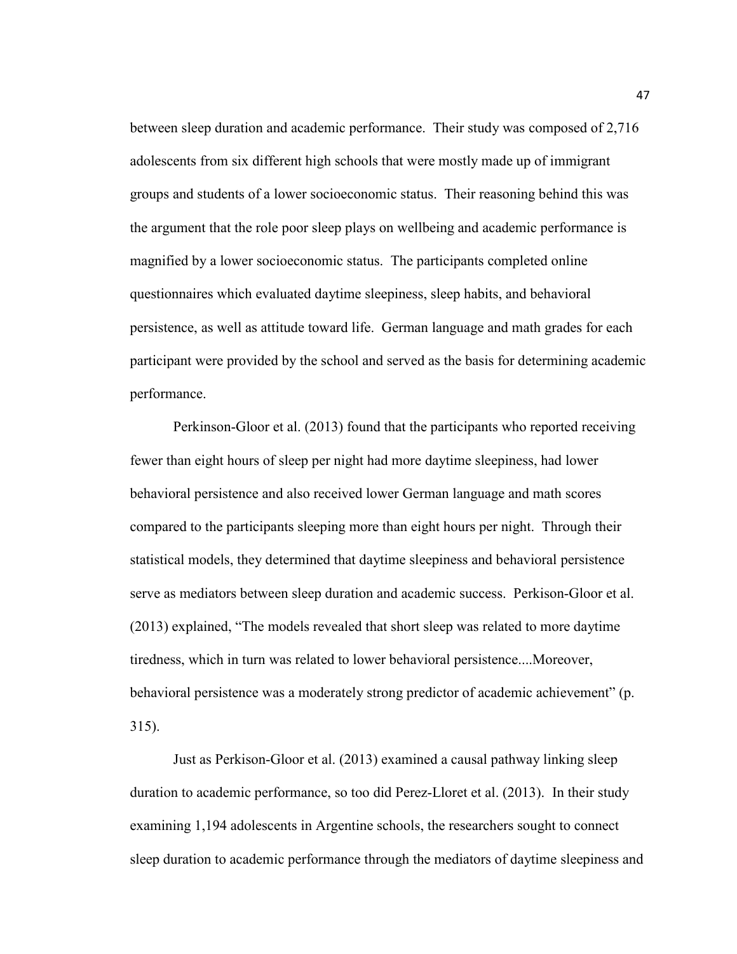between sleep duration and academic performance. Their study was composed of 2,716 adolescents from six different high schools that were mostly made up of immigrant groups and students of a lower socioeconomic status. Their reasoning behind this was the argument that the role poor sleep plays on wellbeing and academic performance is magnified by a lower socioeconomic status. The participants completed online questionnaires which evaluated daytime sleepiness, sleep habits, and behavioral persistence, as well as attitude toward life. German language and math grades for each participant were provided by the school and served as the basis for determining academic performance.

Perkinson-Gloor et al. (2013) found that the participants who reported receiving fewer than eight hours of sleep per night had more daytime sleepiness, had lower behavioral persistence and also received lower German language and math scores compared to the participants sleeping more than eight hours per night. Through their statistical models, they determined that daytime sleepiness and behavioral persistence serve as mediators between sleep duration and academic success. Perkison-Gloor et al. (2013) explained, "The models revealed that short sleep was related to more daytime tiredness, which in turn was related to lower behavioral persistence....Moreover, behavioral persistence was a moderately strong predictor of academic achievement" (p. 315).

Just as Perkison-Gloor et al. (2013) examined a causal pathway linking sleep duration to academic performance, so too did Perez-Lloret et al. (2013). In their study examining 1,194 adolescents in Argentine schools, the researchers sought to connect sleep duration to academic performance through the mediators of daytime sleepiness and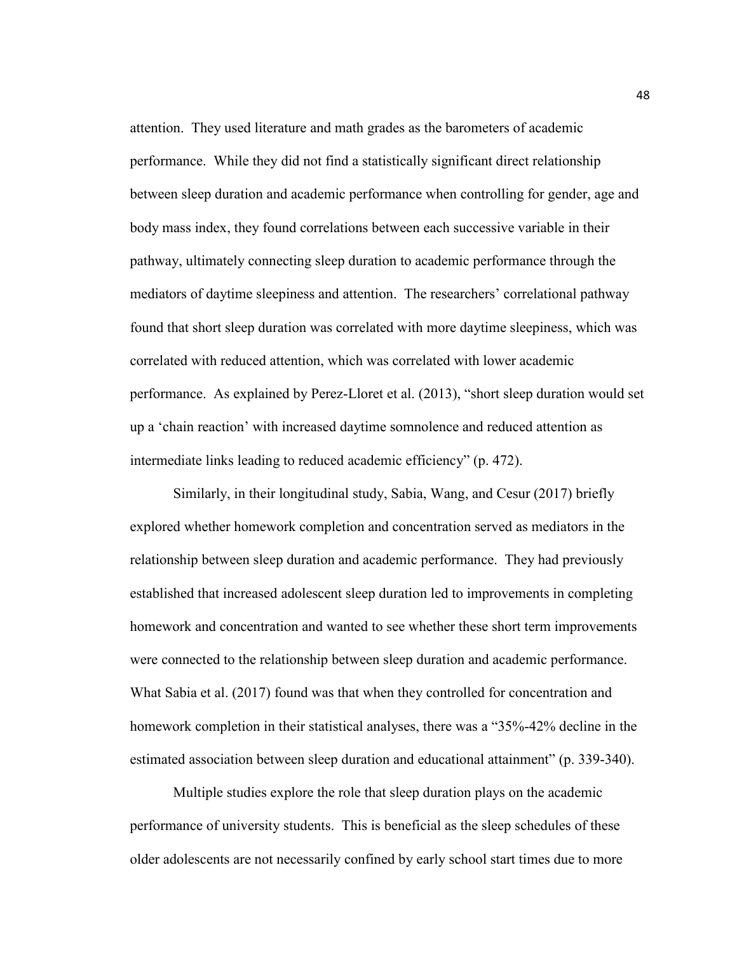attention. They used literature and math grades as the barometers of academic performance. While they did not find a statistically significant direct relationship between sleep duration and academic performance when controlling for gender, age and body mass index, they found correlations between each successive variable in their pathway, ultimately connecting sleep duration to academic performance through the mediators of daytime sleepiness and attention. The researchers' correlational pathway found that short sleep duration was correlated with more daytime sleepiness, which was correlated with reduced attention, which was correlated with lower academic performance. As explained by Perez-Lloret et al. (2013), "short sleep duration would set up a 'chain reaction' with increased daytime somnolence and reduced attention as intermediate links leading to reduced academic efficiency" (p. 472).

Similarly, in their longitudinal study, Sabia, Wang, and Cesur (2017) briefly explored whether homework completion and concentration served as mediators in the relationship between sleep duration and academic performance. They had previously established that increased adolescent sleep duration led to improvements in completing homework and concentration and wanted to see whether these short term improvements were connected to the relationship between sleep duration and academic performance. What Sabia et al. (2017) found was that when they controlled for concentration and homework completion in their statistical analyses, there was a "35%-42% decline in the estimated association between sleep duration and educational attainment" (p. 339-340).

Multiple studies explore the role that sleep duration plays on the academic performance of university students. This is beneficial as the sleep schedules of these older adolescents are not necessarily confined by early school start times due to more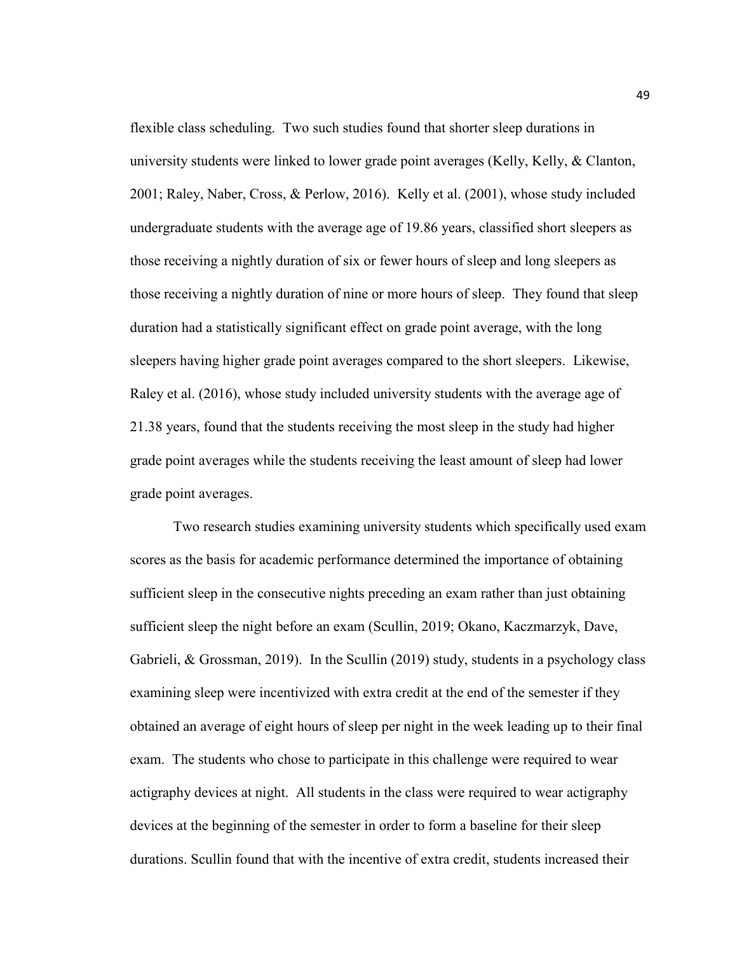flexible class scheduling. Two such studies found that shorter sleep durations in university students were linked to lower grade point averages (Kelly, Kelly, & Clanton, 2001; Raley, Naber, Cross, & Perlow, 2016). Kelly et al. (2001), whose study included undergraduate students with the average age of 19.86 years, classified short sleepers as those receiving a nightly duration of six or fewer hours of sleep and long sleepers as those receiving a nightly duration of nine or more hours of sleep. They found that sleep duration had a statistically significant effect on grade point average, with the long sleepers having higher grade point averages compared to the short sleepers. Likewise, Raley et al. (2016), whose study included university students with the average age of 21.38 years, found that the students receiving the most sleep in the study had higher grade point averages while the students receiving the least amount of sleep had lower grade point averages.

Two research studies examining university students which specifically used exam scores as the basis for academic performance determined the importance of obtaining sufficient sleep in the consecutive nights preceding an exam rather than just obtaining sufficient sleep the night before an exam (Scullin, 2019; Okano, Kaczmarzyk, Dave, Gabrieli, & Grossman, 2019). In the Scullin (2019) study, students in a psychology class examining sleep were incentivized with extra credit at the end of the semester if they obtained an average of eight hours of sleep per night in the week leading up to their final exam. The students who chose to participate in this challenge were required to wear actigraphy devices at night. All students in the class were required to wear actigraphy devices at the beginning of the semester in order to form a baseline for their sleep durations. Scullin found that with the incentive of extra credit, students increased their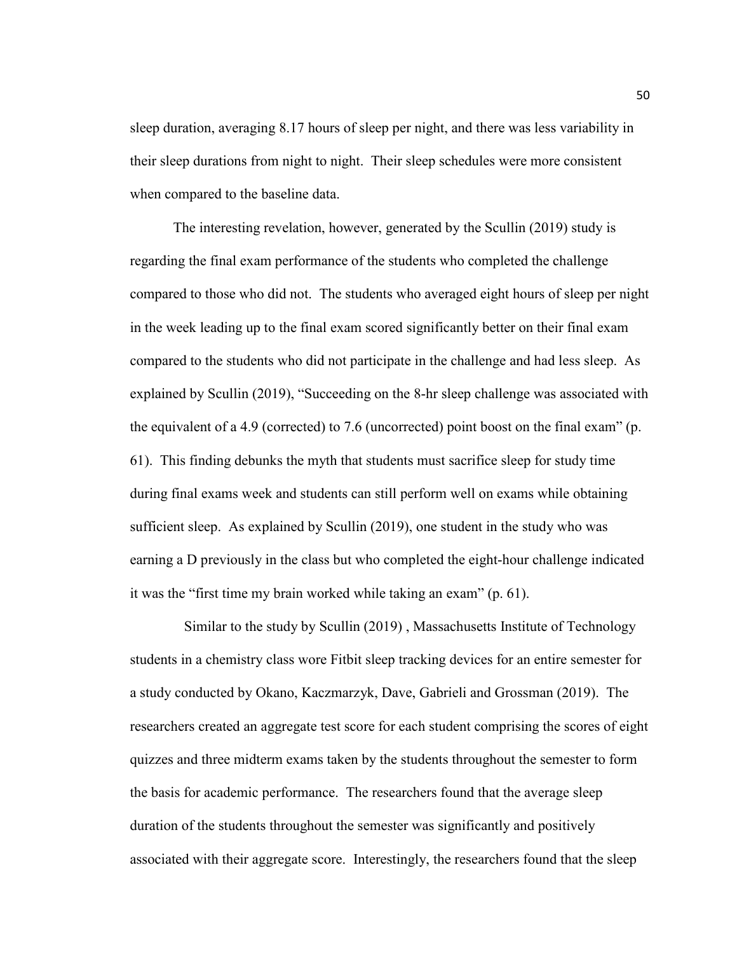sleep duration, averaging 8.17 hours of sleep per night, and there was less variability in their sleep durations from night to night. Their sleep schedules were more consistent when compared to the baseline data.

The interesting revelation, however, generated by the Scullin (2019) study is regarding the final exam performance of the students who completed the challenge compared to those who did not. The students who averaged eight hours of sleep per night in the week leading up to the final exam scored significantly better on their final exam compared to the students who did not participate in the challenge and had less sleep. As explained by Scullin (2019), "Succeeding on the 8-hr sleep challenge was associated with the equivalent of a 4.9 (corrected) to 7.6 (uncorrected) point boost on the final exam" (p. 61). This finding debunks the myth that students must sacrifice sleep for study time during final exams week and students can still perform well on exams while obtaining sufficient sleep. As explained by Scullin (2019), one student in the study who was earning a D previously in the class but who completed the eight-hour challenge indicated it was the "first time my brain worked while taking an exam" (p. 61).

 Similar to the study by Scullin (2019) , Massachusetts Institute of Technology students in a chemistry class wore Fitbit sleep tracking devices for an entire semester for a study conducted by Okano, Kaczmarzyk, Dave, Gabrieli and Grossman (2019). The researchers created an aggregate test score for each student comprising the scores of eight quizzes and three midterm exams taken by the students throughout the semester to form the basis for academic performance. The researchers found that the average sleep duration of the students throughout the semester was significantly and positively associated with their aggregate score. Interestingly, the researchers found that the sleep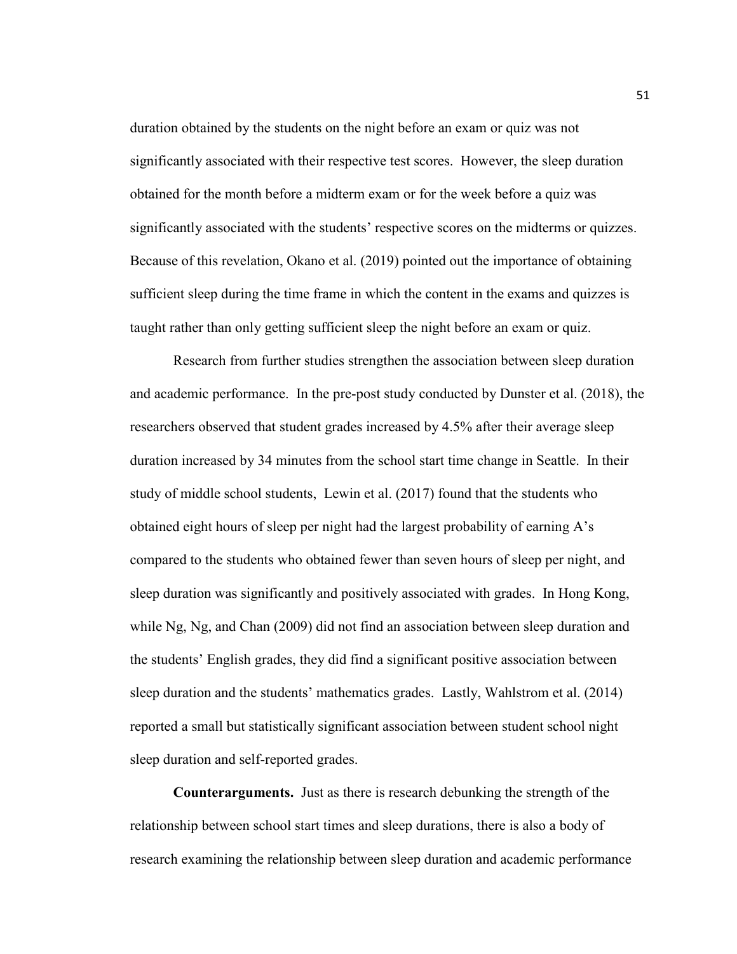duration obtained by the students on the night before an exam or quiz was not significantly associated with their respective test scores. However, the sleep duration obtained for the month before a midterm exam or for the week before a quiz was significantly associated with the students' respective scores on the midterms or quizzes. Because of this revelation, Okano et al. (2019) pointed out the importance of obtaining sufficient sleep during the time frame in which the content in the exams and quizzes is taught rather than only getting sufficient sleep the night before an exam or quiz.

Research from further studies strengthen the association between sleep duration and academic performance. In the pre-post study conducted by Dunster et al. (2018), the researchers observed that student grades increased by 4.5% after their average sleep duration increased by 34 minutes from the school start time change in Seattle. In their study of middle school students, Lewin et al. (2017) found that the students who obtained eight hours of sleep per night had the largest probability of earning A's compared to the students who obtained fewer than seven hours of sleep per night, and sleep duration was significantly and positively associated with grades. In Hong Kong, while Ng, Ng, and Chan (2009) did not find an association between sleep duration and the students' English grades, they did find a significant positive association between sleep duration and the students' mathematics grades. Lastly, Wahlstrom et al. (2014) reported a small but statistically significant association between student school night sleep duration and self-reported grades.

**Counterarguments.** Just as there is research debunking the strength of the relationship between school start times and sleep durations, there is also a body of research examining the relationship between sleep duration and academic performance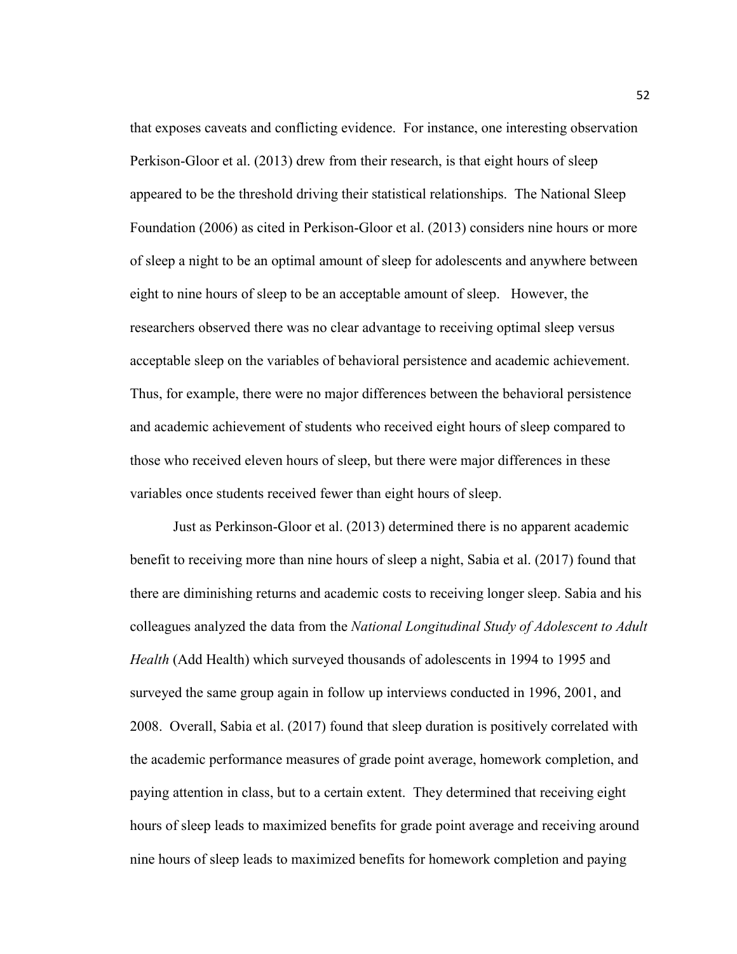that exposes caveats and conflicting evidence. For instance, one interesting observation Perkison-Gloor et al. (2013) drew from their research, is that eight hours of sleep appeared to be the threshold driving their statistical relationships. The National Sleep Foundation (2006) as cited in Perkison-Gloor et al. (2013) considers nine hours or more of sleep a night to be an optimal amount of sleep for adolescents and anywhere between eight to nine hours of sleep to be an acceptable amount of sleep. However, the researchers observed there was no clear advantage to receiving optimal sleep versus acceptable sleep on the variables of behavioral persistence and academic achievement. Thus, for example, there were no major differences between the behavioral persistence and academic achievement of students who received eight hours of sleep compared to those who received eleven hours of sleep, but there were major differences in these variables once students received fewer than eight hours of sleep.

Just as Perkinson-Gloor et al. (2013) determined there is no apparent academic benefit to receiving more than nine hours of sleep a night, Sabia et al. (2017) found that there are diminishing returns and academic costs to receiving longer sleep. Sabia and his colleagues analyzed the data from the *National Longitudinal Study of Adolescent to Adult Health* (Add Health) which surveyed thousands of adolescents in 1994 to 1995 and surveyed the same group again in follow up interviews conducted in 1996, 2001, and 2008. Overall, Sabia et al. (2017) found that sleep duration is positively correlated with the academic performance measures of grade point average, homework completion, and paying attention in class, but to a certain extent. They determined that receiving eight hours of sleep leads to maximized benefits for grade point average and receiving around nine hours of sleep leads to maximized benefits for homework completion and paying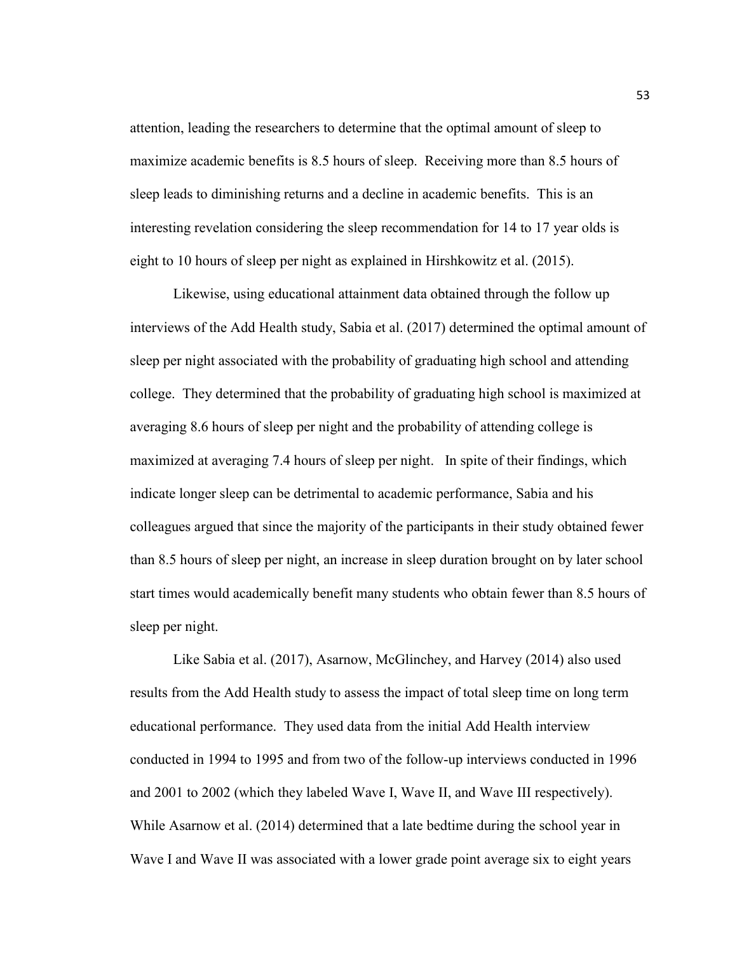attention, leading the researchers to determine that the optimal amount of sleep to maximize academic benefits is 8.5 hours of sleep. Receiving more than 8.5 hours of sleep leads to diminishing returns and a decline in academic benefits. This is an interesting revelation considering the sleep recommendation for 14 to 17 year olds is eight to 10 hours of sleep per night as explained in Hirshkowitz et al. (2015).

Likewise, using educational attainment data obtained through the follow up interviews of the Add Health study, Sabia et al. (2017) determined the optimal amount of sleep per night associated with the probability of graduating high school and attending college. They determined that the probability of graduating high school is maximized at averaging 8.6 hours of sleep per night and the probability of attending college is maximized at averaging 7.4 hours of sleep per night. In spite of their findings, which indicate longer sleep can be detrimental to academic performance, Sabia and his colleagues argued that since the majority of the participants in their study obtained fewer than 8.5 hours of sleep per night, an increase in sleep duration brought on by later school start times would academically benefit many students who obtain fewer than 8.5 hours of sleep per night.

Like Sabia et al. (2017), Asarnow, McGlinchey, and Harvey (2014) also used results from the Add Health study to assess the impact of total sleep time on long term educational performance. They used data from the initial Add Health interview conducted in 1994 to 1995 and from two of the follow-up interviews conducted in 1996 and 2001 to 2002 (which they labeled Wave I, Wave II, and Wave III respectively). While Asarnow et al. (2014) determined that a late bedtime during the school year in Wave I and Wave II was associated with a lower grade point average six to eight years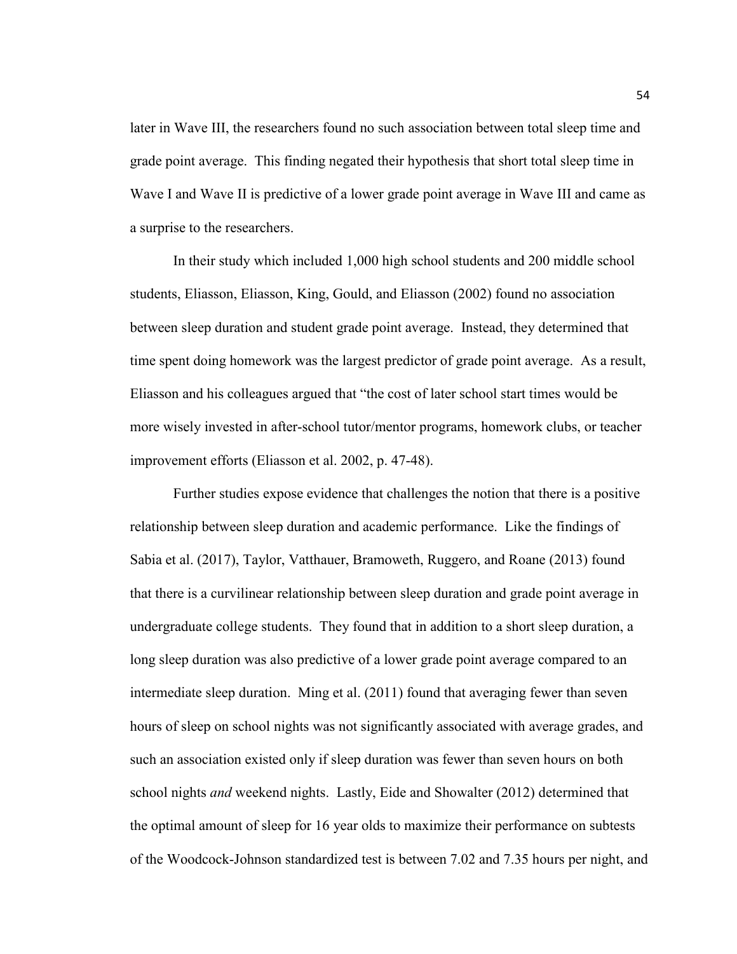later in Wave III, the researchers found no such association between total sleep time and grade point average. This finding negated their hypothesis that short total sleep time in Wave I and Wave II is predictive of a lower grade point average in Wave III and came as a surprise to the researchers.

In their study which included 1,000 high school students and 200 middle school students, Eliasson, Eliasson, King, Gould, and Eliasson (2002) found no association between sleep duration and student grade point average. Instead, they determined that time spent doing homework was the largest predictor of grade point average. As a result, Eliasson and his colleagues argued that "the cost of later school start times would be more wisely invested in after-school tutor/mentor programs, homework clubs, or teacher improvement efforts (Eliasson et al. 2002, p. 47-48).

Further studies expose evidence that challenges the notion that there is a positive relationship between sleep duration and academic performance. Like the findings of Sabia et al. (2017), Taylor, Vatthauer, Bramoweth, Ruggero, and Roane (2013) found that there is a curvilinear relationship between sleep duration and grade point average in undergraduate college students. They found that in addition to a short sleep duration, a long sleep duration was also predictive of a lower grade point average compared to an intermediate sleep duration. Ming et al. (2011) found that averaging fewer than seven hours of sleep on school nights was not significantly associated with average grades, and such an association existed only if sleep duration was fewer than seven hours on both school nights *and* weekend nights. Lastly, Eide and Showalter (2012) determined that the optimal amount of sleep for 16 year olds to maximize their performance on subtests of the Woodcock-Johnson standardized test is between 7.02 and 7.35 hours per night, and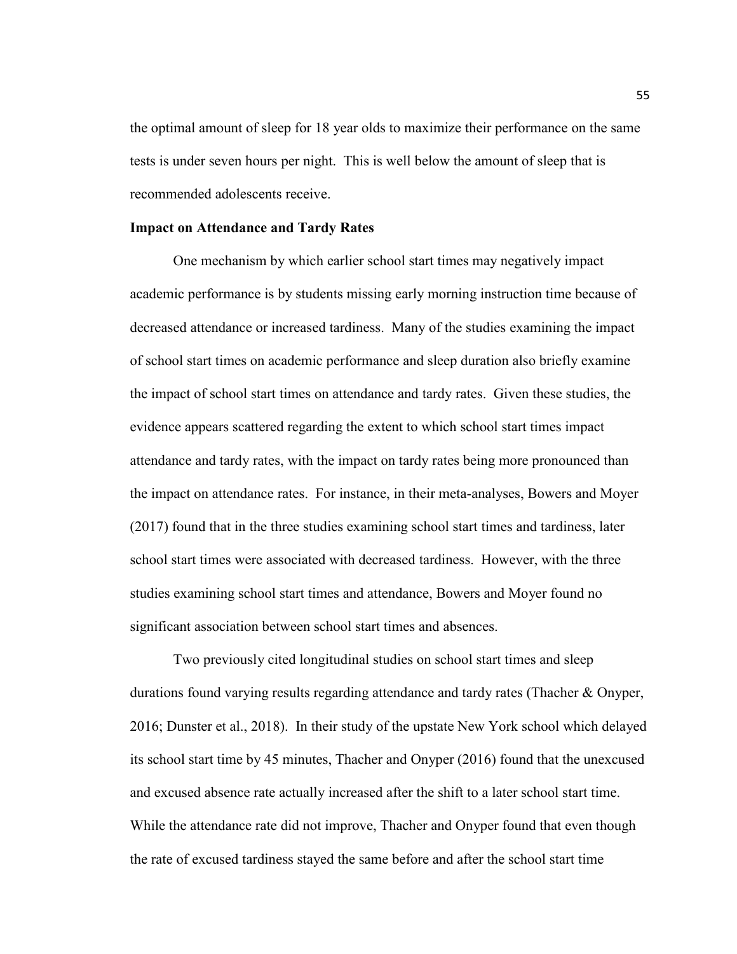the optimal amount of sleep for 18 year olds to maximize their performance on the same tests is under seven hours per night. This is well below the amount of sleep that is recommended adolescents receive.

### **Impact on Attendance and Tardy Rates**

One mechanism by which earlier school start times may negatively impact academic performance is by students missing early morning instruction time because of decreased attendance or increased tardiness. Many of the studies examining the impact of school start times on academic performance and sleep duration also briefly examine the impact of school start times on attendance and tardy rates. Given these studies, the evidence appears scattered regarding the extent to which school start times impact attendance and tardy rates, with the impact on tardy rates being more pronounced than the impact on attendance rates. For instance, in their meta-analyses, Bowers and Moyer (2017) found that in the three studies examining school start times and tardiness, later school start times were associated with decreased tardiness. However, with the three studies examining school start times and attendance, Bowers and Moyer found no significant association between school start times and absences.

 Two previously cited longitudinal studies on school start times and sleep durations found varying results regarding attendance and tardy rates (Thacher & Onyper, 2016; Dunster et al., 2018). In their study of the upstate New York school which delayed its school start time by 45 minutes, Thacher and Onyper (2016) found that the unexcused and excused absence rate actually increased after the shift to a later school start time. While the attendance rate did not improve, Thacher and Onyper found that even though the rate of excused tardiness stayed the same before and after the school start time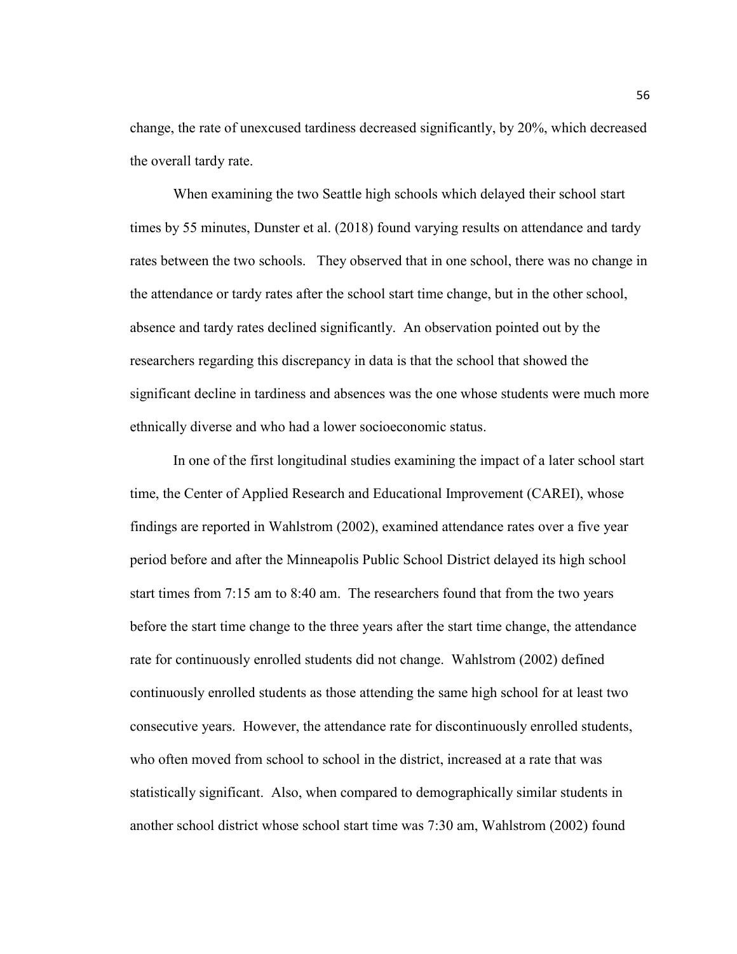change, the rate of unexcused tardiness decreased significantly, by 20%, which decreased the overall tardy rate.

When examining the two Seattle high schools which delayed their school start times by 55 minutes, Dunster et al. (2018) found varying results on attendance and tardy rates between the two schools. They observed that in one school, there was no change in the attendance or tardy rates after the school start time change, but in the other school, absence and tardy rates declined significantly. An observation pointed out by the researchers regarding this discrepancy in data is that the school that showed the significant decline in tardiness and absences was the one whose students were much more ethnically diverse and who had a lower socioeconomic status.

In one of the first longitudinal studies examining the impact of a later school start time, the Center of Applied Research and Educational Improvement (CAREI), whose findings are reported in Wahlstrom (2002), examined attendance rates over a five year period before and after the Minneapolis Public School District delayed its high school start times from 7:15 am to 8:40 am. The researchers found that from the two years before the start time change to the three years after the start time change, the attendance rate for continuously enrolled students did not change. Wahlstrom (2002) defined continuously enrolled students as those attending the same high school for at least two consecutive years. However, the attendance rate for discontinuously enrolled students, who often moved from school to school in the district, increased at a rate that was statistically significant. Also, when compared to demographically similar students in another school district whose school start time was 7:30 am, Wahlstrom (2002) found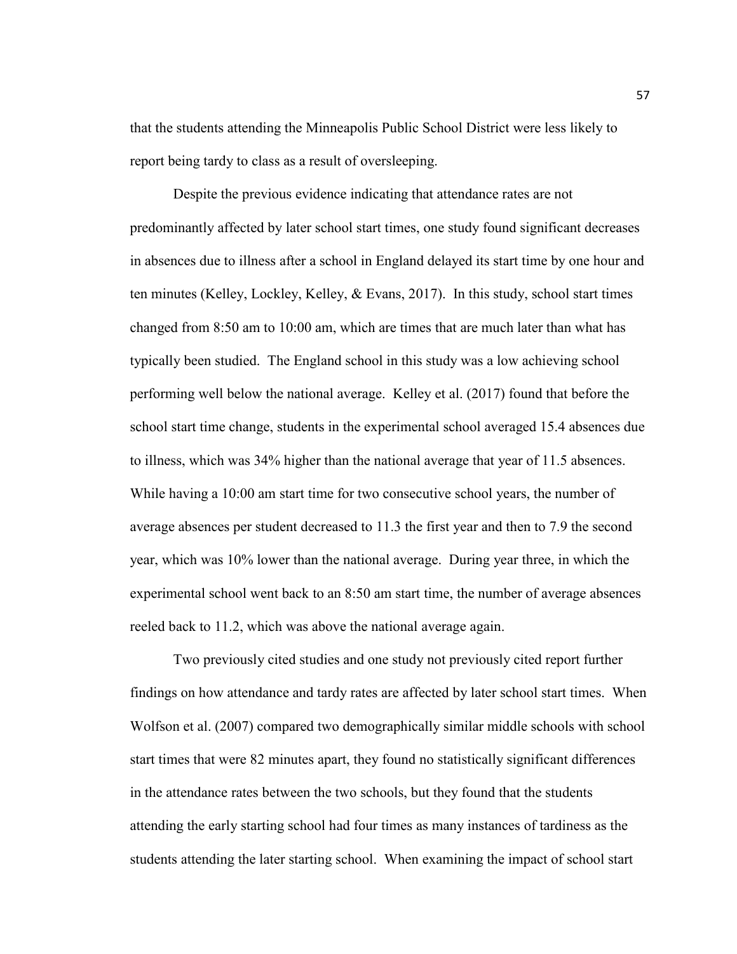that the students attending the Minneapolis Public School District were less likely to report being tardy to class as a result of oversleeping.

Despite the previous evidence indicating that attendance rates are not predominantly affected by later school start times, one study found significant decreases in absences due to illness after a school in England delayed its start time by one hour and ten minutes (Kelley, Lockley, Kelley, & Evans, 2017). In this study, school start times changed from 8:50 am to 10:00 am, which are times that are much later than what has typically been studied. The England school in this study was a low achieving school performing well below the national average. Kelley et al. (2017) found that before the school start time change, students in the experimental school averaged 15.4 absences due to illness, which was 34% higher than the national average that year of 11.5 absences. While having a 10:00 am start time for two consecutive school years, the number of average absences per student decreased to 11.3 the first year and then to 7.9 the second year, which was 10% lower than the national average. During year three, in which the experimental school went back to an 8:50 am start time, the number of average absences reeled back to 11.2, which was above the national average again.

Two previously cited studies and one study not previously cited report further findings on how attendance and tardy rates are affected by later school start times. When Wolfson et al. (2007) compared two demographically similar middle schools with school start times that were 82 minutes apart, they found no statistically significant differences in the attendance rates between the two schools, but they found that the students attending the early starting school had four times as many instances of tardiness as the students attending the later starting school. When examining the impact of school start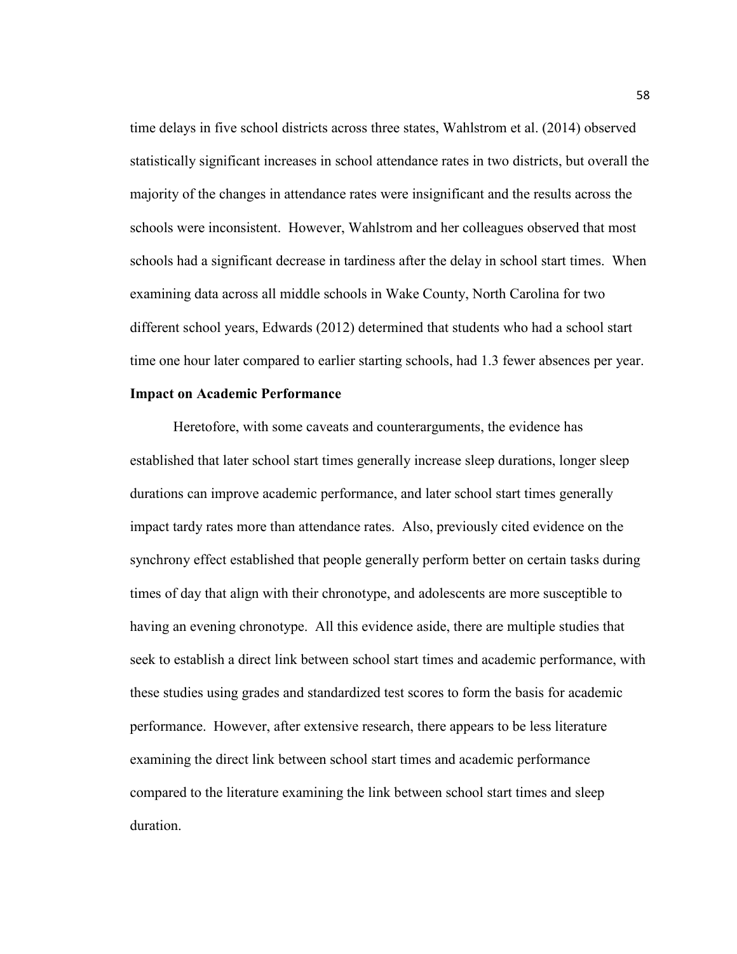time delays in five school districts across three states, Wahlstrom et al. (2014) observed statistically significant increases in school attendance rates in two districts, but overall the majority of the changes in attendance rates were insignificant and the results across the schools were inconsistent. However, Wahlstrom and her colleagues observed that most schools had a significant decrease in tardiness after the delay in school start times. When examining data across all middle schools in Wake County, North Carolina for two different school years, Edwards (2012) determined that students who had a school start time one hour later compared to earlier starting schools, had 1.3 fewer absences per year.

## **Impact on Academic Performance**

Heretofore, with some caveats and counterarguments, the evidence has established that later school start times generally increase sleep durations, longer sleep durations can improve academic performance, and later school start times generally impact tardy rates more than attendance rates. Also, previously cited evidence on the synchrony effect established that people generally perform better on certain tasks during times of day that align with their chronotype, and adolescents are more susceptible to having an evening chronotype. All this evidence aside, there are multiple studies that seek to establish a direct link between school start times and academic performance, with these studies using grades and standardized test scores to form the basis for academic performance. However, after extensive research, there appears to be less literature examining the direct link between school start times and academic performance compared to the literature examining the link between school start times and sleep duration.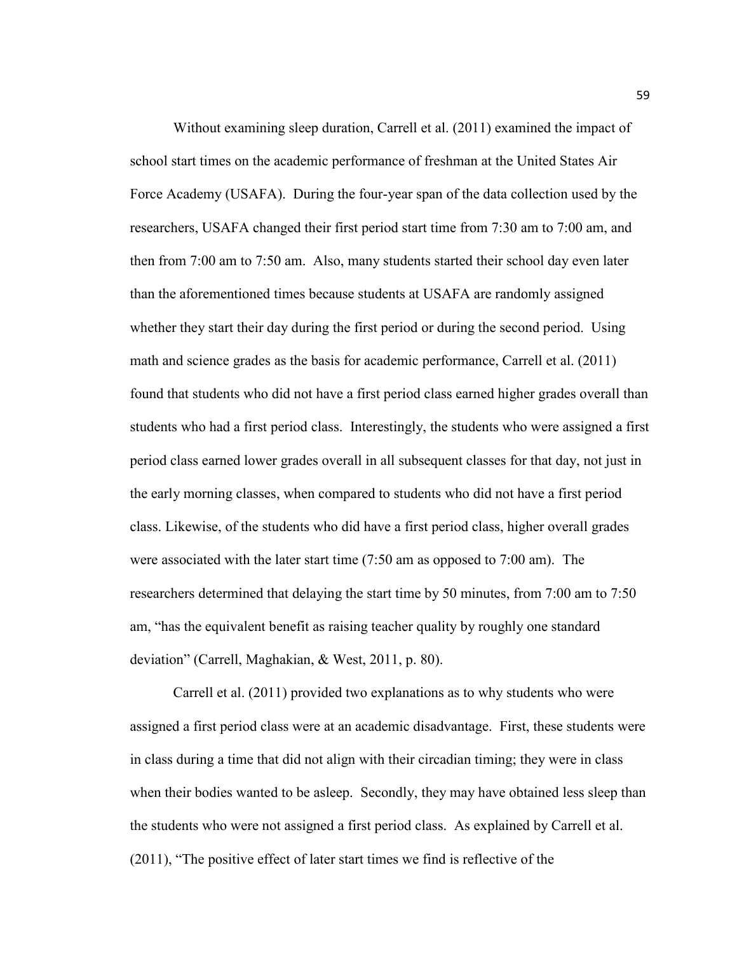Without examining sleep duration, Carrell et al. (2011) examined the impact of school start times on the academic performance of freshman at the United States Air Force Academy (USAFA). During the four-year span of the data collection used by the researchers, USAFA changed their first period start time from 7:30 am to 7:00 am, and then from 7:00 am to 7:50 am. Also, many students started their school day even later than the aforementioned times because students at USAFA are randomly assigned whether they start their day during the first period or during the second period. Using math and science grades as the basis for academic performance, Carrell et al. (2011) found that students who did not have a first period class earned higher grades overall than students who had a first period class. Interestingly, the students who were assigned a first period class earned lower grades overall in all subsequent classes for that day, not just in the early morning classes, when compared to students who did not have a first period class. Likewise, of the students who did have a first period class, higher overall grades were associated with the later start time (7:50 am as opposed to 7:00 am). The researchers determined that delaying the start time by 50 minutes, from 7:00 am to 7:50 am, "has the equivalent benefit as raising teacher quality by roughly one standard deviation" (Carrell, Maghakian, & West, 2011, p. 80).

Carrell et al. (2011) provided two explanations as to why students who were assigned a first period class were at an academic disadvantage. First, these students were in class during a time that did not align with their circadian timing; they were in class when their bodies wanted to be asleep. Secondly, they may have obtained less sleep than the students who were not assigned a first period class. As explained by Carrell et al. (2011), "The positive effect of later start times we find is reflective of the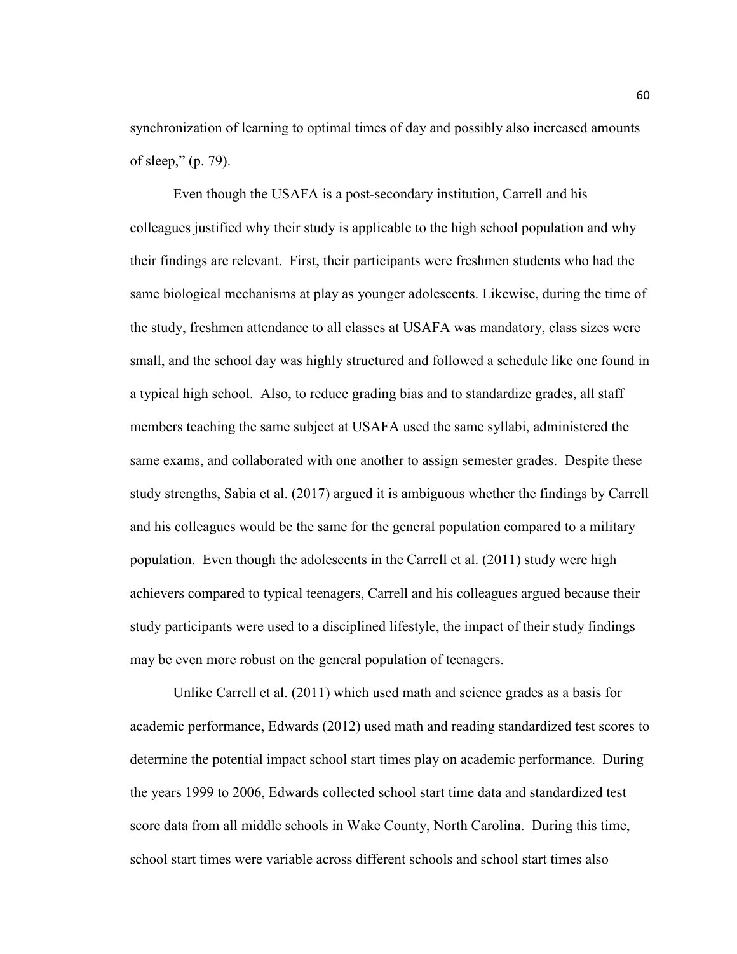synchronization of learning to optimal times of day and possibly also increased amounts of sleep," (p. 79).

Even though the USAFA is a post-secondary institution, Carrell and his colleagues justified why their study is applicable to the high school population and why their findings are relevant. First, their participants were freshmen students who had the same biological mechanisms at play as younger adolescents. Likewise, during the time of the study, freshmen attendance to all classes at USAFA was mandatory, class sizes were small, and the school day was highly structured and followed a schedule like one found in a typical high school. Also, to reduce grading bias and to standardize grades, all staff members teaching the same subject at USAFA used the same syllabi, administered the same exams, and collaborated with one another to assign semester grades. Despite these study strengths, Sabia et al. (2017) argued it is ambiguous whether the findings by Carrell and his colleagues would be the same for the general population compared to a military population. Even though the adolescents in the Carrell et al. (2011) study were high achievers compared to typical teenagers, Carrell and his colleagues argued because their study participants were used to a disciplined lifestyle, the impact of their study findings may be even more robust on the general population of teenagers.

Unlike Carrell et al. (2011) which used math and science grades as a basis for academic performance, Edwards (2012) used math and reading standardized test scores to determine the potential impact school start times play on academic performance. During the years 1999 to 2006, Edwards collected school start time data and standardized test score data from all middle schools in Wake County, North Carolina. During this time, school start times were variable across different schools and school start times also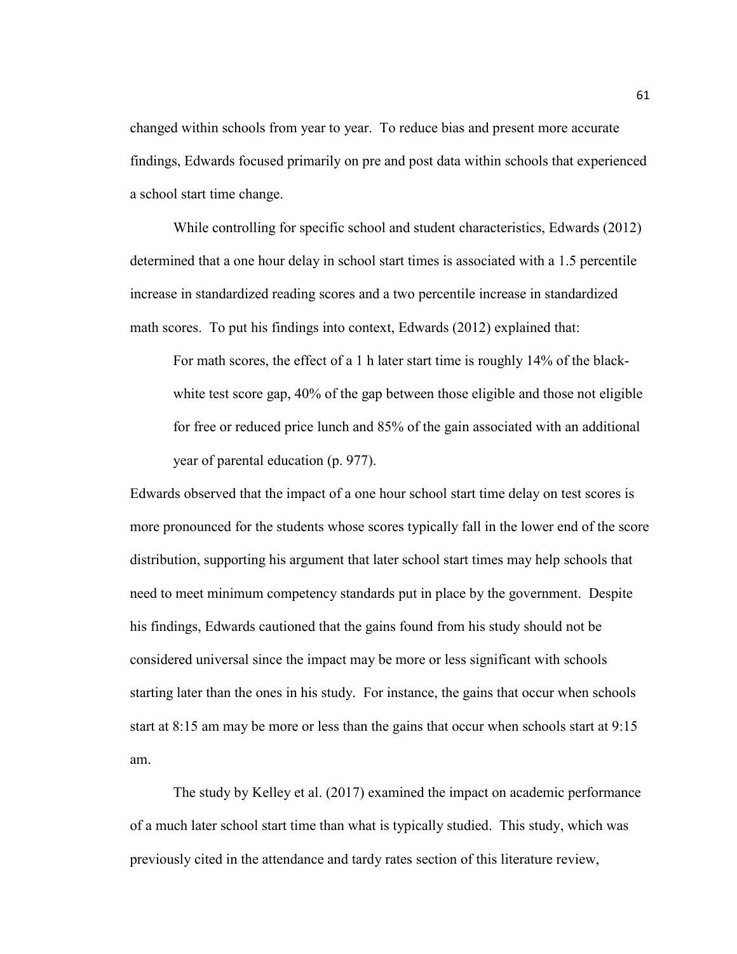changed within schools from year to year. To reduce bias and present more accurate findings, Edwards focused primarily on pre and post data within schools that experienced a school start time change.

While controlling for specific school and student characteristics, Edwards (2012) determined that a one hour delay in school start times is associated with a 1.5 percentile increase in standardized reading scores and a two percentile increase in standardized math scores. To put his findings into context, Edwards (2012) explained that:

For math scores, the effect of a 1 h later start time is roughly 14% of the blackwhite test score gap, 40% of the gap between those eligible and those not eligible for free or reduced price lunch and 85% of the gain associated with an additional year of parental education (p. 977).

Edwards observed that the impact of a one hour school start time delay on test scores is more pronounced for the students whose scores typically fall in the lower end of the score distribution, supporting his argument that later school start times may help schools that need to meet minimum competency standards put in place by the government. Despite his findings, Edwards cautioned that the gains found from his study should not be considered universal since the impact may be more or less significant with schools starting later than the ones in his study. For instance, the gains that occur when schools start at 8:15 am may be more or less than the gains that occur when schools start at 9:15 am.

The study by Kelley et al. (2017) examined the impact on academic performance of a much later school start time than what is typically studied. This study, which was previously cited in the attendance and tardy rates section of this literature review,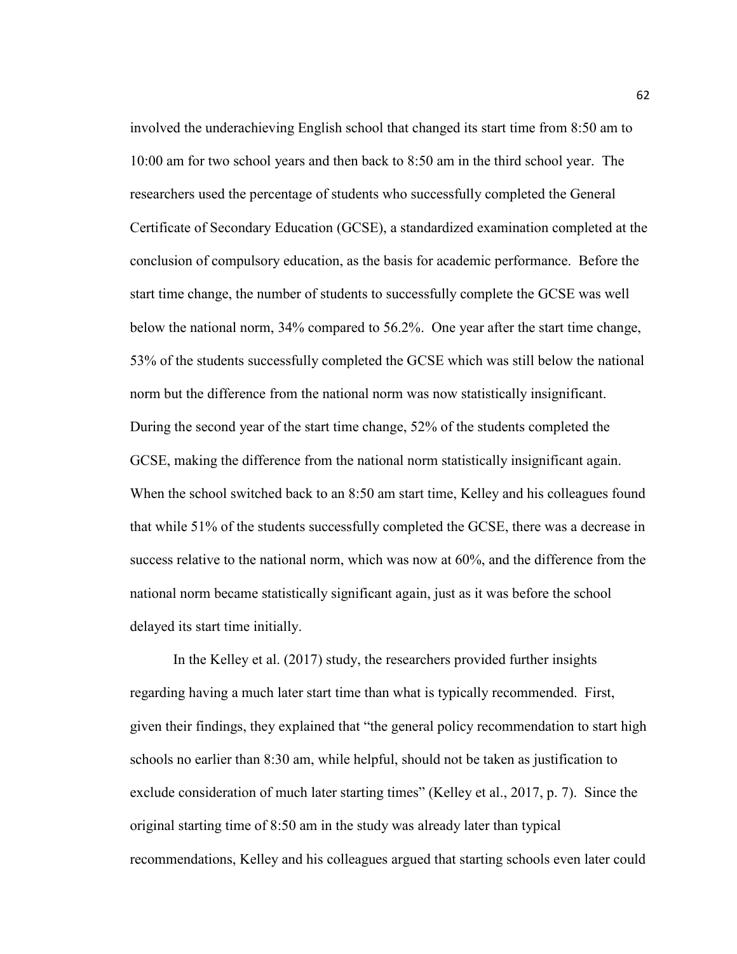involved the underachieving English school that changed its start time from 8:50 am to 10:00 am for two school years and then back to 8:50 am in the third school year. The researchers used the percentage of students who successfully completed the General Certificate of Secondary Education (GCSE), a standardized examination completed at the conclusion of compulsory education, as the basis for academic performance. Before the start time change, the number of students to successfully complete the GCSE was well below the national norm, 34% compared to 56.2%. One year after the start time change, 53% of the students successfully completed the GCSE which was still below the national norm but the difference from the national norm was now statistically insignificant. During the second year of the start time change, 52% of the students completed the GCSE, making the difference from the national norm statistically insignificant again. When the school switched back to an 8:50 am start time, Kelley and his colleagues found that while 51% of the students successfully completed the GCSE, there was a decrease in success relative to the national norm, which was now at 60%, and the difference from the national norm became statistically significant again, just as it was before the school delayed its start time initially.

 In the Kelley et al. (2017) study, the researchers provided further insights regarding having a much later start time than what is typically recommended. First, given their findings, they explained that "the general policy recommendation to start high schools no earlier than 8:30 am, while helpful, should not be taken as justification to exclude consideration of much later starting times" (Kelley et al., 2017, p. 7). Since the original starting time of 8:50 am in the study was already later than typical recommendations, Kelley and his colleagues argued that starting schools even later could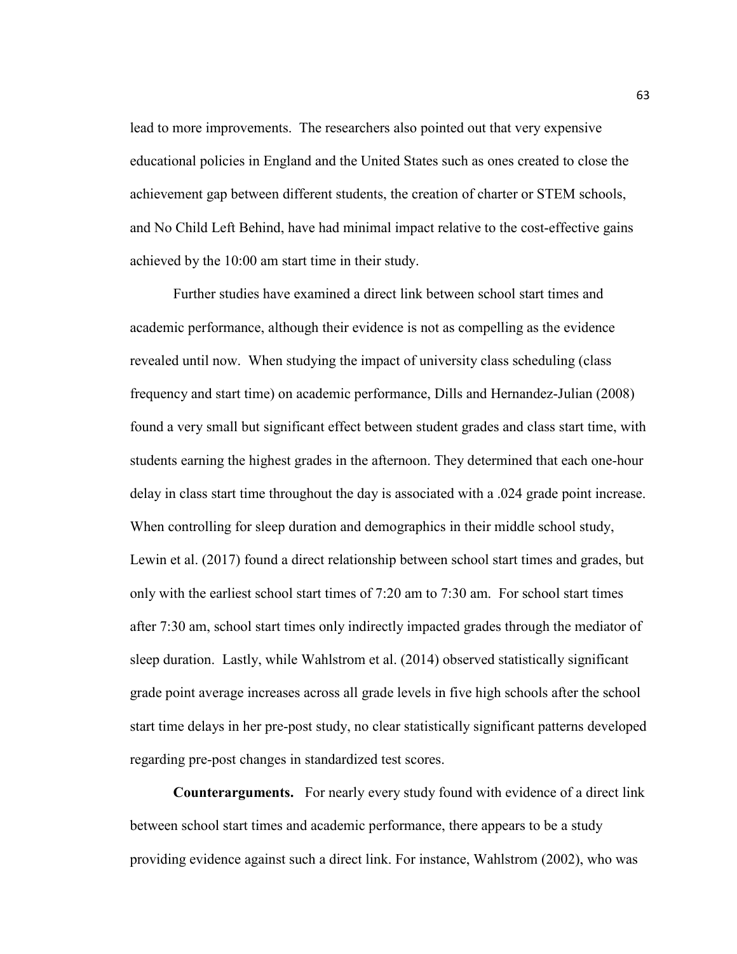lead to more improvements. The researchers also pointed out that very expensive educational policies in England and the United States such as ones created to close the achievement gap between different students, the creation of charter or STEM schools, and No Child Left Behind, have had minimal impact relative to the cost-effective gains achieved by the 10:00 am start time in their study.

 Further studies have examined a direct link between school start times and academic performance, although their evidence is not as compelling as the evidence revealed until now. When studying the impact of university class scheduling (class frequency and start time) on academic performance, Dills and Hernandez-Julian (2008) found a very small but significant effect between student grades and class start time, with students earning the highest grades in the afternoon. They determined that each one-hour delay in class start time throughout the day is associated with a .024 grade point increase. When controlling for sleep duration and demographics in their middle school study, Lewin et al. (2017) found a direct relationship between school start times and grades, but only with the earliest school start times of 7:20 am to 7:30 am. For school start times after 7:30 am, school start times only indirectly impacted grades through the mediator of sleep duration. Lastly, while Wahlstrom et al. (2014) observed statistically significant grade point average increases across all grade levels in five high schools after the school start time delays in her pre-post study, no clear statistically significant patterns developed regarding pre-post changes in standardized test scores.

**Counterarguments.** For nearly every study found with evidence of a direct link between school start times and academic performance, there appears to be a study providing evidence against such a direct link. For instance, Wahlstrom (2002), who was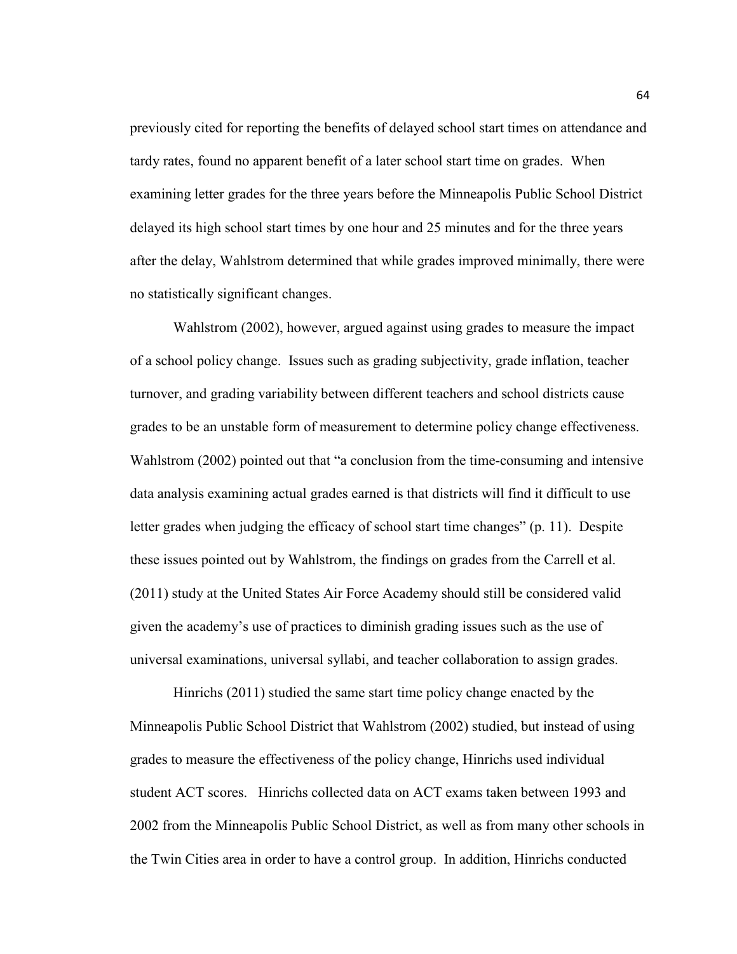previously cited for reporting the benefits of delayed school start times on attendance and tardy rates, found no apparent benefit of a later school start time on grades. When examining letter grades for the three years before the Minneapolis Public School District delayed its high school start times by one hour and 25 minutes and for the three years after the delay, Wahlstrom determined that while grades improved minimally, there were no statistically significant changes.

Wahlstrom (2002), however, argued against using grades to measure the impact of a school policy change. Issues such as grading subjectivity, grade inflation, teacher turnover, and grading variability between different teachers and school districts cause grades to be an unstable form of measurement to determine policy change effectiveness. Wahlstrom (2002) pointed out that "a conclusion from the time-consuming and intensive data analysis examining actual grades earned is that districts will find it difficult to use letter grades when judging the efficacy of school start time changes" (p. 11). Despite these issues pointed out by Wahlstrom, the findings on grades from the Carrell et al. (2011) study at the United States Air Force Academy should still be considered valid given the academy's use of practices to diminish grading issues such as the use of universal examinations, universal syllabi, and teacher collaboration to assign grades.

Hinrichs (2011) studied the same start time policy change enacted by the Minneapolis Public School District that Wahlstrom (2002) studied, but instead of using grades to measure the effectiveness of the policy change, Hinrichs used individual student ACT scores. Hinrichs collected data on ACT exams taken between 1993 and 2002 from the Minneapolis Public School District, as well as from many other schools in the Twin Cities area in order to have a control group. In addition, Hinrichs conducted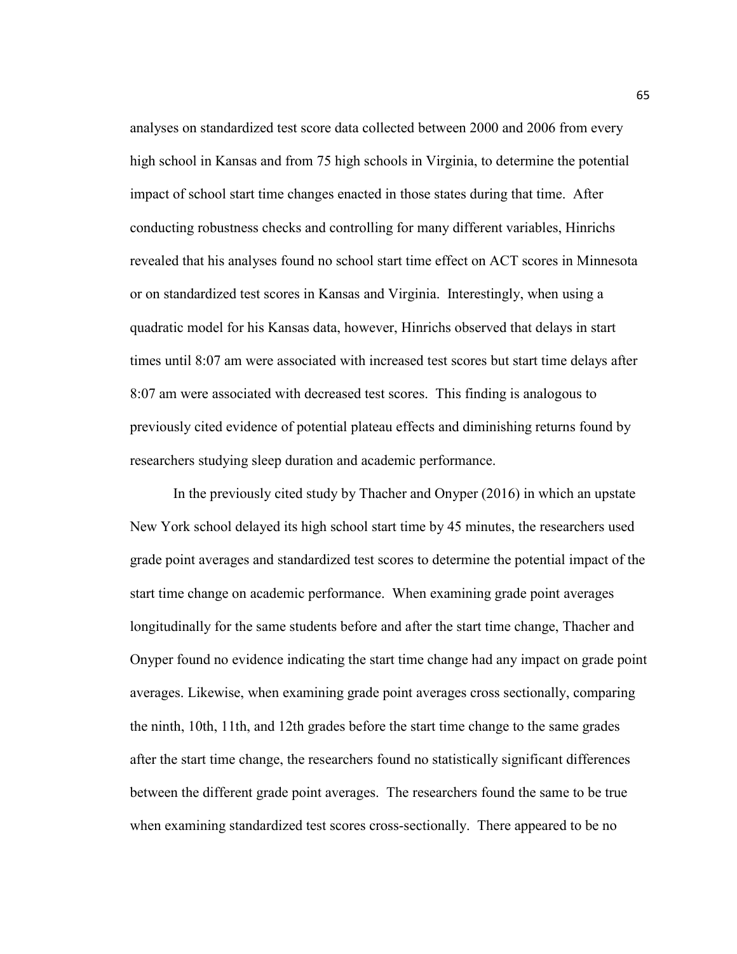analyses on standardized test score data collected between 2000 and 2006 from every high school in Kansas and from 75 high schools in Virginia, to determine the potential impact of school start time changes enacted in those states during that time. After conducting robustness checks and controlling for many different variables, Hinrichs revealed that his analyses found no school start time effect on ACT scores in Minnesota or on standardized test scores in Kansas and Virginia. Interestingly, when using a quadratic model for his Kansas data, however, Hinrichs observed that delays in start times until 8:07 am were associated with increased test scores but start time delays after 8:07 am were associated with decreased test scores. This finding is analogous to previously cited evidence of potential plateau effects and diminishing returns found by researchers studying sleep duration and academic performance.

In the previously cited study by Thacher and Onyper (2016) in which an upstate New York school delayed its high school start time by 45 minutes, the researchers used grade point averages and standardized test scores to determine the potential impact of the start time change on academic performance. When examining grade point averages longitudinally for the same students before and after the start time change, Thacher and Onyper found no evidence indicating the start time change had any impact on grade point averages. Likewise, when examining grade point averages cross sectionally, comparing the ninth, 10th, 11th, and 12th grades before the start time change to the same grades after the start time change, the researchers found no statistically significant differences between the different grade point averages. The researchers found the same to be true when examining standardized test scores cross-sectionally. There appeared to be no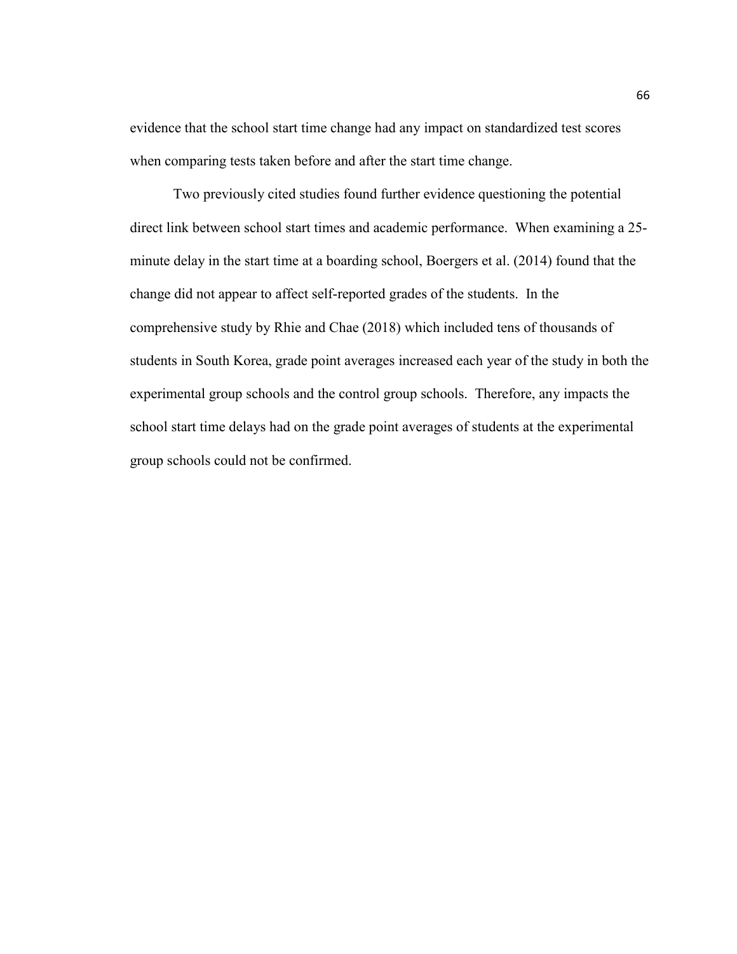evidence that the school start time change had any impact on standardized test scores when comparing tests taken before and after the start time change.

Two previously cited studies found further evidence questioning the potential direct link between school start times and academic performance. When examining a 25 minute delay in the start time at a boarding school, Boergers et al. (2014) found that the change did not appear to affect self-reported grades of the students. In the comprehensive study by Rhie and Chae (2018) which included tens of thousands of students in South Korea, grade point averages increased each year of the study in both the experimental group schools and the control group schools. Therefore, any impacts the school start time delays had on the grade point averages of students at the experimental group schools could not be confirmed.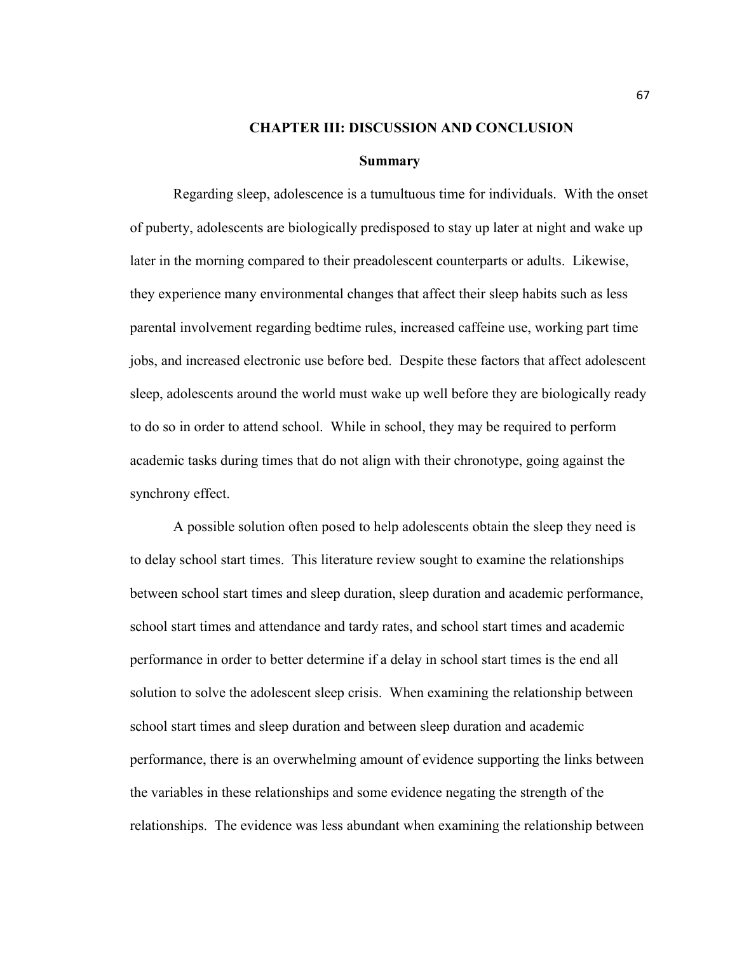### **CHAPTER III: DISCUSSION AND CONCLUSION**

#### **Summary**

Regarding sleep, adolescence is a tumultuous time for individuals. With the onset of puberty, adolescents are biologically predisposed to stay up later at night and wake up later in the morning compared to their preadolescent counterparts or adults. Likewise, they experience many environmental changes that affect their sleep habits such as less parental involvement regarding bedtime rules, increased caffeine use, working part time jobs, and increased electronic use before bed. Despite these factors that affect adolescent sleep, adolescents around the world must wake up well before they are biologically ready to do so in order to attend school. While in school, they may be required to perform academic tasks during times that do not align with their chronotype, going against the synchrony effect.

 A possible solution often posed to help adolescents obtain the sleep they need is to delay school start times. This literature review sought to examine the relationships between school start times and sleep duration, sleep duration and academic performance, school start times and attendance and tardy rates, and school start times and academic performance in order to better determine if a delay in school start times is the end all solution to solve the adolescent sleep crisis. When examining the relationship between school start times and sleep duration and between sleep duration and academic performance, there is an overwhelming amount of evidence supporting the links between the variables in these relationships and some evidence negating the strength of the relationships. The evidence was less abundant when examining the relationship between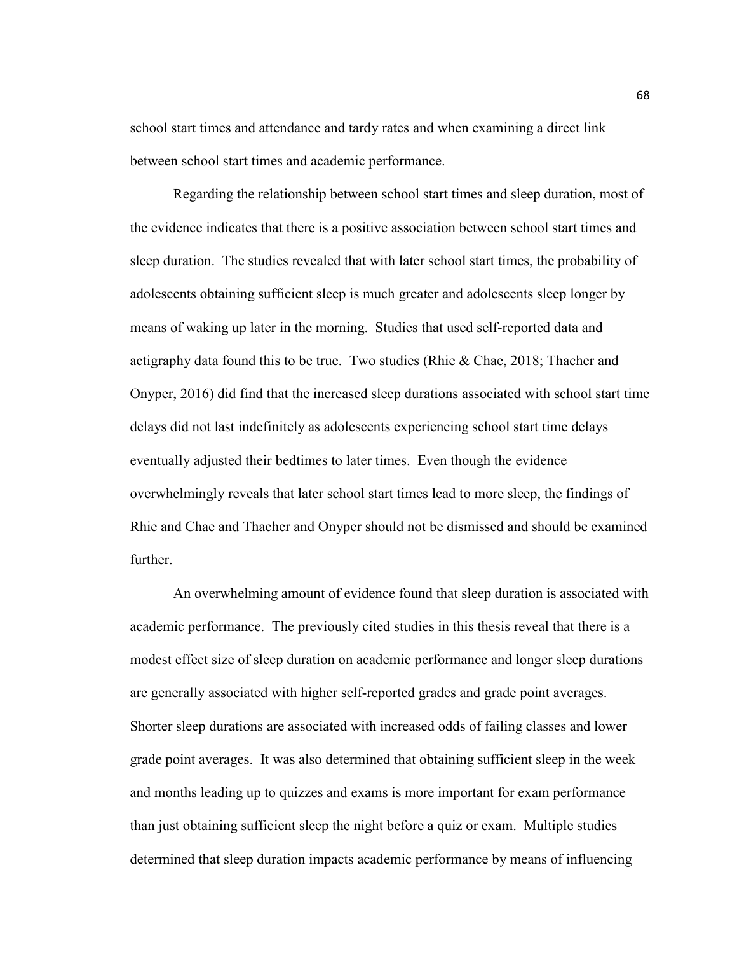school start times and attendance and tardy rates and when examining a direct link between school start times and academic performance.

Regarding the relationship between school start times and sleep duration, most of the evidence indicates that there is a positive association between school start times and sleep duration. The studies revealed that with later school start times, the probability of adolescents obtaining sufficient sleep is much greater and adolescents sleep longer by means of waking up later in the morning. Studies that used self-reported data and actigraphy data found this to be true. Two studies (Rhie & Chae, 2018; Thacher and Onyper, 2016) did find that the increased sleep durations associated with school start time delays did not last indefinitely as adolescents experiencing school start time delays eventually adjusted their bedtimes to later times. Even though the evidence overwhelmingly reveals that later school start times lead to more sleep, the findings of Rhie and Chae and Thacher and Onyper should not be dismissed and should be examined further.

 An overwhelming amount of evidence found that sleep duration is associated with academic performance. The previously cited studies in this thesis reveal that there is a modest effect size of sleep duration on academic performance and longer sleep durations are generally associated with higher self-reported grades and grade point averages. Shorter sleep durations are associated with increased odds of failing classes and lower grade point averages. It was also determined that obtaining sufficient sleep in the week and months leading up to quizzes and exams is more important for exam performance than just obtaining sufficient sleep the night before a quiz or exam. Multiple studies determined that sleep duration impacts academic performance by means of influencing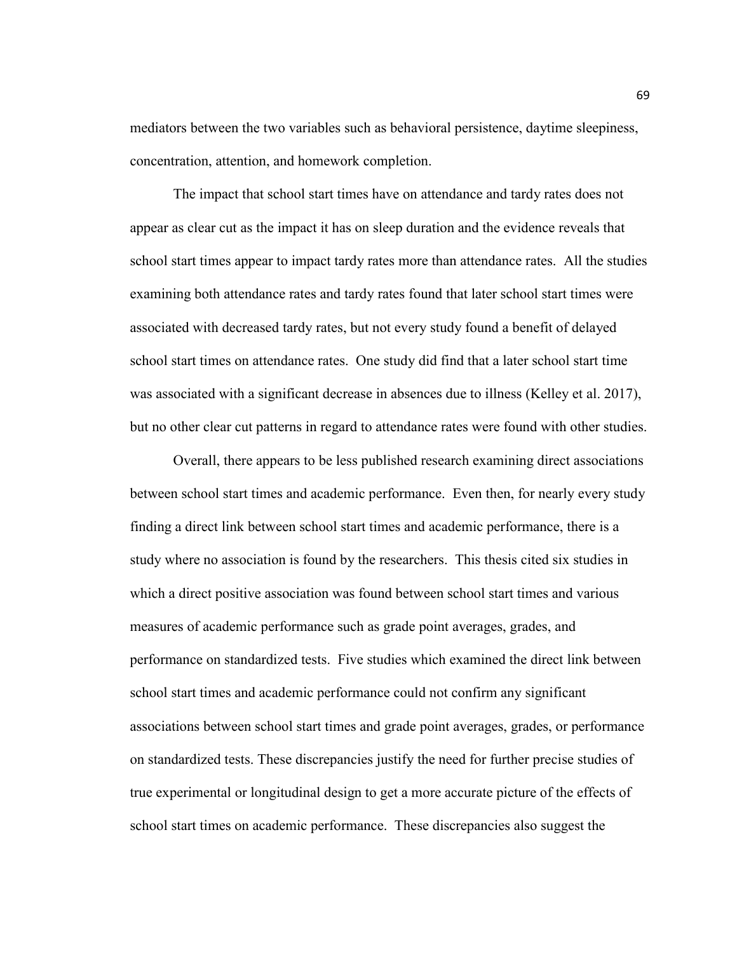mediators between the two variables such as behavioral persistence, daytime sleepiness, concentration, attention, and homework completion.

The impact that school start times have on attendance and tardy rates does not appear as clear cut as the impact it has on sleep duration and the evidence reveals that school start times appear to impact tardy rates more than attendance rates. All the studies examining both attendance rates and tardy rates found that later school start times were associated with decreased tardy rates, but not every study found a benefit of delayed school start times on attendance rates. One study did find that a later school start time was associated with a significant decrease in absences due to illness (Kelley et al. 2017), but no other clear cut patterns in regard to attendance rates were found with other studies.

Overall, there appears to be less published research examining direct associations between school start times and academic performance. Even then, for nearly every study finding a direct link between school start times and academic performance, there is a study where no association is found by the researchers. This thesis cited six studies in which a direct positive association was found between school start times and various measures of academic performance such as grade point averages, grades, and performance on standardized tests. Five studies which examined the direct link between school start times and academic performance could not confirm any significant associations between school start times and grade point averages, grades, or performance on standardized tests. These discrepancies justify the need for further precise studies of true experimental or longitudinal design to get a more accurate picture of the effects of school start times on academic performance. These discrepancies also suggest the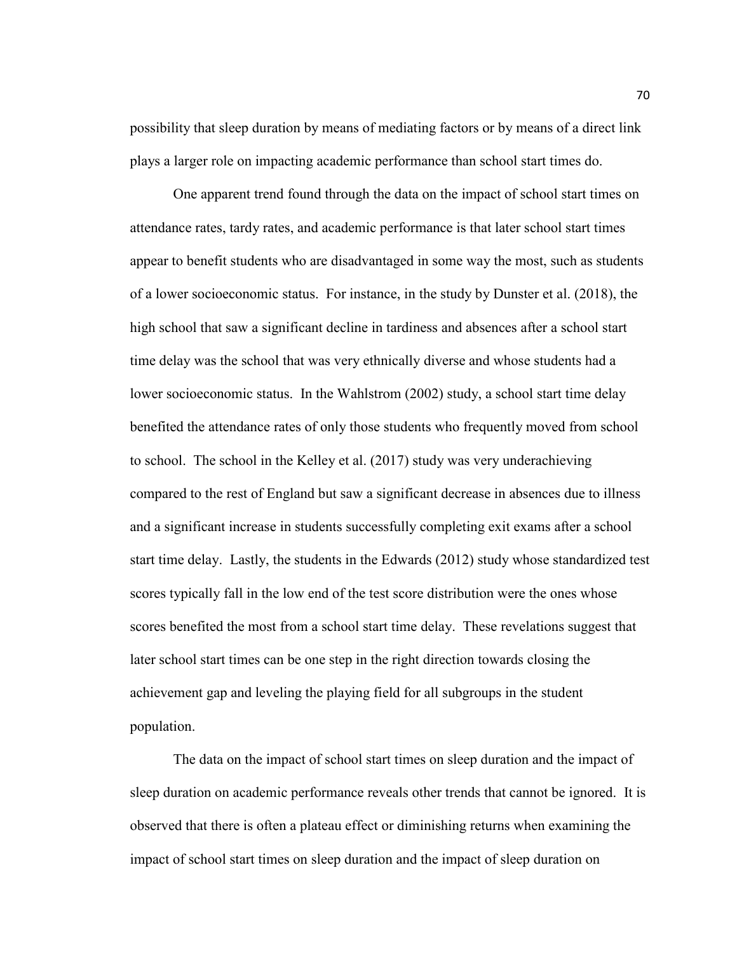possibility that sleep duration by means of mediating factors or by means of a direct link plays a larger role on impacting academic performance than school start times do.

One apparent trend found through the data on the impact of school start times on attendance rates, tardy rates, and academic performance is that later school start times appear to benefit students who are disadvantaged in some way the most, such as students of a lower socioeconomic status. For instance, in the study by Dunster et al. (2018), the high school that saw a significant decline in tardiness and absences after a school start time delay was the school that was very ethnically diverse and whose students had a lower socioeconomic status. In the Wahlstrom (2002) study, a school start time delay benefited the attendance rates of only those students who frequently moved from school to school. The school in the Kelley et al. (2017) study was very underachieving compared to the rest of England but saw a significant decrease in absences due to illness and a significant increase in students successfully completing exit exams after a school start time delay. Lastly, the students in the Edwards (2012) study whose standardized test scores typically fall in the low end of the test score distribution were the ones whose scores benefited the most from a school start time delay. These revelations suggest that later school start times can be one step in the right direction towards closing the achievement gap and leveling the playing field for all subgroups in the student population.

The data on the impact of school start times on sleep duration and the impact of sleep duration on academic performance reveals other trends that cannot be ignored. It is observed that there is often a plateau effect or diminishing returns when examining the impact of school start times on sleep duration and the impact of sleep duration on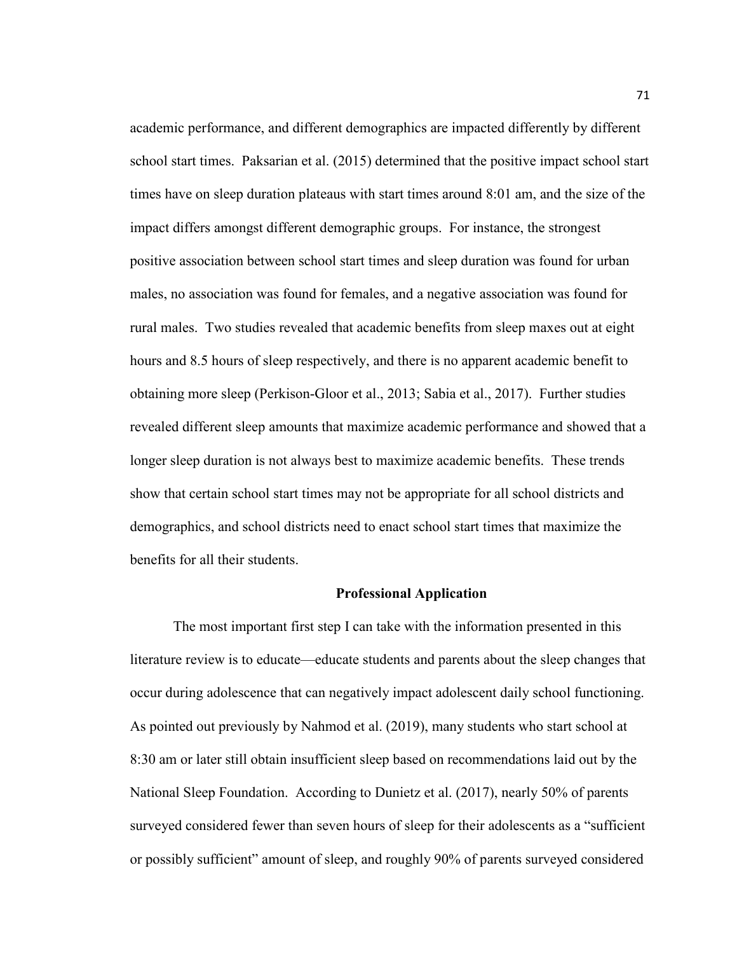academic performance, and different demographics are impacted differently by different school start times. Paksarian et al. (2015) determined that the positive impact school start times have on sleep duration plateaus with start times around 8:01 am, and the size of the impact differs amongst different demographic groups. For instance, the strongest positive association between school start times and sleep duration was found for urban males, no association was found for females, and a negative association was found for rural males. Two studies revealed that academic benefits from sleep maxes out at eight hours and 8.5 hours of sleep respectively, and there is no apparent academic benefit to obtaining more sleep (Perkison-Gloor et al., 2013; Sabia et al., 2017). Further studies revealed different sleep amounts that maximize academic performance and showed that a longer sleep duration is not always best to maximize academic benefits. These trends show that certain school start times may not be appropriate for all school districts and demographics, and school districts need to enact school start times that maximize the benefits for all their students.

## **Professional Application**

The most important first step I can take with the information presented in this literature review is to educate—educate students and parents about the sleep changes that occur during adolescence that can negatively impact adolescent daily school functioning. As pointed out previously by Nahmod et al. (2019), many students who start school at 8:30 am or later still obtain insufficient sleep based on recommendations laid out by the National Sleep Foundation. According to Dunietz et al. (2017), nearly 50% of parents surveyed considered fewer than seven hours of sleep for their adolescents as a "sufficient or possibly sufficient" amount of sleep, and roughly 90% of parents surveyed considered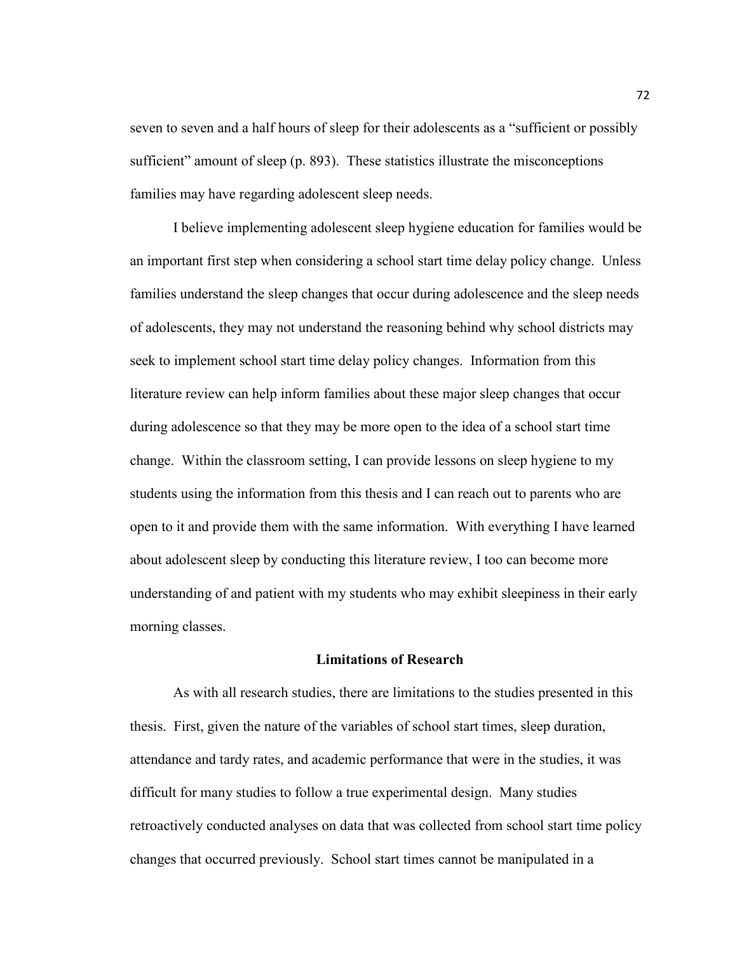seven to seven and a half hours of sleep for their adolescents as a "sufficient or possibly sufficient" amount of sleep (p. 893). These statistics illustrate the misconceptions families may have regarding adolescent sleep needs.

I believe implementing adolescent sleep hygiene education for families would be an important first step when considering a school start time delay policy change. Unless families understand the sleep changes that occur during adolescence and the sleep needs of adolescents, they may not understand the reasoning behind why school districts may seek to implement school start time delay policy changes. Information from this literature review can help inform families about these major sleep changes that occur during adolescence so that they may be more open to the idea of a school start time change. Within the classroom setting, I can provide lessons on sleep hygiene to my students using the information from this thesis and I can reach out to parents who are open to it and provide them with the same information. With everything I have learned about adolescent sleep by conducting this literature review, I too can become more understanding of and patient with my students who may exhibit sleepiness in their early morning classes.

## **Limitations of Research**

As with all research studies, there are limitations to the studies presented in this thesis. First, given the nature of the variables of school start times, sleep duration, attendance and tardy rates, and academic performance that were in the studies, it was difficult for many studies to follow a true experimental design. Many studies retroactively conducted analyses on data that was collected from school start time policy changes that occurred previously. School start times cannot be manipulated in a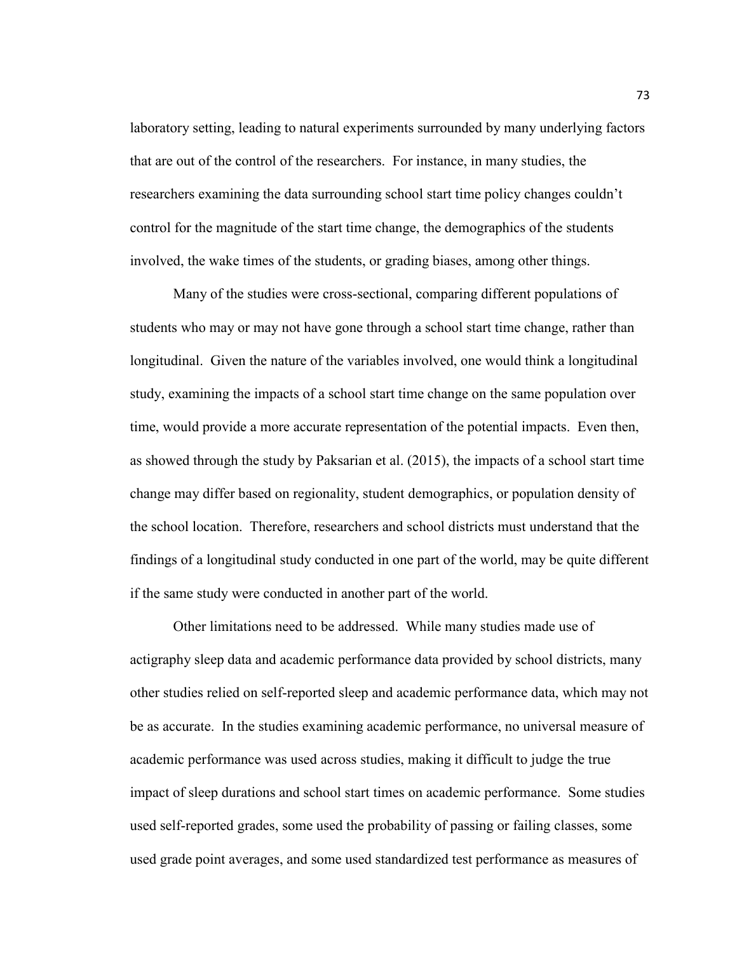laboratory setting, leading to natural experiments surrounded by many underlying factors that are out of the control of the researchers. For instance, in many studies, the researchers examining the data surrounding school start time policy changes couldn't control for the magnitude of the start time change, the demographics of the students involved, the wake times of the students, or grading biases, among other things.

 Many of the studies were cross-sectional, comparing different populations of students who may or may not have gone through a school start time change, rather than longitudinal. Given the nature of the variables involved, one would think a longitudinal study, examining the impacts of a school start time change on the same population over time, would provide a more accurate representation of the potential impacts. Even then, as showed through the study by Paksarian et al. (2015), the impacts of a school start time change may differ based on regionality, student demographics, or population density of the school location. Therefore, researchers and school districts must understand that the findings of a longitudinal study conducted in one part of the world, may be quite different if the same study were conducted in another part of the world.

 Other limitations need to be addressed. While many studies made use of actigraphy sleep data and academic performance data provided by school districts, many other studies relied on self-reported sleep and academic performance data, which may not be as accurate. In the studies examining academic performance, no universal measure of academic performance was used across studies, making it difficult to judge the true impact of sleep durations and school start times on academic performance. Some studies used self-reported grades, some used the probability of passing or failing classes, some used grade point averages, and some used standardized test performance as measures of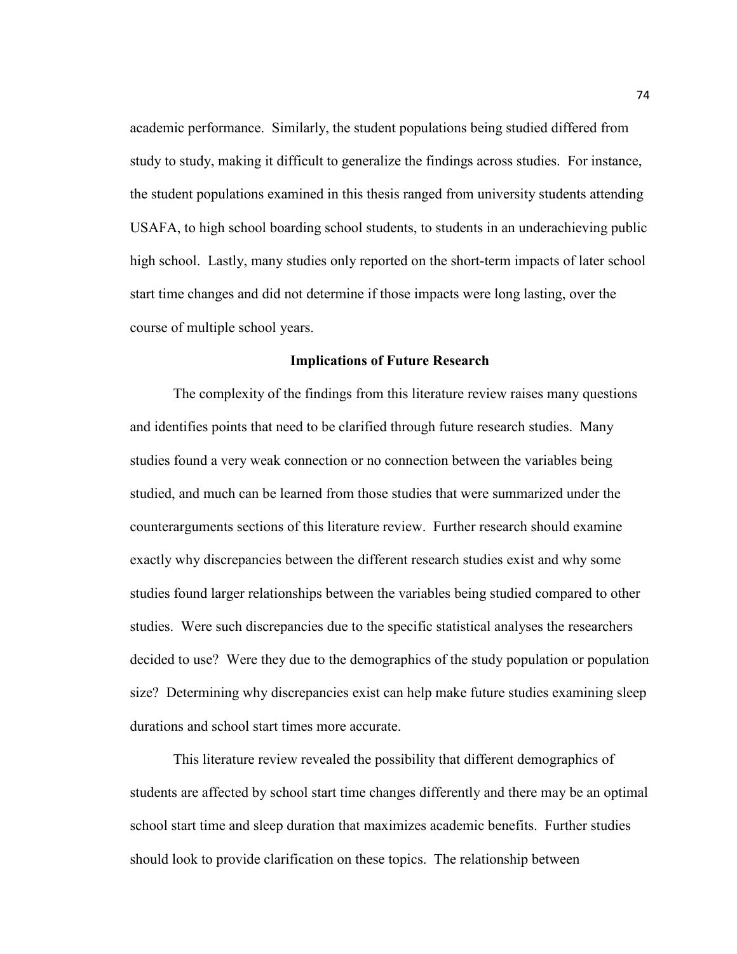academic performance. Similarly, the student populations being studied differed from study to study, making it difficult to generalize the findings across studies. For instance, the student populations examined in this thesis ranged from university students attending USAFA, to high school boarding school students, to students in an underachieving public high school. Lastly, many studies only reported on the short-term impacts of later school start time changes and did not determine if those impacts were long lasting, over the course of multiple school years.

## **Implications of Future Research**

The complexity of the findings from this literature review raises many questions and identifies points that need to be clarified through future research studies. Many studies found a very weak connection or no connection between the variables being studied, and much can be learned from those studies that were summarized under the counterarguments sections of this literature review. Further research should examine exactly why discrepancies between the different research studies exist and why some studies found larger relationships between the variables being studied compared to other studies. Were such discrepancies due to the specific statistical analyses the researchers decided to use? Were they due to the demographics of the study population or population size? Determining why discrepancies exist can help make future studies examining sleep durations and school start times more accurate.

This literature review revealed the possibility that different demographics of students are affected by school start time changes differently and there may be an optimal school start time and sleep duration that maximizes academic benefits. Further studies should look to provide clarification on these topics. The relationship between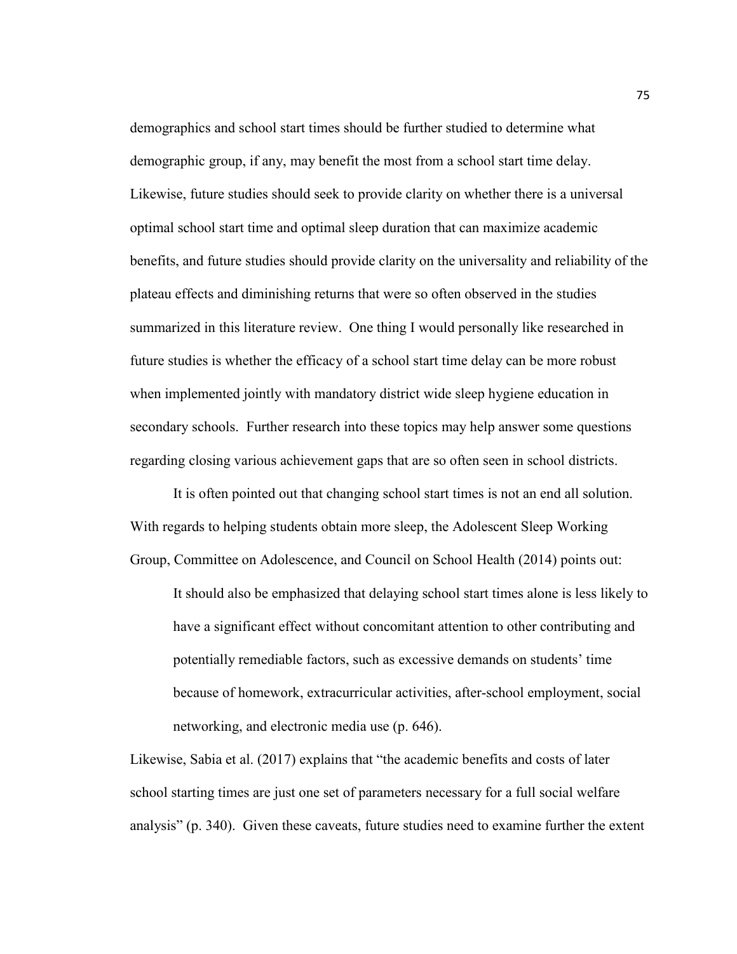demographics and school start times should be further studied to determine what demographic group, if any, may benefit the most from a school start time delay. Likewise, future studies should seek to provide clarity on whether there is a universal optimal school start time and optimal sleep duration that can maximize academic benefits, and future studies should provide clarity on the universality and reliability of the plateau effects and diminishing returns that were so often observed in the studies summarized in this literature review. One thing I would personally like researched in future studies is whether the efficacy of a school start time delay can be more robust when implemented jointly with mandatory district wide sleep hygiene education in secondary schools. Further research into these topics may help answer some questions regarding closing various achievement gaps that are so often seen in school districts.

It is often pointed out that changing school start times is not an end all solution. With regards to helping students obtain more sleep, the Adolescent Sleep Working Group, Committee on Adolescence, and Council on School Health (2014) points out:

It should also be emphasized that delaying school start times alone is less likely to have a significant effect without concomitant attention to other contributing and potentially remediable factors, such as excessive demands on students' time because of homework, extracurricular activities, after-school employment, social networking, and electronic media use (p. 646).

Likewise, Sabia et al. (2017) explains that "the academic benefits and costs of later school starting times are just one set of parameters necessary for a full social welfare analysis" (p. 340). Given these caveats, future studies need to examine further the extent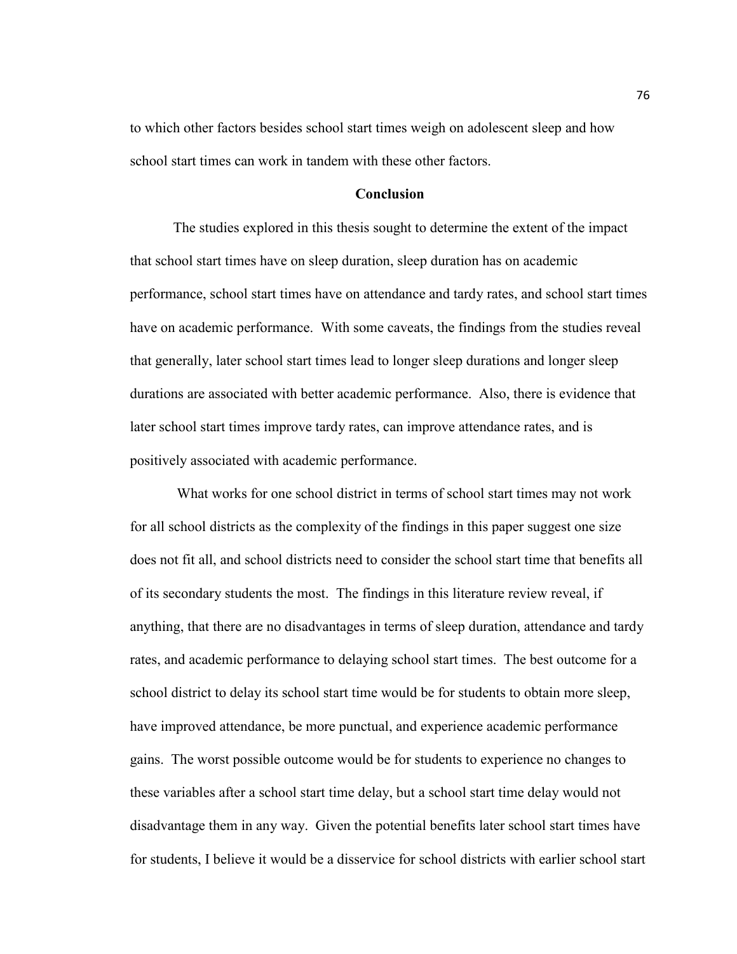to which other factors besides school start times weigh on adolescent sleep and how school start times can work in tandem with these other factors.

## **Conclusion**

The studies explored in this thesis sought to determine the extent of the impact that school start times have on sleep duration, sleep duration has on academic performance, school start times have on attendance and tardy rates, and school start times have on academic performance. With some caveats, the findings from the studies reveal that generally, later school start times lead to longer sleep durations and longer sleep durations are associated with better academic performance. Also, there is evidence that later school start times improve tardy rates, can improve attendance rates, and is positively associated with academic performance.

 What works for one school district in terms of school start times may not work for all school districts as the complexity of the findings in this paper suggest one size does not fit all, and school districts need to consider the school start time that benefits all of its secondary students the most. The findings in this literature review reveal, if anything, that there are no disadvantages in terms of sleep duration, attendance and tardy rates, and academic performance to delaying school start times. The best outcome for a school district to delay its school start time would be for students to obtain more sleep, have improved attendance, be more punctual, and experience academic performance gains. The worst possible outcome would be for students to experience no changes to these variables after a school start time delay, but a school start time delay would not disadvantage them in any way. Given the potential benefits later school start times have for students, I believe it would be a disservice for school districts with earlier school start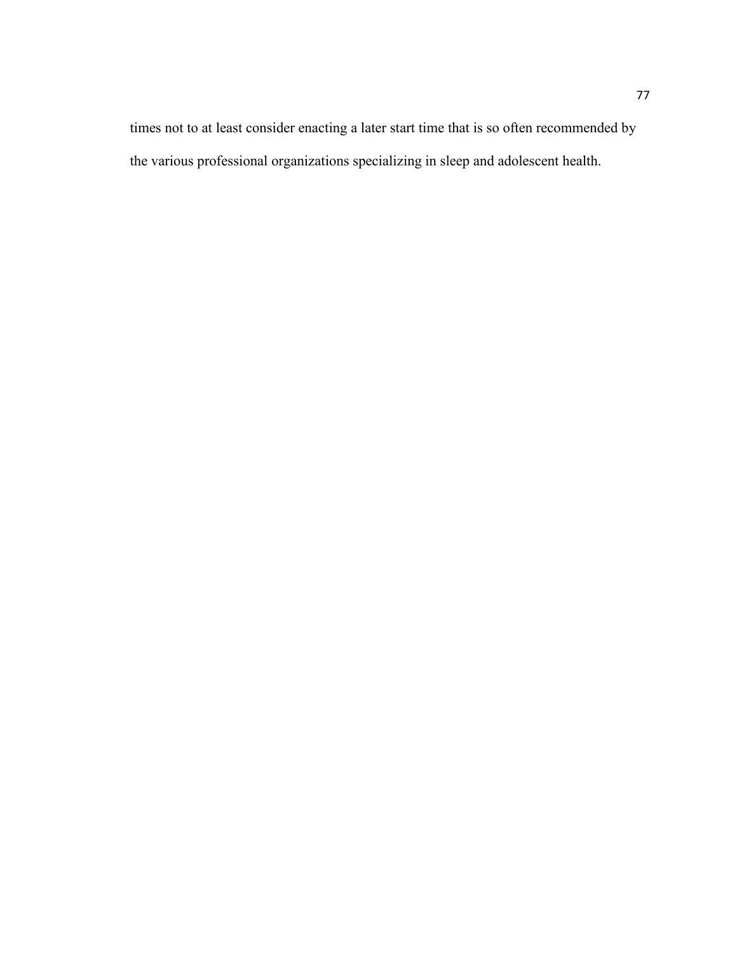times not to at least consider enacting a later start time that is so often recommended by the various professional organizations specializing in sleep and adolescent health.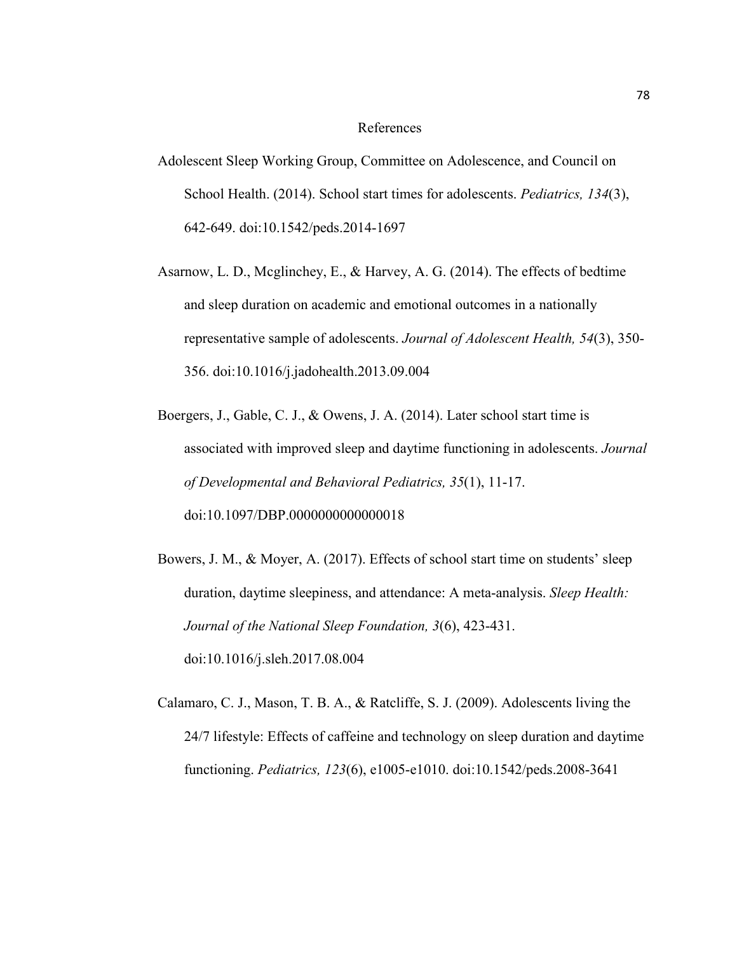## References

- Adolescent Sleep Working Group, Committee on Adolescence, and Council on School Health. (2014). School start times for adolescents. *Pediatrics, 134*(3), 642-649. doi:10.1542/peds.2014-1697
- Asarnow, L. D., Mcglinchey, E., & Harvey, A. G. (2014). The effects of bedtime and sleep duration on academic and emotional outcomes in a nationally representative sample of adolescents. *Journal of Adolescent Health, 54*(3), 350- 356. doi:10.1016/j.jadohealth.2013.09.004
- Boergers, J., Gable, C. J., & Owens, J. A. (2014). Later school start time is associated with improved sleep and daytime functioning in adolescents. *Journal of Developmental and Behavioral Pediatrics, 35*(1), 11-17. doi:10.1097/DBP.0000000000000018
- Bowers, J. M., & Moyer, A. (2017). Effects of school start time on students' sleep duration, daytime sleepiness, and attendance: A meta-analysis. *Sleep Health: Journal of the National Sleep Foundation, 3*(6), 423-431. doi:10.1016/j.sleh.2017.08.004
- Calamaro, C. J., Mason, T. B. A., & Ratcliffe, S. J. (2009). Adolescents living the 24/7 lifestyle: Effects of caffeine and technology on sleep duration and daytime functioning. *Pediatrics, 123*(6), e1005-e1010. doi:10.1542/peds.2008-3641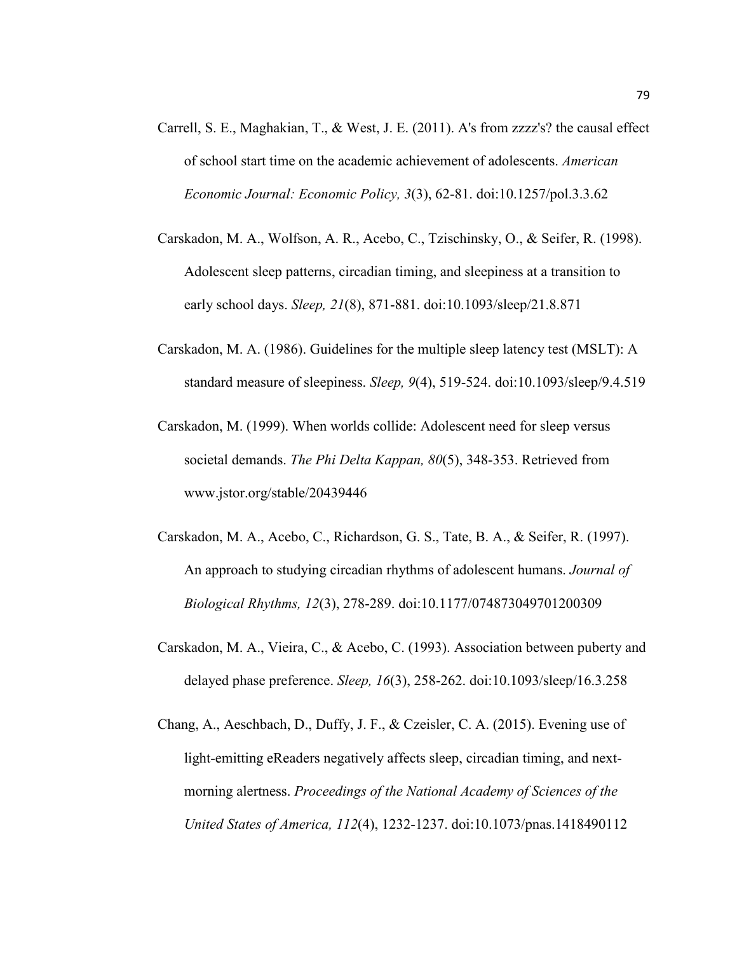- Carrell, S. E., Maghakian, T., & West, J. E. (2011). A's from zzzz's? the causal effect of school start time on the academic achievement of adolescents. *American Economic Journal: Economic Policy, 3*(3), 62-81. doi:10.1257/pol.3.3.62
- Carskadon, M. A., Wolfson, A. R., Acebo, C., Tzischinsky, O., & Seifer, R. (1998). Adolescent sleep patterns, circadian timing, and sleepiness at a transition to early school days. *Sleep, 21*(8), 871-881. doi:10.1093/sleep/21.8.871
- Carskadon, M. A. (1986). Guidelines for the multiple sleep latency test (MSLT): A standard measure of sleepiness. *Sleep, 9*(4), 519-524. doi:10.1093/sleep/9.4.519
- Carskadon, M. (1999). When worlds collide: Adolescent need for sleep versus societal demands. *The Phi Delta Kappan, 80*(5), 348-353. Retrieved from [www.jstor.org/stable/20439446](http://www.jstor.org/stable/20439446)
- Carskadon, M. A., Acebo, C., Richardson, G. S., Tate, B. A., & Seifer, R. (1997). An approach to studying circadian rhythms of adolescent humans. *Journal of Biological Rhythms, 12*(3), 278-289. doi:10.1177/074873049701200309
- Carskadon, M. A., Vieira, C., & Acebo, C. (1993). Association between puberty and delayed phase preference. *Sleep, 16*(3), 258-262. doi:10.1093/sleep/16.3.258
- Chang, A., Aeschbach, D., Duffy, J. F., & Czeisler, C. A. (2015). Evening use of light-emitting eReaders negatively affects sleep, circadian timing, and nextmorning alertness. *Proceedings of the National Academy of Sciences of the United States of America, 112*(4), 1232-1237. doi:10.1073/pnas.1418490112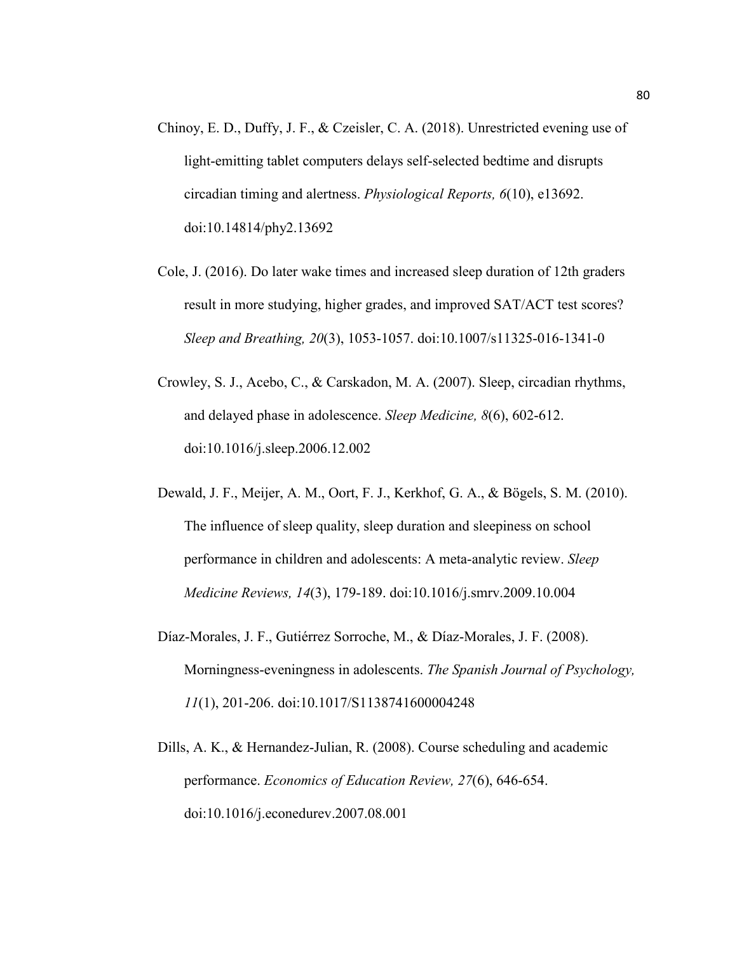- Chinoy, E. D., Duffy, J. F., & Czeisler, C. A. (2018). Unrestricted evening use of light-emitting tablet computers delays self-selected bedtime and disrupts circadian timing and alertness. *Physiological Reports, 6*(10), e13692. doi:10.14814/phy2.13692
- Cole, J. (2016). Do later wake times and increased sleep duration of 12th graders result in more studying, higher grades, and improved SAT/ACT test scores? *Sleep and Breathing, 20*(3), 1053-1057. doi:10.1007/s11325-016-1341-0
- Crowley, S. J., Acebo, C., & Carskadon, M. A. (2007). Sleep, circadian rhythms, and delayed phase in adolescence. *Sleep Medicine, 8*(6), 602-612. doi:10.1016/j.sleep.2006.12.002
- Dewald, J. F., Meijer, A. M., Oort, F. J., Kerkhof, G. A., & Bögels, S. M. (2010). The influence of sleep quality, sleep duration and sleepiness on school performance in children and adolescents: A meta-analytic review. *Sleep Medicine Reviews, 14*(3), 179-189. doi:10.1016/j.smrv.2009.10.004
- Díaz-Morales, J. F., Gutiérrez Sorroche, M., & Díaz-Morales, J. F. (2008). Morningness-eveningness in adolescents. *The Spanish Journal of Psychology, 11*(1), 201-206. doi:10.1017/S1138741600004248
- Dills, A. K., & Hernandez-Julian, R. (2008). Course scheduling and academic performance. *Economics of Education Review, 27*(6), 646-654. doi:10.1016/j.econedurev.2007.08.001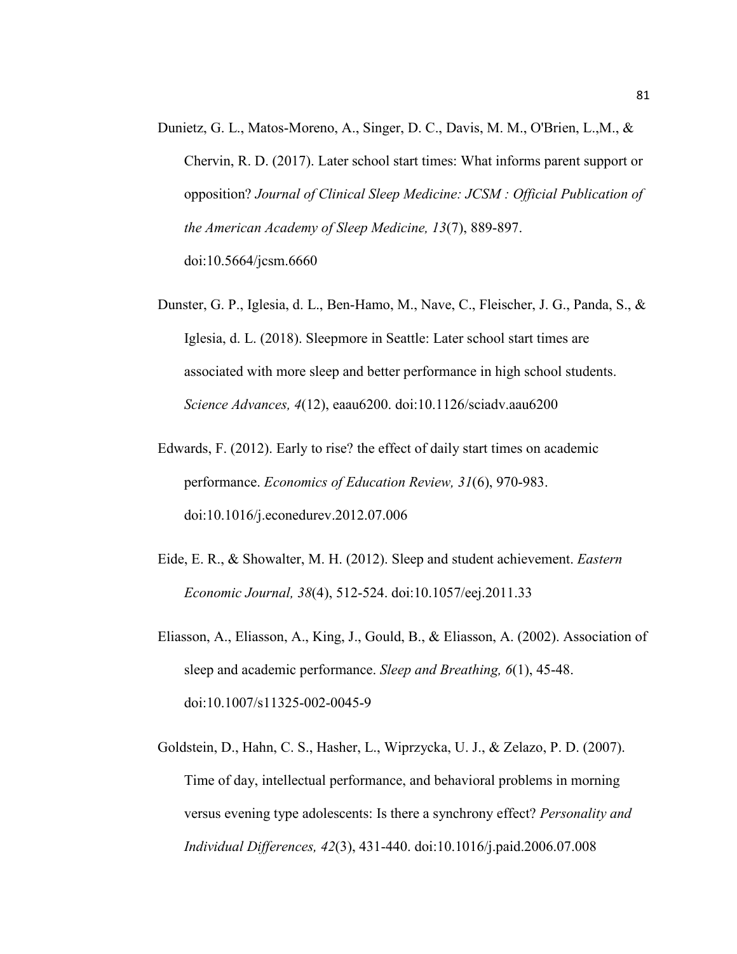- Dunietz, G. L., Matos-Moreno, A., Singer, D. C., Davis, M. M., O'Brien, L.,M., & Chervin, R. D. (2017). Later school start times: What informs parent support or opposition? *Journal of Clinical Sleep Medicine: JCSM : Official Publication of the American Academy of Sleep Medicine, 13*(7), 889-897. doi:10.5664/jcsm.6660
- Dunster, G. P., Iglesia, d. L., Ben-Hamo, M., Nave, C., Fleischer, J. G., Panda, S., & Iglesia, d. L. (2018). Sleepmore in Seattle: Later school start times are associated with more sleep and better performance in high school students. *Science Advances, 4*(12), eaau6200. doi:10.1126/sciadv.aau6200
- Edwards, F. (2012). Early to rise? the effect of daily start times on academic performance. *Economics of Education Review, 31*(6), 970-983. doi:10.1016/j.econedurev.2012.07.006
- Eide, E. R., & Showalter, M. H. (2012). Sleep and student achievement. *Eastern Economic Journal, 38*(4), 512-524. doi:10.1057/eej.2011.33
- Eliasson, A., Eliasson, A., King, J., Gould, B., & Eliasson, A. (2002). Association of sleep and academic performance. *Sleep and Breathing, 6*(1), 45-48. doi:10.1007/s11325-002-0045-9
- Goldstein, D., Hahn, C. S., Hasher, L., Wiprzycka, U. J., & Zelazo, P. D. (2007). Time of day, intellectual performance, and behavioral problems in morning versus evening type adolescents: Is there a synchrony effect? *Personality and Individual Differences, 42*(3), 431-440. doi:10.1016/j.paid.2006.07.008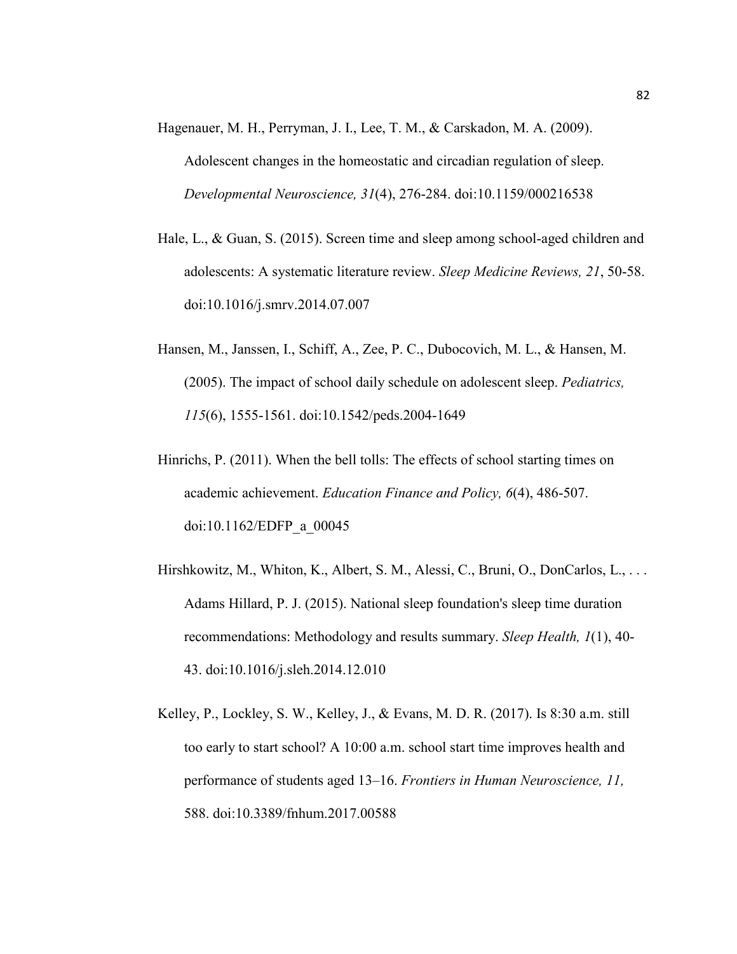- Hagenauer, M. H., Perryman, J. I., Lee, T. M., & Carskadon, M. A. (2009). Adolescent changes in the homeostatic and circadian regulation of sleep. *Developmental Neuroscience, 31*(4), 276-284. doi:10.1159/000216538
- Hale, L., & Guan, S. (2015). Screen time and sleep among school-aged children and adolescents: A systematic literature review. *Sleep Medicine Reviews, 21*, 50-58. doi:10.1016/j.smrv.2014.07.007
- Hansen, M., Janssen, I., Schiff, A., Zee, P. C., Dubocovich, M. L., & Hansen, M. (2005). The impact of school daily schedule on adolescent sleep. *Pediatrics, 115*(6), 1555-1561. doi:10.1542/peds.2004-1649
- Hinrichs, P. (2011). When the bell tolls: The effects of school starting times on academic achievement. *Education Finance and Policy, 6*(4), 486-507. doi:10.1162/EDFP\_a\_00045
- Hirshkowitz, M., Whiton, K., Albert, S. M., Alessi, C., Bruni, O., DonCarlos, L., . . . Adams Hillard, P. J. (2015). National sleep foundation's sleep time duration recommendations: Methodology and results summary. *Sleep Health, 1*(1), 40- 43. doi:10.1016/j.sleh.2014.12.010
- Kelley, P., Lockley, S. W., Kelley, J., & Evans, M. D. R. (2017). Is 8:30 a.m. still too early to start school? A 10:00 a.m. school start time improves health and performance of students aged 13–16. *Frontiers in Human Neuroscience, 11,*  588. doi:10.3389/fnhum.2017.00588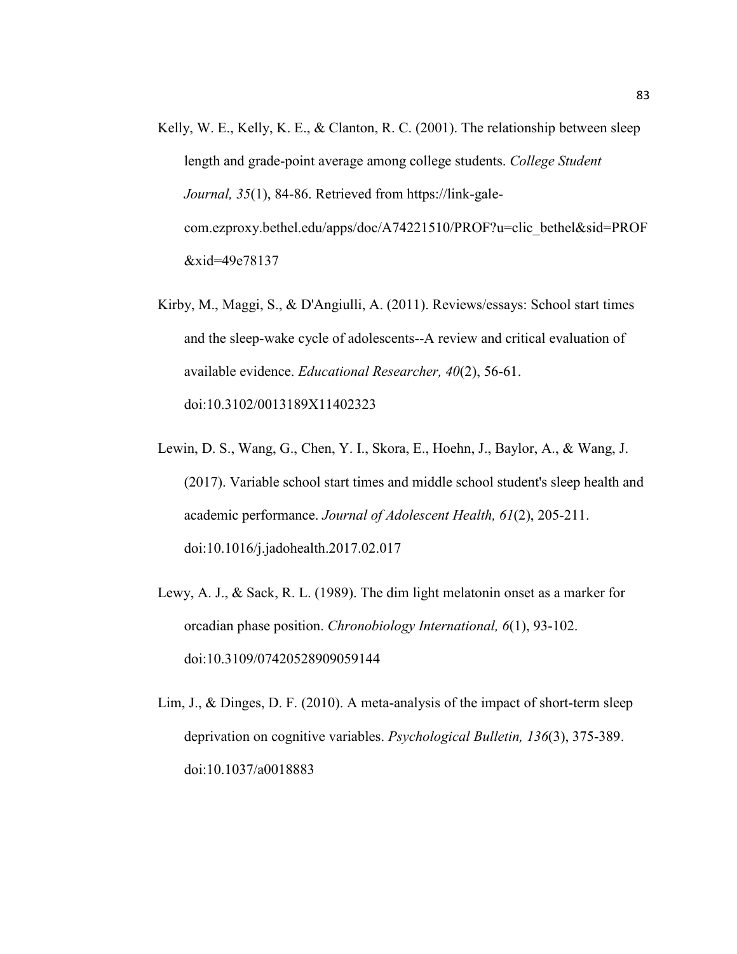- Kelly, W. E., Kelly, K. E., & Clanton, R. C. (2001). The relationship between sleep length and grade-point average among college students. *College Student Journal, 35*(1), 84-86. Retrieved from [https://link-gale](https://link-gale-com.ezproxy.bethel.edu/apps/doc/A74221510/PROF?u=clic_bethel&sid=PROF&xid=49e78137)[com.ezproxy.bethel.edu/apps/doc/A74221510/PROF?u=clic\\_bethel&sid=PROF](https://link-gale-com.ezproxy.bethel.edu/apps/doc/A74221510/PROF?u=clic_bethel&sid=PROF&xid=49e78137) [&xid=49e78137](https://link-gale-com.ezproxy.bethel.edu/apps/doc/A74221510/PROF?u=clic_bethel&sid=PROF&xid=49e78137)
- Kirby, M., Maggi, S., & D'Angiulli, A. (2011). Reviews/essays: School start times and the sleep-wake cycle of adolescents--A review and critical evaluation of available evidence. *Educational Researcher, 40*(2), 56-61. doi:10.3102/0013189X11402323
- Lewin, D. S., Wang, G., Chen, Y. I., Skora, E., Hoehn, J., Baylor, A., & Wang, J. (2017). Variable school start times and middle school student's sleep health and academic performance. *Journal of Adolescent Health, 61*(2), 205-211. doi:10.1016/j.jadohealth.2017.02.017
- Lewy, A. J., & Sack, R. L. (1989). The dim light melatonin onset as a marker for orcadian phase position. *Chronobiology International, 6*(1), 93-102. doi:10.3109/07420528909059144
- Lim, J., & Dinges, D. F. (2010). A meta-analysis of the impact of short-term sleep deprivation on cognitive variables. *Psychological Bulletin, 136*(3), 375-389. doi:10.1037/a0018883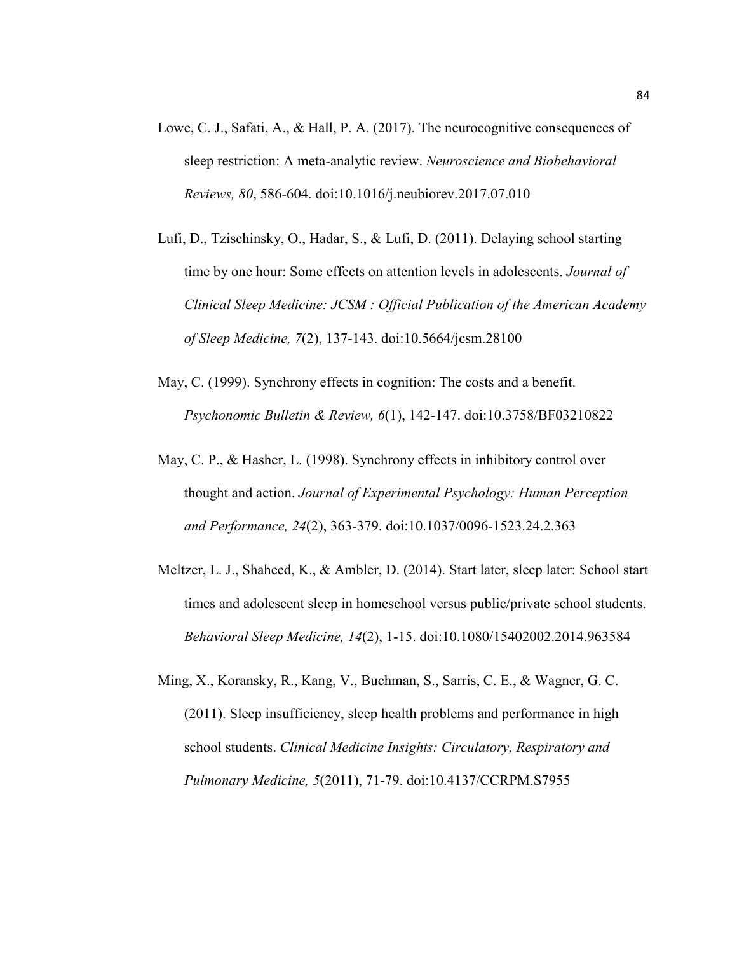- Lowe, C. J., Safati, A., & Hall, P. A. (2017). The neurocognitive consequences of sleep restriction: A meta-analytic review. *Neuroscience and Biobehavioral Reviews, 80*, 586-604. doi:10.1016/j.neubiorev.2017.07.010
- Lufi, D., Tzischinsky, O., Hadar, S., & Lufi, D. (2011). Delaying school starting time by one hour: Some effects on attention levels in adolescents. *Journal of Clinical Sleep Medicine: JCSM : Official Publication of the American Academy of Sleep Medicine, 7*(2), 137-143. doi:10.5664/jcsm.28100
- May, C. (1999). Synchrony effects in cognition: The costs and a benefit. *Psychonomic Bulletin & Review, 6*(1), 142-147. doi:10.3758/BF03210822
- May, C. P., & Hasher, L. (1998). Synchrony effects in inhibitory control over thought and action. *Journal of Experimental Psychology: Human Perception and Performance, 24*(2), 363-379. doi:10.1037/0096-1523.24.2.363
- Meltzer, L. J., Shaheed, K., & Ambler, D. (2014). Start later, sleep later: School start times and adolescent sleep in homeschool versus public/private school students. *Behavioral Sleep Medicine, 14*(2), 1-15. doi:10.1080/15402002.2014.963584
- Ming, X., Koransky, R., Kang, V., Buchman, S., Sarris, C. E., & Wagner, G. C. (2011). Sleep insufficiency, sleep health problems and performance in high school students. *Clinical Medicine Insights: Circulatory, Respiratory and Pulmonary Medicine, 5*(2011), 71-79. doi:10.4137/CCRPM.S7955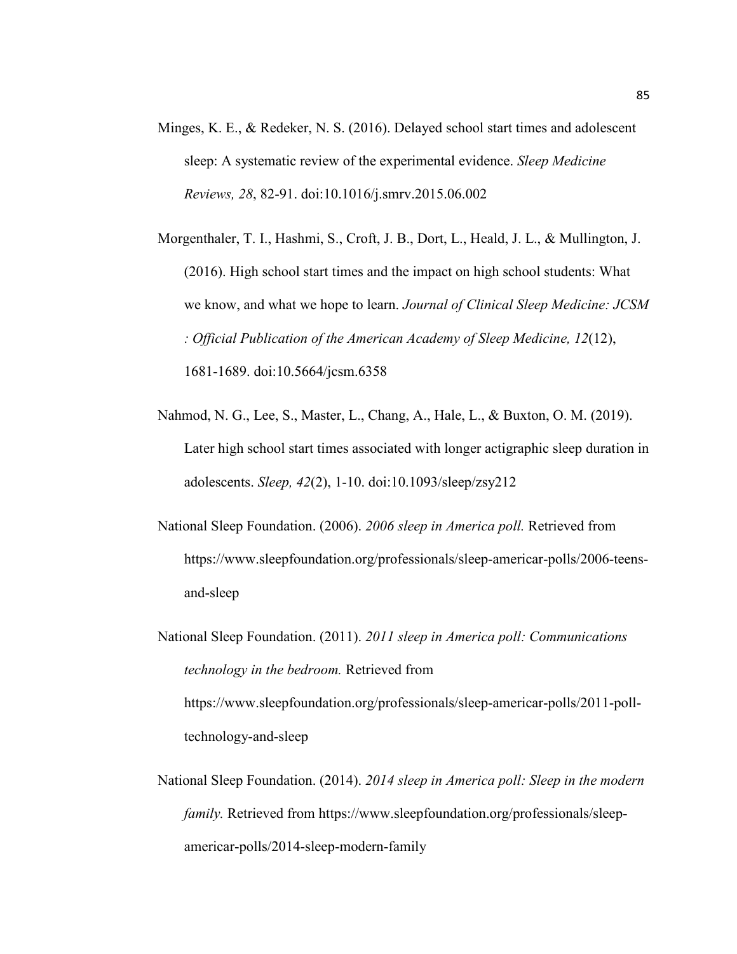- Minges, K. E., & Redeker, N. S. (2016). Delayed school start times and adolescent sleep: A systematic review of the experimental evidence. *Sleep Medicine Reviews, 28*, 82-91. doi:10.1016/j.smrv.2015.06.002
- Morgenthaler, T. I., Hashmi, S., Croft, J. B., Dort, L., Heald, J. L., & Mullington, J. (2016). High school start times and the impact on high school students: What we know, and what we hope to learn. *Journal of Clinical Sleep Medicine: JCSM : Official Publication of the American Academy of Sleep Medicine, 12*(12), 1681-1689. doi:10.5664/jcsm.6358
- Nahmod, N. G., Lee, S., Master, L., Chang, A., Hale, L., & Buxton, O. M. (2019). Later high school start times associated with longer actigraphic sleep duration in adolescents. *Sleep, 42*(2), 1-10. doi:10.1093/sleep/zsy212
- National Sleep Foundation. (2006). *2006 sleep in America poll.* Retrieved from [https://www.sleepfoundation.org/professionals/sleep-americar-polls/2006-teens](https://www.sleepfoundation.org/professionals/sleep-americar-polls/2006-teens-and-sleep)[and-sleep](https://www.sleepfoundation.org/professionals/sleep-americar-polls/2006-teens-and-sleep)
- National Sleep Foundation. (2011). *2011 sleep in America poll: Communications technology in the bedroom.* Retrieved from [https://www.sleepfoundation.org/professionals/sleep-americar-polls/2011-poll](https://www.sleepfoundation.org/professionals/sleep-americar-polls/2011-poll-technology-and-sleep)[technology-and-sleep](https://www.sleepfoundation.org/professionals/sleep-americar-polls/2011-poll-technology-and-sleep)
- National Sleep Foundation. (2014). *2014 sleep in America poll: Sleep in the modern family.* Retrieved from [https://www.sleepfoundation.org/professionals/sleep](https://www.sleepfoundation.org/professionals/sleep-americar-polls/2014-sleep-modern-family)[americar-polls/2014-sleep-modern-family](https://www.sleepfoundation.org/professionals/sleep-americar-polls/2014-sleep-modern-family)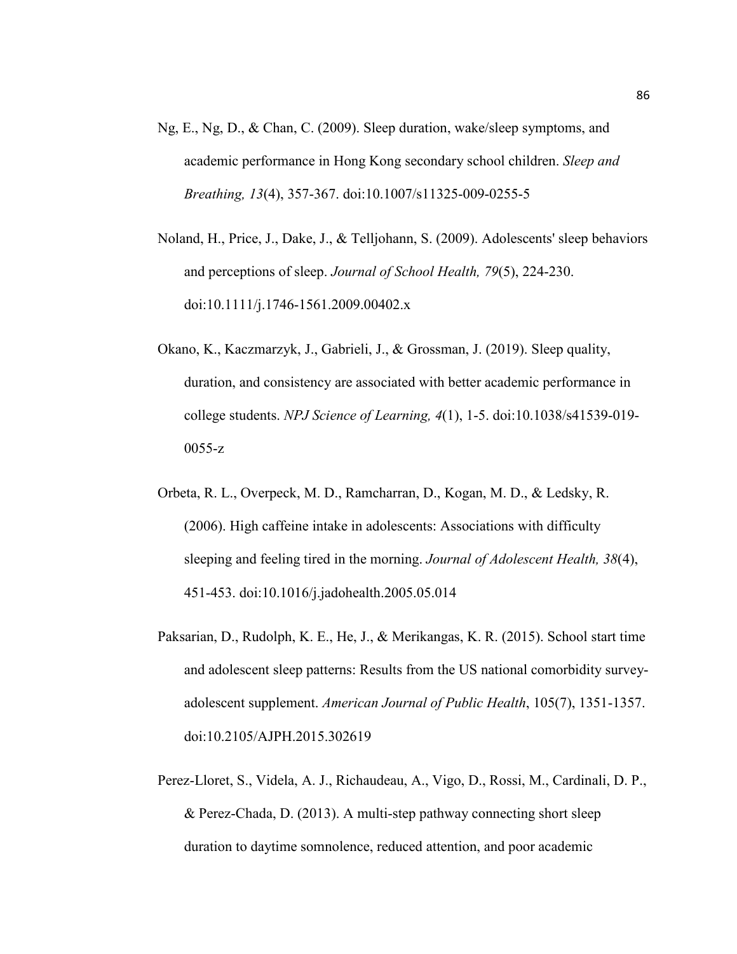- Ng, E., Ng, D., & Chan, C. (2009). Sleep duration, wake/sleep symptoms, and academic performance in Hong Kong secondary school children. *Sleep and Breathing, 13*(4), 357-367. doi:10.1007/s11325-009-0255-5
- Noland, H., Price, J., Dake, J., & Telljohann, S. (2009). Adolescents' sleep behaviors and perceptions of sleep. *Journal of School Health, 79*(5), 224-230. doi:10.1111/j.1746-1561.2009.00402.x
- Okano, K., Kaczmarzyk, J., Gabrieli, J., & Grossman, J. (2019). Sleep quality, duration, and consistency are associated with better academic performance in college students. *NPJ Science of Learning, 4*(1), 1-5. doi:10.1038/s41539-019- 0055-z
- Orbeta, R. L., Overpeck, M. D., Ramcharran, D., Kogan, M. D., & Ledsky, R. (2006). High caffeine intake in adolescents: Associations with difficulty sleeping and feeling tired in the morning. *Journal of Adolescent Health, 38*(4), 451-453. doi:10.1016/j.jadohealth.2005.05.014
- Paksarian, D., Rudolph, K. E., He, J., & Merikangas, K. R. (2015). School start time and adolescent sleep patterns: Results from the US national comorbidity surveyadolescent supplement. *American Journal of Public Health*, 105(7), 1351-1357. doi:10.2105/AJPH.2015.302619
- Perez-Lloret, S., Videla, A. J., Richaudeau, A., Vigo, D., Rossi, M., Cardinali, D. P., & Perez-Chada, D. (2013). A multi-step pathway connecting short sleep duration to daytime somnolence, reduced attention, and poor academic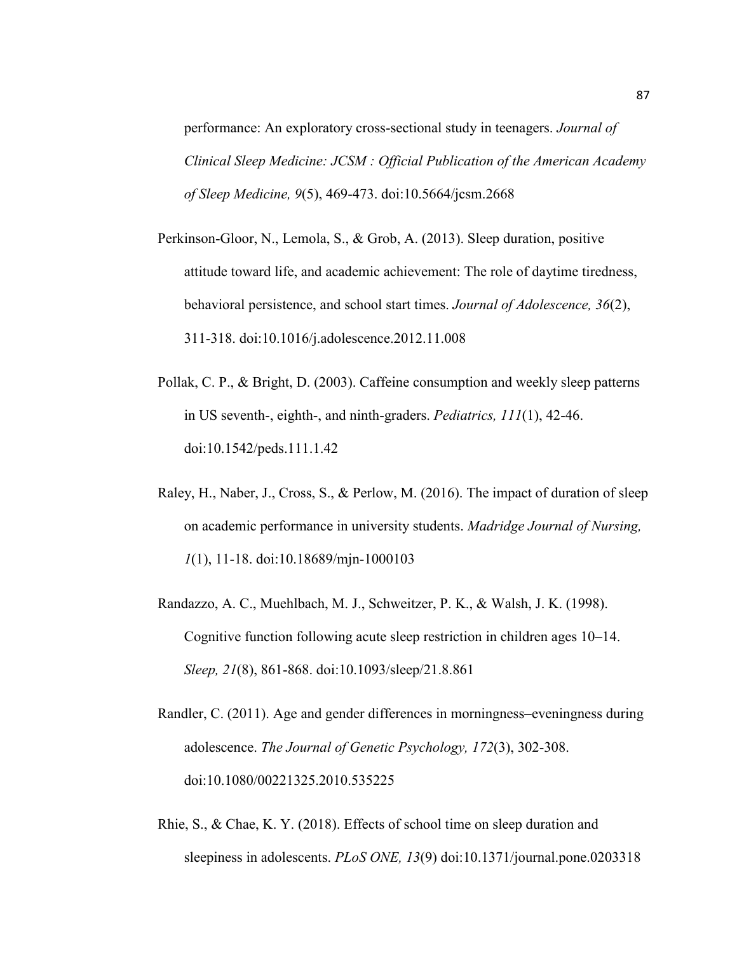performance: An exploratory cross-sectional study in teenagers. *Journal of Clinical Sleep Medicine: JCSM : Official Publication of the American Academy of Sleep Medicine, 9*(5), 469-473. doi:10.5664/jcsm.2668

- Perkinson-Gloor, N., Lemola, S., & Grob, A. (2013). Sleep duration, positive attitude toward life, and academic achievement: The role of daytime tiredness, behavioral persistence, and school start times. *Journal of Adolescence, 36*(2), 311-318. doi:10.1016/j.adolescence.2012.11.008
- Pollak, C. P., & Bright, D. (2003). Caffeine consumption and weekly sleep patterns in US seventh-, eighth-, and ninth-graders. *Pediatrics, 111*(1), 42-46. doi:10.1542/peds.111.1.42
- Raley, H., Naber, J., Cross, S., & Perlow, M. (2016). The impact of duration of sleep on academic performance in university students. *Madridge Journal of Nursing, 1*(1), 11-18. doi:10.18689/mjn-1000103
- Randazzo, A. C., Muehlbach, M. J., Schweitzer, P. K., & Walsh, J. K. (1998). Cognitive function following acute sleep restriction in children ages 10–14. *Sleep, 21*(8), 861-868. doi:10.1093/sleep/21.8.861
- Randler, C. (2011). Age and gender differences in morningness–eveningness during adolescence. *The Journal of Genetic Psychology, 172*(3), 302-308. doi:10.1080/00221325.2010.535225
- Rhie, S., & Chae, K. Y. (2018). Effects of school time on sleep duration and sleepiness in adolescents. *PLoS ONE, 13*(9) doi:10.1371/journal.pone.0203318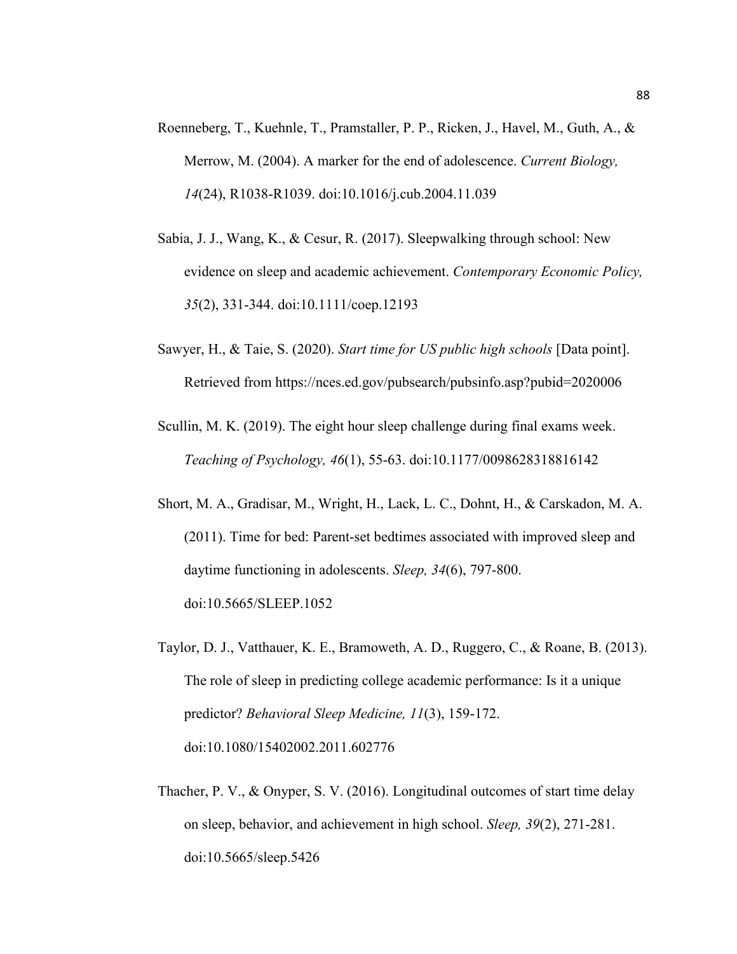- Roenneberg, T., Kuehnle, T., Pramstaller, P. P., Ricken, J., Havel, M., Guth, A., & Merrow, M. (2004). A marker for the end of adolescence. *Current Biology, 14*(24), R1038-R1039. doi:10.1016/j.cub.2004.11.039
- Sabia, J. J., Wang, K., & Cesur, R. (2017). Sleepwalking through school: New evidence on sleep and academic achievement. *Contemporary Economic Policy, 35*(2), 331-344. doi:10.1111/coep.12193
- Sawyer, H., & Taie, S. (2020). *Start time for US public high schools* [Data point]. Retrieved from <https://nces.ed.gov/pubsearch/pubsinfo.asp?pubid=2020006>
- Scullin, M. K. (2019). The eight hour sleep challenge during final exams week. *Teaching of Psychology, 46*(1), 55-63. doi:10.1177/0098628318816142
- Short, M. A., Gradisar, M., Wright, H., Lack, L. C., Dohnt, H., & Carskadon, M. A. (2011). Time for bed: Parent-set bedtimes associated with improved sleep and daytime functioning in adolescents. *Sleep, 34*(6), 797-800. doi:10.5665/SLEEP.1052
- Taylor, D. J., Vatthauer, K. E., Bramoweth, A. D., Ruggero, C., & Roane, B. (2013). The role of sleep in predicting college academic performance: Is it a unique predictor? *Behavioral Sleep Medicine, 11*(3), 159-172. doi:10.1080/15402002.2011.602776
- Thacher, P. V., & Onyper, S. V. (2016). Longitudinal outcomes of start time delay on sleep, behavior, and achievement in high school. *Sleep, 39*(2), 271-281. doi:10.5665/sleep.5426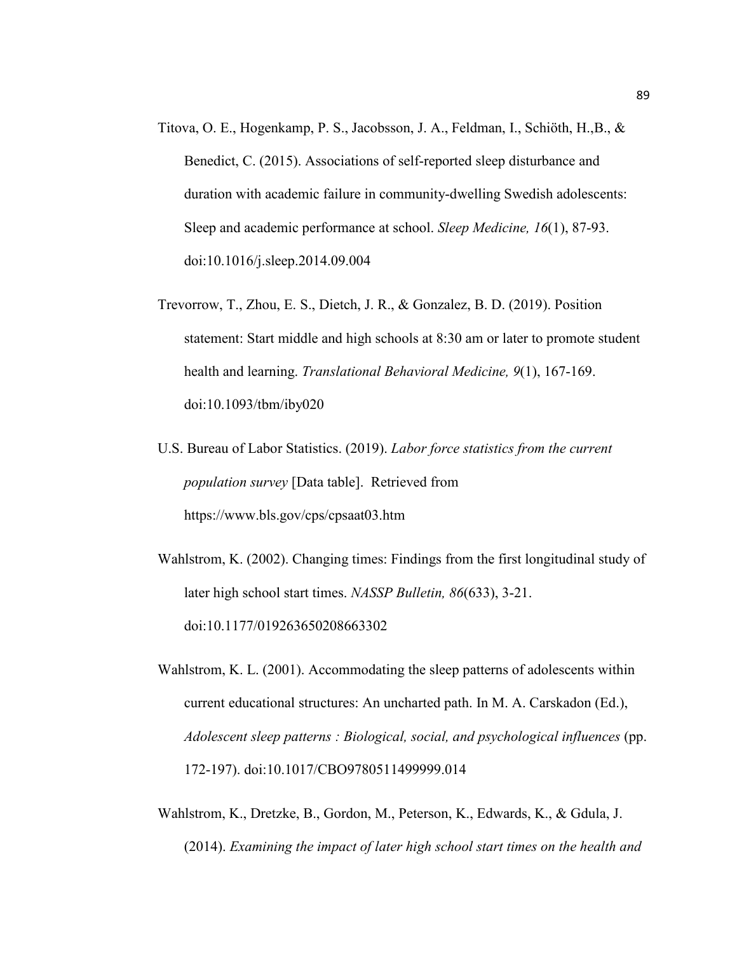- Titova, O. E., Hogenkamp, P. S., Jacobsson, J. A., Feldman, I., Schiöth, H.,B., & Benedict, C. (2015). Associations of self-reported sleep disturbance and duration with academic failure in community-dwelling Swedish adolescents: Sleep and academic performance at school. *Sleep Medicine, 16*(1), 87-93. doi:10.1016/j.sleep.2014.09.004
- Trevorrow, T., Zhou, E. S., Dietch, J. R., & Gonzalez, B. D. (2019). Position statement: Start middle and high schools at 8:30 am or later to promote student health and learning. *Translational Behavioral Medicine, 9*(1), 167-169. doi:10.1093/tbm/iby020
- U.S. Bureau of Labor Statistics. (2019). *Labor force statistics from the current population survey* [Data table]. Retrieved from <https://www.bls.gov/cps/cpsaat03.htm>
- Wahlstrom, K. (2002). Changing times: Findings from the first longitudinal study of later high school start times. *NASSP Bulletin, 86*(633), 3-21. doi:10.1177/019263650208663302
- Wahlstrom, K. L. (2001). Accommodating the sleep patterns of adolescents within current educational structures: An uncharted path. In M. A. Carskadon (Ed.), *Adolescent sleep patterns : Biological, social, and psychological influences* (pp. 172-197). doi:10.1017/CBO9780511499999.014
- Wahlstrom, K., Dretzke, B., Gordon, M., Peterson, K., Edwards, K., & Gdula, J. (2014). *Examining the impact of later high school start times on the health and*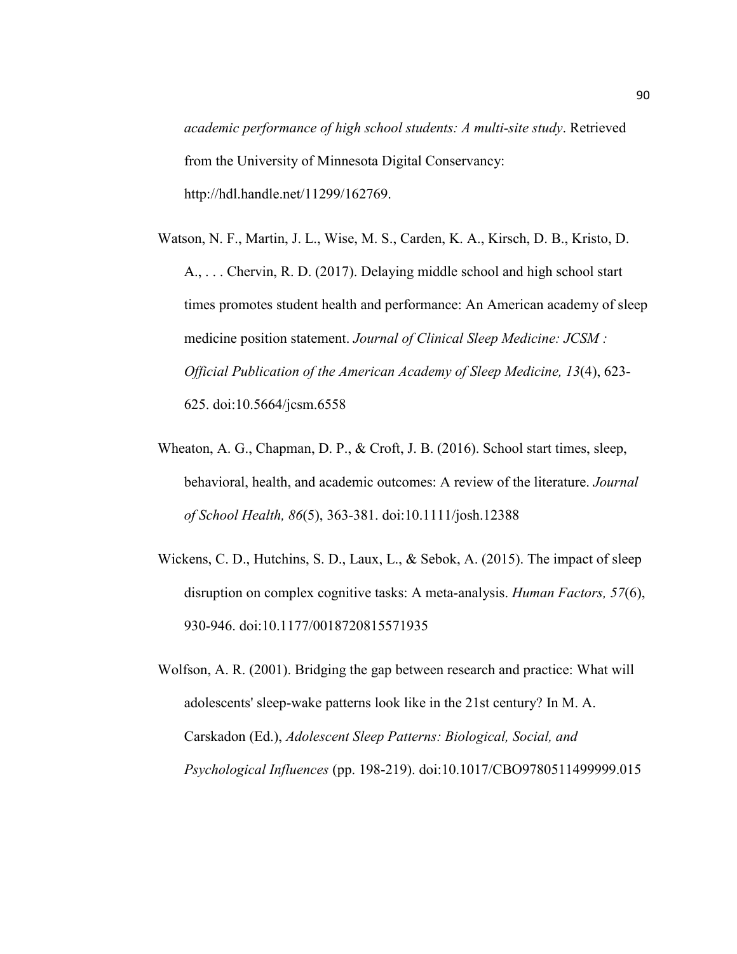*academic performance of high school students: A multi-site study*. Retrieved from the University of Minnesota Digital Conservancy: [http://hdl.handle.net/11299/162769.](http://hdl.handle.net/11299/162769)

- Watson, N. F., Martin, J. L., Wise, M. S., Carden, K. A., Kirsch, D. B., Kristo, D. A., . . . Chervin, R. D. (2017). Delaying middle school and high school start times promotes student health and performance: An American academy of sleep medicine position statement. *Journal of Clinical Sleep Medicine: JCSM : Official Publication of the American Academy of Sleep Medicine, 13*(4), 623- 625. doi:10.5664/jcsm.6558
- Wheaton, A. G., Chapman, D. P., & Croft, J. B. (2016). School start times, sleep, behavioral, health, and academic outcomes: A review of the literature. *Journal of School Health, 86*(5), 363-381. doi:10.1111/josh.12388
- Wickens, C. D., Hutchins, S. D., Laux, L., & Sebok, A. (2015). The impact of sleep disruption on complex cognitive tasks: A meta-analysis. *Human Factors, 57*(6), 930-946. doi:10.1177/0018720815571935
- Wolfson, A. R. (2001). Bridging the gap between research and practice: What will adolescents' sleep-wake patterns look like in the 21st century? In M. A. Carskadon (Ed.), *Adolescent Sleep Patterns: Biological, Social, and Psychological Influences* (pp. 198-219). doi:10.1017/CBO9780511499999.015